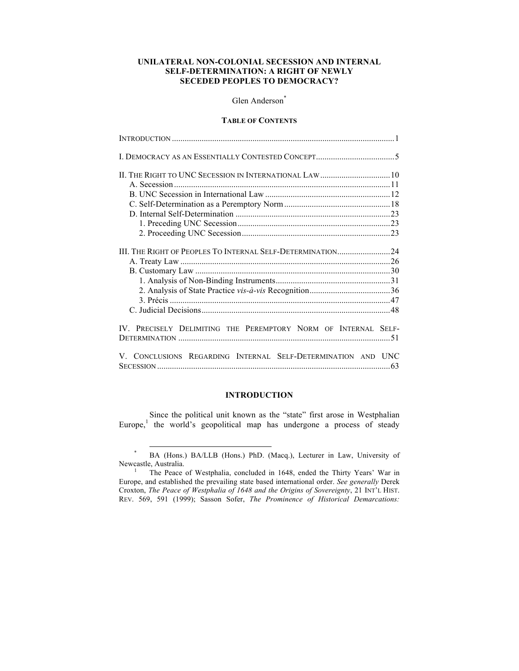# **UNILATERAL NON-COLONIAL SECESSION AND INTERNAL SELF-DETERMINATION: A RIGHT OF NEWLY SECEDED PEOPLES TO DEMOCRACY?**

# Glen Anderson\*

## **TABLE OF CONTENTS**

| III. THE RIGHT OF PEOPLES TO INTERNAL SELF-DETERMINATION24     |  |
|----------------------------------------------------------------|--|
|                                                                |  |
|                                                                |  |
|                                                                |  |
|                                                                |  |
|                                                                |  |
|                                                                |  |
| IV. PRECISELY DELIMITING THE PEREMPTORY NORM OF INTERNAL SELF- |  |
|                                                                |  |
| V. CONCLUSIONS REGARDING INTERNAL SELF-DETERMINATION AND UNC   |  |

# **INTRODUCTION**

Since the political unit known as the "state" first arose in Westphalian Europe,<sup>1</sup> the world's geopolitical map has undergone a process of steady

 <sup>\*</sup> BA (Hons.) BA/LLB (Hons.) PhD. (Macq.), Lecturer in Law, University of

<sup>&</sup>lt;sup>1</sup> The Peace of Westphalia, concluded in 1648, ended the Thirty Years' War in Europe, and established the prevailing state based international order. *See generally* Derek Croxton, *The Peace of Westphalia of 1648 and the Origins of Sovereignty*, 21 INT'L HIST. REV. 569, 591 (1999); Sasson Sofer, *The Prominence of Historical Demarcations:*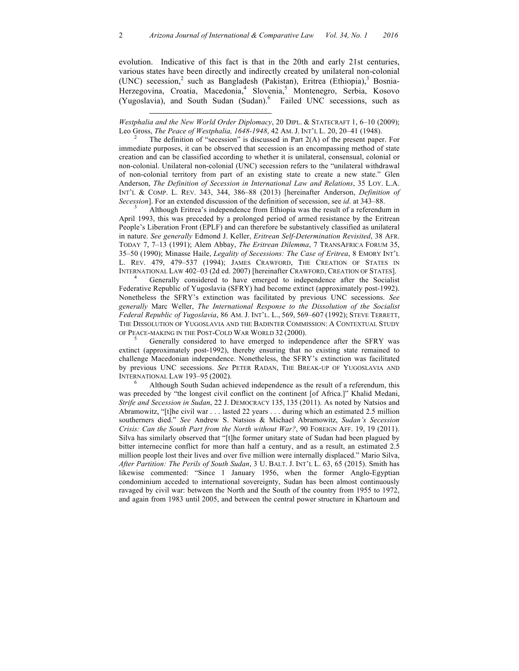evolution. Indicative of this fact is that in the 20th and early 21st centuries, various states have been directly and indirectly created by unilateral non-colonial (UNC) secession,<sup>2</sup> such as Bangladesh (Pakistan), Eritrea (Ethiopia),<sup>3</sup> Bosnia-Herzegovina, Croatia, Macedonia,<sup>4</sup> Slovenia,<sup>5</sup> Montenegro, Serbia, Kosovo (Yugoslavia), and South Sudan (Sudan). 6 Failed UNC secessions, such as

 $\overline{a}$ 

immediate purposes, it can be observed that secession is an encompassing method of state creation and can be classified according to whether it is unilateral, consensual, colonial or non-colonial. Unilateral non-colonial (UNC) secession refers to the "unilateral withdrawal of non-colonial territory from part of an existing state to create a new state." Glen Anderson, *The Definition of Secession in International Law and Relations*, 35 LOY. L.A. INT'L & COMP. L. REV. 343, 344, 386–88 (2013) [hereinafter Anderson, *Definition of Secession*]. For an extended discussion of the definition of secession, see *id*. at 343–88.<br><sup>3</sup> Although Eritrea's independence from Ethiopia was the result of a referendum in

April 1993, this was preceded by a prolonged period of armed resistance by the Eritrean People's Liberation Front (EPLF) and can therefore be substantively classified as unilateral in nature. *See generally* Edmond J. Keller, *Eritrean Self-Determination Revisited*, 38 AFR. TODAY 7, 7–13 (1991); Alem Abbay, *The Eritrean Dilemma*, 7 TRANSAFRICA FORUM 35, 35–50 (1990); Minasse Haile, *Legality of Secessions: The Case of Eritrea*, 8 EMORY INT'L L. REV. 479, 479–537 (1994); JAMES CRAWFORD, THE CREATION OF STATES IN INTERNATIONAL LAW 402–03 (2d ed. 2007) [hereinafter CRAWFORD, CREATION OF STATES]. <sup>4</sup> Generally considered to have emerged to independence after the Socialist

Federative Republic of Yugoslavia (SFRY) had become extinct (approximately post-1992). Nonetheless the SFRY's extinction was facilitated by previous UNC secessions. *See generally* Marc Weller, *The International Response to the Dissolution of the Socialist Federal Republic of Yugoslavia*, 86 AM. J. INT'L. L., 569, 569–607 (1992); STEVE TERRETT, THE DISSOLUTION OF YUGOSLAVIA AND THE BADINTER COMMISSION: A CONTEXTUAL STUDY OF PEACE-MAKING IN THE POST-COLD WAR WORLD 32 (2000).<br><sup>5</sup> Generally considered to have emerged to independence after the SFRY was

extinct (approximately post-1992), thereby ensuring that no existing state remained to challenge Macedonian independence. Nonetheless, the SFRY's extinction was facilitated by previous UNC secessions. *See* PETER RADAN, THE BREAK-UP OF YUGOSLAVIA AND INTERNATIONAL LAW 193–95 (2002).<br><sup>6</sup> Although South Sudan achieved independence as the result of a referendum, this

was preceded by "the longest civil conflict on the continent [of Africa.]" Khalid Medani, *Strife and Secession in Sudan*, 22 J. DEMOCRACY 135, 135 (2011). As noted by Natsios and Abramowitz, "[t]he civil war . . . lasted 22 years . . . during which an estimated 2.5 million southerners died." *See* Andrew S. Natsios & Michael Abramowitz, *Sudan's Secession Crisis: Can the South Part from the North without War?*, 90 FOREIGN AFF. 19, 19 (2011). Silva has similarly observed that "[t]he former unitary state of Sudan had been plagued by bitter internecine conflict for more than half a century, and as a result, an estimated 2.5 million people lost their lives and over five million were internally displaced." Mario Silva, *After Partition: The Perils of South Sudan*, 3 U. BALT. J. INT'L L. 63, 65 (2015). Smith has likewise commented: "Since 1 January 1956, when the former Anglo-Egyptian condominium acceded to international sovereignty, Sudan has been almost continuously ravaged by civil war: between the North and the South of the country from 1955 to 1972, and again from 1983 until 2005, and between the central power structure in Khartoum and

*Westphalia and the New World Order Diplomacy*, 20 DIPL. & STATECRAFT 1, 6–10 (2009); Leo Gross, *The Peace of Westphalia, 1648-1948*, 42 AM. J. INT'L L. 20, 20–41 (1948).<br><sup>2</sup> The definition of "secession" is discussed in Part 2(A) of the present paper. For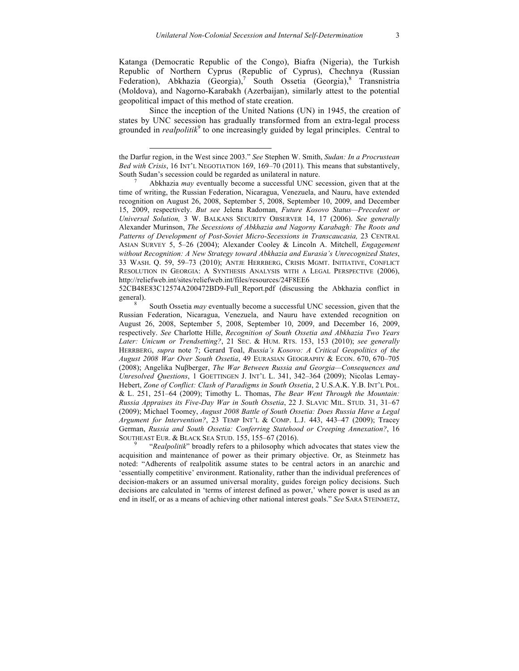Katanga (Democratic Republic of the Congo), Biafra (Nigeria), the Turkish Republic of Northern Cyprus (Republic of Cyprus), Chechnya (Russian Federation), Abkhazia  $(Ge^{i\pi})$ , South Ossetia  $(Ge^{i\pi})$ , Transnistria (Moldova), and Nagorno-Karabakh (Azerbaijan), similarly attest to the potential geopolitical impact of this method of state creation.

Since the inception of the United Nations (UN) in 1945, the creation of states by UNC secession has gradually transformed from an extra-legal process grounded in *realpolitik*<sup>9</sup> to one increasingly guided by legal principles. Central to

 $\overline{a}$ 

52CB48E83C12574A200472BD9-Full\_Report.pdf (discussing the Abkhazia conflict in general).<br><sup>8</sup> South Ossetia *may* eventually become a successful UNC secession, given that the

acquisition and maintenance of power as their primary objective. Or, as Steinmetz has noted: "Adherents of realpolitik assume states to be central actors in an anarchic and 'essentially competitive' environment. Rationality, rather than the individual preferences of decision-makers or an assumed universal morality, guides foreign policy decisions. Such decisions are calculated in 'terms of interest defined as power,' where power is used as an end in itself, or as a means of achieving other national interest goals." *See* SARA STEINMETZ,

the Darfur region, in the West since 2003." *See* Stephen W. Smith, *Sudan: In a Procrustean Bed with Crisis*, 16 INT'L NEGOTIATION 169, 169–70 (2011). This means that substantively, South Sudan's secession could be regarded as unilateral in nature. <sup>7</sup> Abkhazia *may* eventually become a successful UNC secession, given that at the

time of writing, the Russian Federation, Nicaragua, Venezuela, and Nauru, have extended recognition on August 26, 2008, September 5, 2008, September 10, 2009, and December 15, 2009, respectively. *But see* Jelena Radoman, *Future Kosovo Status—Precedent or Universal Solution,* 3 W. BALKANS SECURITY OBSERVER 14, 17 (2006). *See generally* Alexander Murinson, *The Secessions of Abkhazia and Nagorny Karabagh: The Roots and Patterns of Development of Post-Soviet Micro-Secessions in Transcaucasia,* 23 CENTRAL ASIAN SURVEY 5, 5–26 (2004); Alexander Cooley & Lincoln A. Mitchell, *Engagement without Recognition: A New Strategy toward Abkhazia and Eurasia's Unrecognized States*, 33 WASH. Q. 59, 59–73 (2010); ANTJE HERRBERG, CRISIS MGMT. INITIATIVE, CONFLICT RESOLUTION IN GEORGIA: A SYNTHESIS ANALYSIS WITH A LEGAL PERSPECTIVE (2006), http://reliefweb.int/sites/reliefweb.int/files/resources/24F8EE6

Russian Federation, Nicaragua, Venezuela, and Nauru have extended recognition on August 26, 2008, September 5, 2008, September 10, 2009, and December 16, 2009, respectively. *See* Charlotte Hille, *Recognition of South Ossetia and Abkhazia Two Years Later: Unicum or Trendsetting?*, 21 SEC. & HUM. RTS. 153, 153 (2010); *see generally* HERRBERG, *supra* note 7; Gerard Toal, *Russia's Kosovo: A Critical Geopolitics of the August 2008 War Over South Ossetia*, 49 EURASIAN GEOGRAPHY & ECON. 670, 670–705 (2008); Angelika Nuβberger, *The War Between Russia and Georgia—Consequences and Unresolved Questions*, 1 GOETTINGEN J. INT'L L. 341, 342–364 (2009); Nicolas Lemay-Hebert, *Zone of Conflict: Clash of Paradigms in South Ossetia*, 2 U.S.A.K. Y.B. INT'L POL. & L. 251, 251–64 (2009); Timothy L. Thomas, *The Bear Went Through the Mountain: Russia Appraises its Five-Day War in South Ossetia*, 22 J. SLAVIC MIL. STUD. 31, 31–67 (2009); Michael Toomey, *August 2008 Battle of South Ossetia: Does Russia Have a Legal Argument for Intervention?*, 23 TEMP INT'L & COMP. L.J. 443, 443–47 (2009); Tracey German, *Russia and South Ossetia: Conferring Statehood or Creeping Annexation?*, 16 SOUTHEAST EUR. & BLACK SEA STUD. 155, 155–67 (2016). <sup>9</sup> "*Realpolitik*" broadly refers to a philosophy which advocates that states view the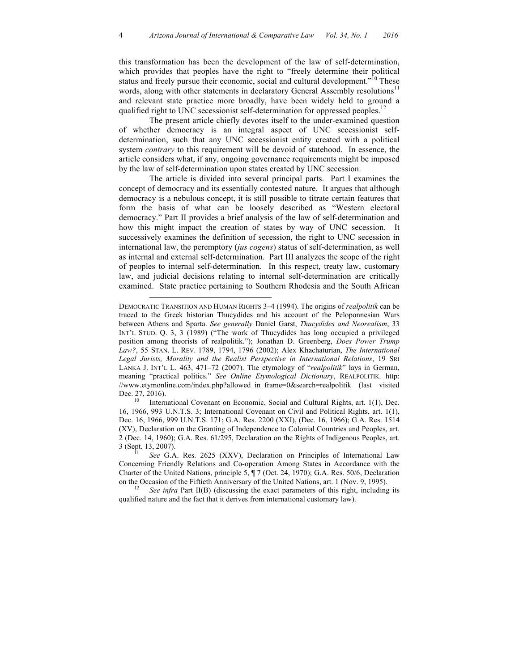this transformation has been the development of the law of self-determination, which provides that peoples have the right to "freely determine their political status and freely pursue their economic, social and cultural development."<sup>10</sup> These words, along with other statements in declaratory General Assembly resolutions<sup>1</sup> and relevant state practice more broadly, have been widely held to ground a qualified right to UNC secessionist self-determination for oppressed peoples.<sup>12</sup>

The present article chiefly devotes itself to the under-examined question of whether democracy is an integral aspect of UNC secessionist selfdetermination, such that any UNC secessionist entity created with a political system *contrary* to this requirement will be devoid of statehood. In essence, the article considers what, if any, ongoing governance requirements might be imposed by the law of self-determination upon states created by UNC secession.

The article is divided into several principal parts. Part I examines the concept of democracy and its essentially contested nature. It argues that although democracy is a nebulous concept, it is still possible to titrate certain features that form the basis of what can be loosely described as "Western electoral democracy." Part II provides a brief analysis of the law of self-determination and how this might impact the creation of states by way of UNC secession. It successively examines the definition of secession, the right to UNC secession in international law, the peremptory (*jus cogens*) status of self-determination, as well as internal and external self-determination. Part III analyzes the scope of the right of peoples to internal self-determination. In this respect, treaty law, customary law, and judicial decisions relating to internal self-determination are critically examined. State practice pertaining to Southern Rhodesia and the South African

 $\overline{a}$ 

DEMOCRATIC TRANSITION AND HUMAN RIGHTS 3–4 (1994). The origins of *realpolitik* can be traced to the Greek historian Thucydides and his account of the Peloponnesian Wars between Athens and Sparta. *See generally* Daniel Garst, *Thucydides and Neorealism*, 33 INT'L STUD. Q. 3, 3 (1989) ("The work of Thucydides has long occupied a privileged position among theorists of realpolitik."); Jonathan D. Greenberg, *Does Power Trump Law?*, 55 STAN. L. REV. 1789, 1794, 1796 (2002); Alex Khachaturian, *The International Legal Jurists, Morality and the Realist Perspective in International Relations*, 19 SRI LANKA J. INT'L L. 463, 471–72 (2007). The etymology of "*realpolitik*" lays in German, meaning "practical politics." *See Online Etymological Dictionary*, REALPOLITIK*,* http: //www.etymonline.com/index.php?allowed\_in\_frame=0&search=realpolitik (last visited Dec. 27, 2016).<br><sup>10</sup> International Covenant on Economic, Social and Cultural Rights, art. 1(1), Dec.

<sup>16, 1966, 993</sup> U.N.T.S. 3; International Covenant on Civil and Political Rights, art. 1(1), Dec. 16, 1966, 999 U.N.T.S. 171; G.A. Res. 2200 (XXI), (Dec. 16, 1966); G.A. Res. 1514 (XV), Declaration on the Granting of Independence to Colonial Countries and Peoples, art. 2 (Dec. 14, 1960); G.A. Res. 61/295, Declaration on the Rights of Indigenous Peoples, art. 3 (Sept. 13, 2007). 11 *See* G.A. Res. 2625 (XXV), Declaration on Principles of International Law

Concerning Friendly Relations and Co-operation Among States in Accordance with the Charter of the United Nations, principle 5, ¶ 7 (Oct. 24, 1970); G.A. Res. 50/6, Declaration on the Occasion of the Fiftieth Anniversary of the United Nations, art. 1 (Nov. 9, 1995).<br><sup>12</sup> *See infra* Part II(B) (discussing the exact parameters of this right, including its

qualified nature and the fact that it derives from international customary law).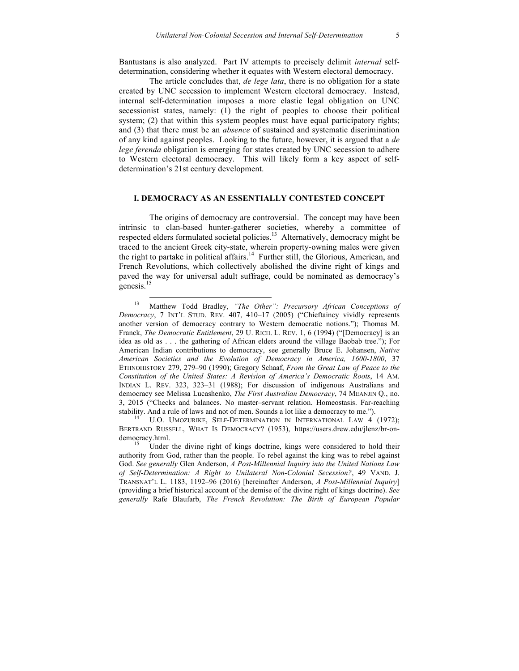Bantustans is also analyzed. Part IV attempts to precisely delimit *internal* selfdetermination, considering whether it equates with Western electoral democracy.

The article concludes that, *de lege lata*, there is no obligation for a state created by UNC secession to implement Western electoral democracy. Instead, internal self-determination imposes a more elastic legal obligation on UNC secessionist states, namely: (1) the right of peoples to choose their political system; (2) that within this system peoples must have equal participatory rights; and (3) that there must be an *absence* of sustained and systematic discrimination of any kind against peoples. Looking to the future, however, it is argued that a *de lege ferenda* obligation is emerging for states created by UNC secession to adhere to Western electoral democracy. This will likely form a key aspect of selfdetermination's 21st century development.

## **I. DEMOCRACY AS AN ESSENTIALLY CONTESTED CONCEPT**

The origins of democracy are controversial. The concept may have been intrinsic to clan-based hunter-gatherer societies, whereby a committee of respected elders formulated societal policies.<sup>13</sup> Alternatively, democracy might be traced to the ancient Greek city-state, wherein property-owning males were given the right to partake in political affairs.<sup>14</sup> Further still, the Glorious, American, and French Revolutions, which collectively abolished the divine right of kings and paved the way for universal adult suffrage, could be nominated as democracy's genesis.<sup>15</sup>

BERTRAND RUSSELL, WHAT IS DEMOCRACY? (1953), https://users.drew.edu/jlenz/br-ondemocracy.html.<br><sup>15</sup> Under the divine right of kings doctrine, kings were considered to hold their

 <sup>13</sup> Matthew Todd Bradley, *"The Other": Precursory African Conceptions of Democracy*, 7 INT'L STUD. REV. 407, 410–17 (2005) ("Chieftaincy vividly represents another version of democracy contrary to Western democratic notions."); Thomas M. Franck, *The Democratic Entitlement*, 29 U. RICH. L. REV. 1, 6 (1994) ("[Democracy] is an idea as old as . . . the gathering of African elders around the village Baobab tree."); For American Indian contributions to democracy, see generally Bruce E. Johansen, *Native American Societies and the Evolution of Democracy in America, 1600-1800*, 37 ETHNOHISTORY 279, 279–90 (1990); Gregory Schaaf, *From the Great Law of Peace to the Constitution of the United States: A Revision of America's Democratic Roots*, 14 AM. INDIAN L. REV. 323, 323–31 (1988); For discussion of indigenous Australians and democracy see Melissa Lucashenko, *The First Australian Democracy*, 74 MEANJIN Q., no. 3, 2015 ("Checks and balances. No master–servant relation. Homeostasis. Far-reaching stability. And a rule of laws and not of men. Sounds a lot like a democracy to me.").<br><sup>14</sup> U.O. UMOZURIKE, SELF-DETERMINATION IN INTERNATIONAL LAW 4 (1972);

authority from God, rather than the people. To rebel against the king was to rebel against God. *See generally* Glen Anderson, *A Post-Millennial Inquiry into the United Nations Law of Self-Determination: A Right to Unilateral Non-Colonial Secession?*, 49 VAND. J. TRANSNAT'L L. 1183, 1192–96 (2016) [hereinafter Anderson, *A Post-Millennial Inquiry*] (providing a brief historical account of the demise of the divine right of kings doctrine). *See generally* Rafe Blaufarb, *The French Revolution: The Birth of European Popular*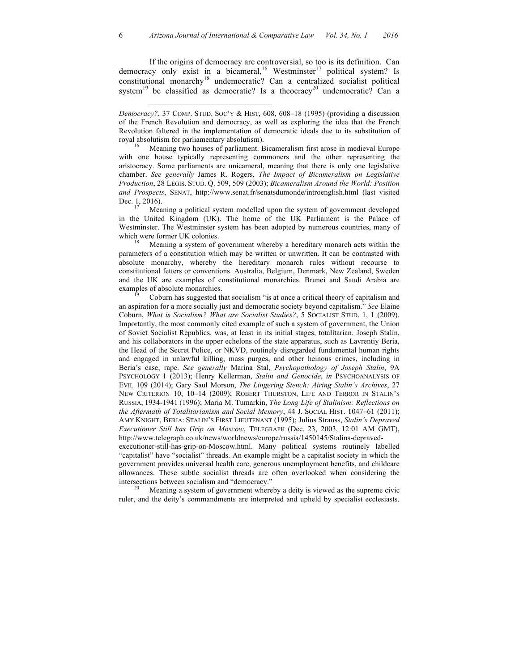If the origins of democracy are controversial, so too is its definition. Can democracy only exist in a bicameral,<sup>16</sup> Westminster<sup>17</sup> political system? Is constitutional monarchy<sup>18</sup> undemocratic? Can a centralized socialist political system<sup>19</sup> be classified as democratic? Is a theocracy<sup>20</sup> undemocratic? Can a

 $\overline{a}$ 

with one house typically representing commoners and the other representing the aristocracy. Some parliaments are unicameral, meaning that there is only one legislative chamber. *See generally* James R. Rogers, *The Impact of Bicameralism on Legislative Production*, 28 LEGIS. STUD. Q. 509, 509 (2003); *Bicameralism Around the World: Position and Prospects*, SENAT, http://www.senat.fr/senatsdumonde/introenglish.html (last visited Dec. 1, 2016).<br><sup>17</sup> Meaning a political system modelled upon the system of government developed

in the United Kingdom (UK). The home of the UK Parliament is the Palace of Westminster. The Westminster system has been adopted by numerous countries, many of which were former UK colonies.<br><sup>18</sup> Meaning a system of government whereby a hereditary monarch acts within the

parameters of a constitution which may be written or unwritten. It can be contrasted with absolute monarchy, whereby the hereditary monarch rules without recourse to constitutional fetters or conventions. Australia, Belgium, Denmark, New Zealand, Sweden and the UK are examples of constitutional monarchies. Brunei and Saudi Arabia are examples of absolute monarchies.<br><sup>19</sup> Coburn has suggested that socialism "is at once a critical theory of capitalism and

an aspiration for a more socially just and democratic society beyond capitalism." *See* Elaine Coburn, *What is Socialism? What are Socialist Studies?*, 5 SOCIALIST STUD. 1, 1 (2009). Importantly, the most commonly cited example of such a system of government, the Union of Soviet Socialist Republics, was, at least in its initial stages, totalitarian. Joseph Stalin, and his collaborators in the upper echelons of the state apparatus, such as Lavrentiy Beria, the Head of the Secret Police, or NKVD, routinely disregarded fundamental human rights and engaged in unlawful killing, mass purges, and other heinous crimes, including in Beria's case, rape. *See generally* Marina Stal, *Psychopathology of Joseph Stalin*, 9A PSYCHOLOGY 1 (2013); Henry Kellerman, *Stalin and Genocide*, *in* PSYCHOANALYSIS OF EVIL 109 (2014); Gary Saul Morson, *The Lingering Stench: Airing Stalin's Archives*, 27 NEW CRITERION 10, 10–14 (2009); ROBERT THURSTON, LIFE AND TERROR IN STALIN'S RUSSIA, 1934-1941 (1996); Maria M. Tumarkin, *The Long Life of Stalinism: Reflections on the Aftermath of Totalitarianism and Social Memory*, 44 J. SOCIAL HIST. 1047–61 (2011); AMY KNIGHT, BERIA: STALIN'S FIRST LIEUTENANT (1995); Julius Strauss, *Stalin's Depraved Executioner Still has Grip on Moscow*, TELEGRAPH (Dec. 23, 2003, 12:01 AM GMT), http://www.telegraph.co.uk/news/worldnews/europe/russia/1450145/Stalins-depraved-

executioner-still-has-grip-on-Moscow.html. Many political systems routinely labelled "capitalist" have "socialist" threads. An example might be a capitalist society in which the government provides universal health care, generous unemployment benefits, and childcare allowances. These subtle socialist threads are often overlooked when considering the intersections between socialism and "democracy." 20 Meaning a system of government whereby a deity is viewed as the supreme civic

ruler, and the deity's commandments are interpreted and upheld by specialist ecclesiasts.

*Democracy?*, 37 COMP. STUD. SOC'Y & HIST, 608, 608–18 (1995) (providing a discussion of the French Revolution and democracy, as well as exploring the idea that the French Revolution faltered in the implementation of democratic ideals due to its substitution of royal absolutism for parliamentary absolutism). 16 Meaning two houses of parliament. Bicameralism first arose in medieval Europe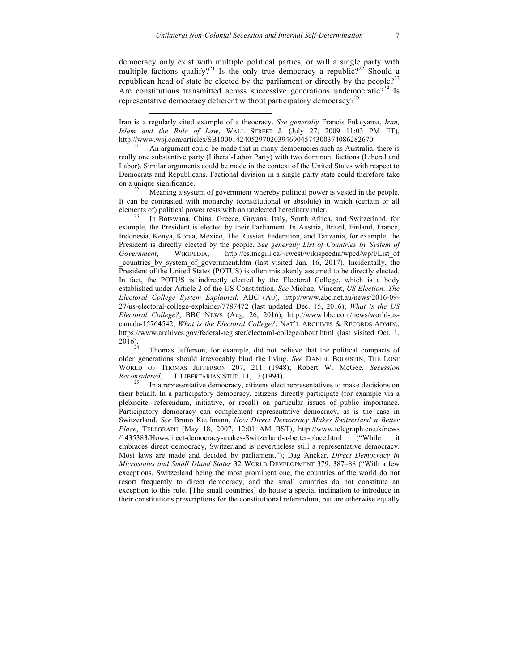democracy only exist with multiple political parties, or will a single party with multiple factions qualify?<sup>21</sup> Is the only true democracy a republic?<sup>22</sup> Should a republican head of state be elected by the parliament or directly by the people?<sup>23</sup> Are constitutions transmitted across successive generations undemocratic?<sup>24</sup> Is representative democracy deficient without participatory democracy?<sup>25</sup>

Iran is a regularly cited example of a theocracy. *See generally* Francis Fukuyama, *Iran, Islam and the Rule of Law*, WALL STREET J. (July 27, 2009 11:03 PM ET), http://www.wsj.com/articles/SB10001424052970203946904574300374086282670.

 $\overline{a}$ 

An argument could be made that in many democracies such as Australia, there is really one substantive party (Liberal-Labor Party) with two dominant factions (Liberal and Labor). Similar arguments could be made in the context of the United States with respect to Democrats and Republicans. Factional division in a single party state could therefore take on a unique significance.<br><sup>22</sup> Meaning a system of government whereby political power is vested in the people.

It can be contrasted with monarchy (constitutional or absolute) in which (certain or all elements of) political power rests with an unelected hereditary ruler.<br><sup>23</sup> In Botswana, China, Greece, Guyana, Italy, South Africa, and Switzerland, for

example, the President is elected by their Parliament. In Austria, Brazil, Finland, France, Indonesia, Kenya, Korea, Mexico, The Russian Federation, and Tanzania, for example, the President is directly elected by the people. *See generally List of Countries by System of Government*, WIKIPEDIA, http://cs.mcgill.ca/~rwest/wikispeedia/wpcd/wp/l/List\_of countries by system of government.htm (last visited Jan. 16, 2017). Incidentally, the President of the United States (POTUS) is often mistakenly assumed to be directly elected. In fact, the POTUS is indirectly elected by the Electoral College, which is a body established under Article 2 of the US Constitution. *See* Michael Vincent, *US Election: The Electoral College System Explained*, ABC (AU), http://www.abc.net.au/news/2016-09- 27/us-electoral-college-explainer/7787472 (last updated Dec. 15, 2016); *What is the US Electoral College?*, BBC NEWS (Aug. 26, 2016), http://www.bbc.com/news/world-uscanada-15764542; *What is the Electoral College?*, NAT'L ARCHIVES & RECORDS ADMIN., https://www.archives.gov/federal-register/electoral-college/about.html (last visited Oct. 1,

Thomas Jefferson, for example, did not believe that the political compacts of older generations should irrevocably bind the living. *See* DANIEL BOORSTIN, THE LOST WORLD OF THOMAS JEFFERSON 207, 211 (1948); Robert W. McGee, *Secession Reconsidered*, 11 J. LIBERTARIAN STUD. 11, 17 (1994).<br><sup>25</sup> In a representative democracy, citizens elect representatives to make decisions on

their behalf. In a participatory democracy, citizens directly participate (for example via a plebiscite, referendum, initiative, or recall) on particular issues of public importance. Participatory democracy can complement representative democracy, as is the case in Switzerland. *See* Bruno Kaufmann, *How Direct Democracy Makes Switzerland a Better Place*, TELEGRAPH (May 18, 2007, 12:01 AM BST), http://www.telegraph.co.uk/news /1435383/How-direct-democracy-makes-Switzerland-a-better-place.html ("While it embraces direct democracy, Switzerland is nevertheless still a representative democracy. Most laws are made and decided by parliament."); Dag Anckar, *Direct Democracy in Microstates and Small Island States* 32 WORLD DEVELOPMENT 379, 387–88 ("With a few exceptions, Switzerland being the most prominent one, the countries of the world do not resort frequently to direct democracy, and the small countries do not constitute an exception to this rule. [The small countries] do house a special inclination to introduce in their constitutions prescriptions for the constitutional referendum, but are otherwise equally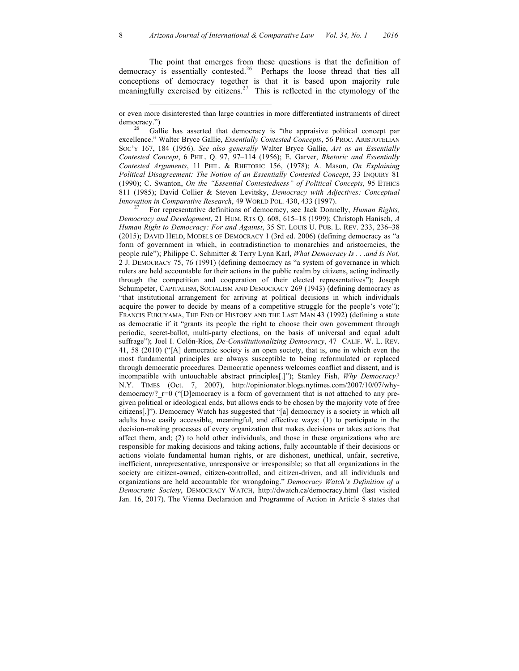The point that emerges from these questions is that the definition of democracy is essentially contested.<sup>26</sup> Perhaps the loose thread that ties all conceptions of democracy together is that it is based upon majority rule meaningfully exercised by citizens.<sup>27</sup> This is reflected in the etymology of the

 $\overline{\phantom{a}}$ 

democracy.")<br> $26$  Gallie has asserted that democracy is "the appraisive political concept par excellence." Walter Bryce Gallie, *Essentially Contested Concepts*, 56 PROC. ARISTOTELIAN SOC'Y 167, 184 (1956). *See also generally* Walter Bryce Gallie, *Art as an Essentially Contested Concept*, 6 PHIL. Q. 97, 97–114 (1956); E. Garver, *Rhetoric and Essentially Contested Arguments*, 11 PHIL. & RHETORIC 156, (1978); A. Mason, *On Explaining Political Disagreement: The Notion of an Essentially Contested Concept*, 33 INQUIRY 81 (1990); C. Swanton, *On the "Essential Contestedness" of Political Concepts*, 95 ETHICS 811 (1985); David Collier & Steven Levitsky, *Democracy with Adjectives: Conceptual* 

*Innovation in Comparative Research*, 49 WORLD POL. 430, 433 (1997).<br><sup>27</sup> For representative definitions of democracy, see Jack Donnelly, *Human Rights*, *Democracy and Development*, 21 HUM. RTS Q. 608, 615–18 (1999); Christoph Hanisch, *A Human Right to Democracy: For and Against*, 35 ST. LOUIS U. PUB. L. REV. 233, 236–38 (2015); DAVID HELD, MODELS OF DEMOCRACY 1 (3rd ed. 2006) (defining democracy as "a form of government in which, in contradistinction to monarchies and aristocracies, the people rule"); Philippe C. Schmitter & Terry Lynn Karl, *What Democracy Is . . .and Is Not,*  2 J. DEMOCRACY 75, 76 (1991) (defining democracy as "a system of governance in which rulers are held accountable for their actions in the public realm by citizens, acting indirectly through the competition and cooperation of their elected representatives"); Joseph Schumpeter, CAPITALISM, SOCIALISM AND DEMOCRACY 269 (1943) (defining democracy as "that institutional arrangement for arriving at political decisions in which individuals acquire the power to decide by means of a competitive struggle for the people's vote"); FRANCIS FUKUYAMA, THE END OF HISTORY AND THE LAST MAN 43 (1992) (defining a state as democratic if it "grants its people the right to choose their own government through periodic, secret-ballot, multi-party elections, on the basis of universal and equal adult suffrage"); Joel I. Colón-Ríos, *De-Constitutionalizing Democracy*, 47 CALIF. W. L. REV. 41, 58 (2010) ("[A] democratic society is an open society, that is, one in which even the most fundamental principles are always susceptible to being reformulated or replaced through democratic procedures. Democratic openness welcomes conflict and dissent, and is incompatible with untouchable abstract principles[.]"); Stanley Fish, *Why Democracy?* N.Y. TIMES (Oct. 7, 2007), http://opinionator.blogs.nytimes.com/2007/10/07/whydemocracy/?  $r=0$  ("[D]emocracy is a form of government that is not attached to any pregiven political or ideological ends, but allows ends to be chosen by the majority vote of free citizens[.]"). Democracy Watch has suggested that "[a] democracy is a society in which all adults have easily accessible, meaningful, and effective ways: (1) to participate in the decision-making processes of every organization that makes decisions or takes actions that affect them, and; (2) to hold other individuals, and those in these organizations who are responsible for making decisions and taking actions, fully accountable if their decisions or actions violate fundamental human rights, or are dishonest, unethical, unfair, secretive, inefficient, unrepresentative, unresponsive or irresponsible; so that all organizations in the society are citizen-owned, citizen-controlled, and citizen-driven, and all individuals and organizations are held accountable for wrongdoing." *Democracy Watch's Definition of a Democratic Society*, DEMOCRACY WATCH, http://dwatch.ca/democracy.html (last visited Jan. 16, 2017). The Vienna Declaration and Programme of Action in Article 8 states that

or even more disinterested than large countries in more differentiated instruments of direct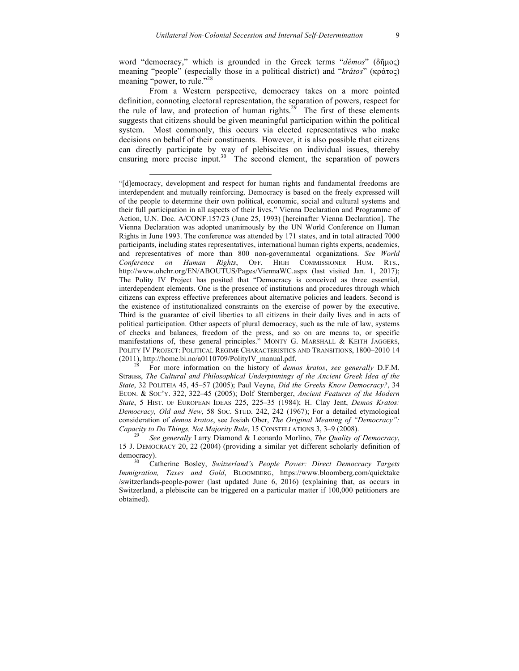word "democracy," which is grounded in the Greek terms "*dêmos*" (δῆµος) meaning "people" (especially those in a political district) and "*krátos*" (κράτος) meaning "power, to rule."<sup>28</sup>

From a Western perspective, democracy takes on a more pointed definition, connoting electoral representation, the separation of powers, respect for the rule of law, and protection of human rights.<sup>29</sup> The first of these elements suggests that citizens should be given meaningful participation within the political system. Most commonly, this occurs via elected representatives who make decisions on behalf of their constituents. However, it is also possible that citizens can directly participate by way of plebiscites on individual issues, thereby ensuring more precise input.<sup>30</sup> The second element, the separation of powers

 $\overline{a}$ 

Strauss, *The Cultural and Philosophical Underpinnings of the Ancient Greek Idea of the State*, 32 POLITEIA 45, 45–57 (2005); Paul Veyne, *Did the Greeks Know Democracy?*, 34 ECON. & SOC'Y. 322, 322–45 (2005); Dolf Sternberger, *Ancient Features of the Modern State*, 5 HIST. OF EUROPEAN IDEAS 225, 225–35 (1984); H. Clay Jent, *Demos Kratos: Democracy, Old and New*, 58 SOC. STUD. 242, 242 (1967); For a detailed etymological consideration of *demos kratos*, see Josiah Ober, *The Original Meaning of "Democracy": Capacity to Do Things, Not Majority Rule*, 15 CONSTELLATIONS 3, 3–9 (2008). <sup>29</sup> *See generally* Larry Diamond & Leonardo Morlino, *The Quality of Democracy*,

15 J. DEMOCRACY 20, 22 (2004) (providing a similar yet different scholarly definition of democracy). <sup>30</sup> Catherine Bosley, *Switzerland's People Power: Direct Democracy Targets* 

*Immigration, Taxes and Gold*, BLOOMBERG, https://www.bloomberg.com/quicktake /switzerlands-people-power (last updated June 6, 2016) (explaining that, as occurs in Switzerland, a plebiscite can be triggered on a particular matter if 100,000 petitioners are obtained).

<sup>&</sup>quot;[d]emocracy, development and respect for human rights and fundamental freedoms are interdependent and mutually reinforcing. Democracy is based on the freely expressed will of the people to determine their own political, economic, social and cultural systems and their full participation in all aspects of their lives." Vienna Declaration and Programme of Action, U.N. Doc. A/CONF.157/23 (June 25, 1993) [hereinafter Vienna Declaration]. The Vienna Declaration was adopted unanimously by the UN World Conference on Human Rights in June 1993. The conference was attended by 171 states, and in total attracted 7000 participants, including states representatives, international human rights experts, academics, and representatives of more than 800 non-governmental organizations. *See World Conference on Human Rights*, OFF. HIGH COMMISSIONER HUM. RTS., http://www.ohchr.org/EN/ABOUTUS/Pages/ViennaWC.aspx (last visited Jan. 1, 2017); The Polity IV Project has posited that "Democracy is conceived as three essential, interdependent elements. One is the presence of institutions and procedures through which citizens can express effective preferences about alternative policies and leaders. Second is the existence of institutionalized constraints on the exercise of power by the executive. Third is the guarantee of civil liberties to all citizens in their daily lives and in acts of political participation. Other aspects of plural democracy, such as the rule of law, systems of checks and balances, freedom of the press, and so on are means to, or specific manifestations of, these general principles." MONTY G. MARSHALL & KEITH JAGGERS, POLITY IV PROJECT: POLITICAL REGIME CHARACTERISTICS AND TRANSITIONS, 1800–2010 14 (2011), http://home.bi.no/a0110709/PolityIV\_manual.pdf. <sup>28</sup> For more information on the history of *demos kratos*, *see generally* D.F.M.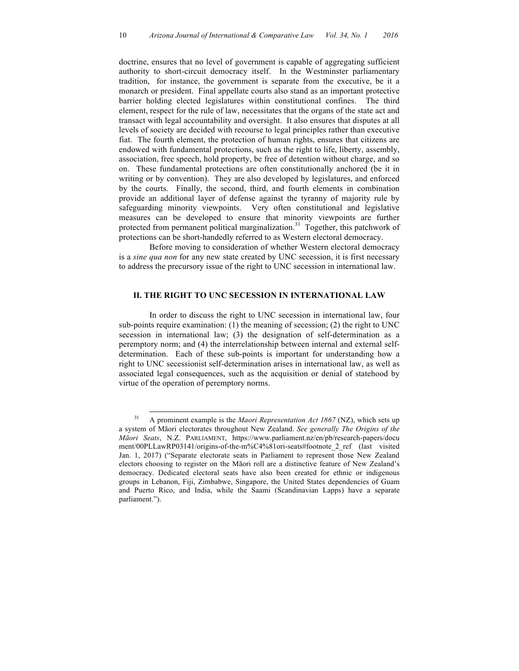doctrine, ensures that no level of government is capable of aggregating sufficient authority to short-circuit democracy itself. In the Westminster parliamentary tradition, for instance, the government is separate from the executive, be it a monarch or president. Final appellate courts also stand as an important protective barrier holding elected legislatures within constitutional confines. The third element, respect for the rule of law, necessitates that the organs of the state act and transact with legal accountability and oversight. It also ensures that disputes at all levels of society are decided with recourse to legal principles rather than executive fiat. The fourth element, the protection of human rights, ensures that citizens are endowed with fundamental protections, such as the right to life, liberty, assembly, association, free speech, hold property, be free of detention without charge, and so on. These fundamental protections are often constitutionally anchored (be it in writing or by convention). They are also developed by legislatures, and enforced by the courts. Finally, the second, third, and fourth elements in combination provide an additional layer of defense against the tyranny of majority rule by safeguarding minority viewpoints. Very often constitutional and legislative measures can be developed to ensure that minority viewpoints are further protected from permanent political marginalization.<sup>31</sup> Together, this patchwork of protections can be short-handedly referred to as Western electoral democracy.

Before moving to consideration of whether Western electoral democracy is a *sine qua non* for any new state created by UNC secession, it is first necessary to address the precursory issue of the right to UNC secession in international law.

## **II. THE RIGHT TO UNC SECESSION IN INTERNATIONAL LAW**

In order to discuss the right to UNC secession in international law, four sub-points require examination: (1) the meaning of secession; (2) the right to UNC secession in international law; (3) the designation of self-determination as a peremptory norm; and (4) the interrelationship between internal and external selfdetermination. Each of these sub-points is important for understanding how a right to UNC secessionist self-determination arises in international law, as well as associated legal consequences, such as the acquisition or denial of statehood by virtue of the operation of peremptory norms.

 <sup>31</sup> A prominent example is the *Maori Representation Act 1867* (NZ), which sets up a system of Māori electorates throughout New Zealand. *See generally The Origins of the Māori Seats*, N.Z. PARLIAMENT, https://www.parliament.nz/en/pb/research-papers/docu ment/00PLLawRP03141/origins-of-the-m%C4%81ori-seats#footnote\_2\_ref (last visited Jan. 1, 2017) ("Separate electorate seats in Parliament to represent those New Zealand electors choosing to register on the Māori roll are a distinctive feature of New Zealand's democracy. Dedicated electoral seats have also been created for ethnic or indigenous groups in Lebanon, Fiji, Zimbabwe, Singapore, the United States dependencies of Guam and Puerto Rico, and India, while the Saami (Scandinavian Lapps) have a separate parliament.").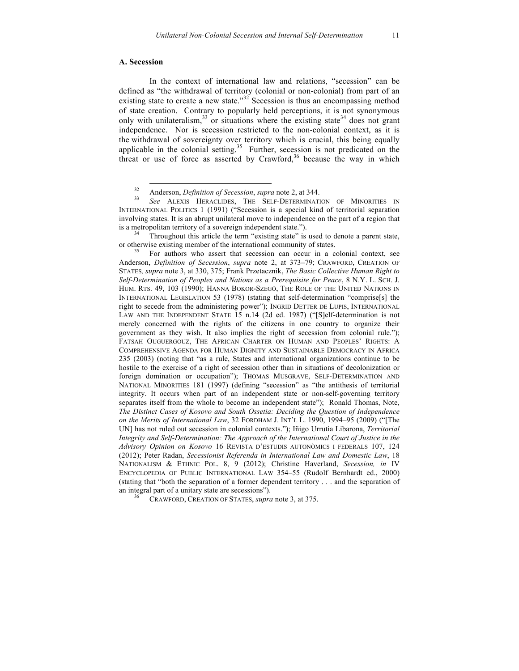## **A. Secession**

In the context of international law and relations, "secession" can be defined as "the withdrawal of territory (colonial or non-colonial) from part of an existing state to create a new state." $32^{\circ}$  Secession is thus an encompassing method of state creation. Contrary to popularly held perceptions, it is not synonymous only with unilateralism, $33$  or situations where the existing state  $34$  does not grant independence. Nor is secession restricted to the non-colonial context, as it is the withdrawal of sovereignty over territory which is crucial, this being equally applicable in the colonial setting.<sup>35</sup> Further, secession is not predicated on the threat or use of force as asserted by Crawford,<sup>36</sup> because the way in which

or otherwise existing member of the international community of states.<br><sup>35</sup> For authors who assert that secession can occur in a colonial context, see

Anderson, *Definition of Secession*, *supra* note 2, at 373–79; CRAWFORD, CREATION OF STATES*, supra* note 3, at 330, 375; Frank Przetacznik, *The Basic Collective Human Right to Self-Determination of Peoples and Nations as a Prerequisite for Peace*, 8 N.Y. L. SCH. J. HUM. RTS. 49, 103 (1990); HANNA BOKOR-SZEGÖ, THE ROLE OF THE UNITED NATIONS IN INTERNATIONAL LEGISLATION 53 (1978) (stating that self-determination "comprise[s] the right to secede from the administering power"); INGRID DETTER DE LUPIS, INTERNATIONAL LAW AND THE INDEPENDENT STATE 15 n.14 (2d ed. 1987) ("[S]elf-determination is not merely concerned with the rights of the citizens in one country to organize their government as they wish. It also implies the right of secession from colonial rule."); FATSAH OUGUERGOUZ, THE AFRICAN CHARTER ON HUMAN AND PEOPLES' RIGHTS: A COMPREHENSIVE AGENDA FOR HUMAN DIGNITY AND SUSTAINABLE DEMOCRACY IN AFRICA 235 (2003) (noting that "as a rule, States and international organizations continue to be hostile to the exercise of a right of secession other than in situations of decolonization or foreign domination or occupation"); THOMAS MUSGRAVE, SELF-DETERMINATION AND NATIONAL MINORITIES 181 (1997) (defining "secession" as "the antithesis of territorial integrity. It occurs when part of an independent state or non-self-governing territory separates itself from the whole to become an independent state"); Ronald Thomas, Note, *The Distinct Cases of Kosovo and South Ossetia: Deciding the Question of Independence on the Merits of International Law*, 32 FORDHAM J. INT'L L. 1990, 1994–95 (2009) ("[The UN] has not ruled out secession in colonial contexts."); Iñigo Urrutia Libarona, *Territorial Integrity and Self-Determination: The Approach of the International Court of Justice in the Advisory Opinion on Kosovo* 16 REVISTA D'ESTUDIS AUTONÒMICS I FEDERALS 107, 124 (2012); Peter Radan, *Secessionist Referenda in International Law and Domestic Law*, 18 NATIONALISM & ETHNIC POL. 8, 9 (2012); Christine Haverland, *Secession, in* IV ENCYCLOPEDIA OF PUBLIC INTERNATIONAL LAW 354–55 (Rudolf Bernhardt ed., 2000) (stating that "both the separation of a former dependent territory . . . and the separation of an integral part of a unitary state are secessions").

CRAWFORD, CREATION OF STATES, *supra* note 3, at 375.

<sup>32</sup> Anderson, *Definition of Secession*, *supra* note 2, at 344. <sup>33</sup> *See* ALEXIS HERACLIDES, THE SELF-DETERMINATION OF MINORITIES IN INTERNATIONAL POLITICS 1 (1991) ("Secession is a special kind of territorial separation involving states. It is an abrupt unilateral move to independence on the part of a region that is a metropolitan territory of a sovereign independent state.").<br><sup>34</sup> Throughout this article the term "existing state" is used to denote a parent state,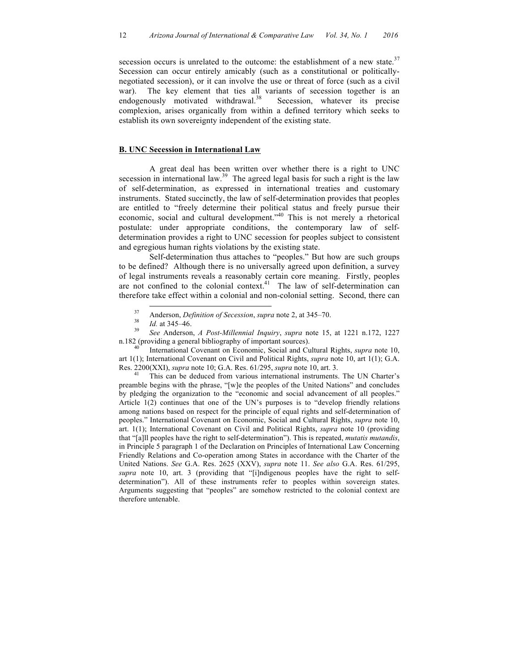secession occurs is unrelated to the outcome: the establishment of a new state.<sup>37</sup> Secession can occur entirely amicably (such as a constitutional or politicallynegotiated secession), or it can involve the use or threat of force (such as a civil war). The key element that ties all variants of secession together is an endogenously motivated withdrawal.<sup>38</sup> Secession, whatever its precise complexion, arises organically from within a defined territory which seeks to establish its own sovereignty independent of the existing state.

#### **B. UNC Secession in International Law**

A great deal has been written over whether there is a right to UNC secession in international law.<sup>39</sup> The agreed legal basis for such a right is the law of self-determination, as expressed in international treaties and customary instruments. Stated succinctly, the law of self-determination provides that peoples are entitled to "freely determine their political status and freely pursue their economic, social and cultural development."<sup>40</sup> This is not merely a rhetorical postulate: under appropriate conditions, the contemporary law of selfdetermination provides a right to UNC secession for peoples subject to consistent and egregious human rights violations by the existing state.

Self-determination thus attaches to "peoples." But how are such groups to be defined? Although there is no universally agreed upon definition, a survey of legal instruments reveals a reasonably certain core meaning. Firstly, peoples are not confined to the colonial context.<sup>41</sup> The law of self-determination can therefore take effect within a colonial and non-colonial setting. Second, there can

art 1(1); International Covenant on Civil and Political Rights, *supra* note 10, art 1(1); G.A. Res. 2200(XXI), *supra* note 10; G.A. Res. 61/295, *supra* note 10, art. 3. <sup>41</sup> This can be deduced from various international instruments. The UN Charter's

preamble begins with the phrase, "[w]e the peoples of the United Nations" and concludes by pledging the organization to the "economic and social advancement of all peoples." Article 1(2) continues that one of the UN's purposes is to "develop friendly relations among nations based on respect for the principle of equal rights and self-determination of peoples." International Covenant on Economic, Social and Cultural Rights, *supra* note 10, art. 1(1); International Covenant on Civil and Political Rights, *supra* note 10 (providing that "[a]ll peoples have the right to self-determination"). This is repeated, *mutatis mutandis*, in Principle 5 paragraph 1 of the Declaration on Principles of International Law Concerning Friendly Relations and Co-operation among States in accordance with the Charter of the United Nations. *See* G.A. Res. 2625 (XXV), *supra* note 11. *See also* G.A. Res. 61/295, *supra* note 10, art. 3 (providing that "[i]ndigenous peoples have the right to selfdetermination"). All of these instruments refer to peoples within sovereign states. Arguments suggesting that "peoples" are somehow restricted to the colonial context are therefore untenable.

<sup>37</sup> Anderson, *Definition of Secession*, *supra* note 2, at 345–70. <sup>38</sup> *Id.* at 345–46. <sup>39</sup> *See* Anderson, *A Post-Millennial Inquiry*, *supra* note 15, at 1221 n.172, 1227 n.182 (providing a general bibliography of important sources). <sup>40</sup> International Covenant on Economic, Social and Cultural Rights, *supra* note 10,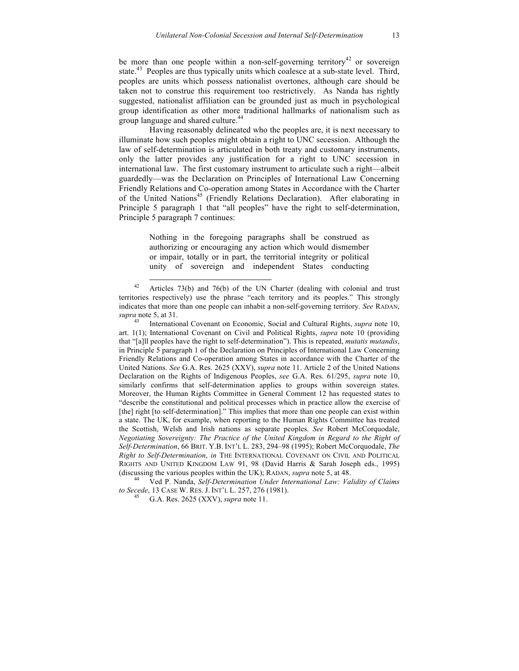be more than one people within a non-self-governing territory<sup>42</sup> or sovereign state.<sup>43</sup> Peoples are thus typically units which coalesce at a sub-state level. Third, peoples are units which possess nationalist overtones, although care should be taken not to construe this requirement too restrictively. As Nanda has rightly suggested, nationalist affiliation can be grounded just as much in psychological group identification as other more traditional hallmarks of nationalism such as group language and shared culture.<sup>44</sup>

Having reasonably delineated who the peoples are, it is next necessary to illuminate how such peoples might obtain a right to UNC secession. Although the law of self-determination is articulated in both treaty and customary instruments, only the latter provides any justification for a right to UNC secession in international law. The first customary instrument to articulate such a right—albeit guardedly—was the Declaration on Principles of International Law Concerning Friendly Relations and Co-operation among States in Accordance with the Charter of the United Nations<sup>45</sup> (Friendly Relations Declaration). After elaborating in Principle 5 paragraph 1 that "all peoples" have the right to self-determination, Principle 5 paragraph 7 continues:

> Nothing in the foregoing paragraphs shall be construed as authorizing or encouraging any action which would dismember or impair, totally or in part, the territorial integrity or political unity of sovereign and independent States conducting

*to Secede*, 13 CASE W. RES. J. INT'L L. 257, 276 (1981). 45 G.A. Res. 2625 (XXV), *supra* note 11.

 $42$  Articles 73(b) and 76(b) of the UN Charter (dealing with colonial and trust territories respectively) use the phrase "each territory and its peoples." This strongly indicates that more than one people can inhabit a non-self-governing territory. *See* RADAN, *supra* note 5, at 31.

<sup>43</sup> International Covenant on Economic, Social and Cultural Rights, *supra* note 10, art. 1(1); International Covenant on Civil and Political Rights, *supra* note 10 (providing that "[a]ll peoples have the right to self-determination"). This is repeated, *mutatis mutandis*, in Principle 5 paragraph 1 of the Declaration on Principles of International Law Concerning Friendly Relations and Co-operation among States in accordance with the Charter of the United Nations. *See* G.A. Res. 2625 (XXV), *supra* note 11. Article 2 of the United Nations Declaration on the Rights of Indigenous Peoples, *see* G.A. Res. 61/295, *supra* note 10, similarly confirms that self-determination applies to groups within sovereign states. Moreover, the Human Rights Committee in General Comment 12 has requested states to "describe the constitutional and political processes which in practice allow the exercise of [the] right [to self-determination]." This implies that more than one people can exist within a state. The UK, for example, when reporting to the Human Rights Committee has treated the Scottish, Welsh and Irish nations as separate peoples. *See* Robert McCorquodale, *Negotiating Sovereignty: The Practice of the United Kingdom in Regard to the Right of Self-Determination*, 66 BRIT. Y.B. INT'L L. 283, 294–98 (1995); Robert McCorquodale, *The Right to Self-Determination*, *in* THE INTERNATIONAL COVENANT ON CIVIL AND POLITICAL RIGHTS AND UNITED KINGDOM LAW 91, 98 (David Harris & Sarah Joseph eds., 1995) (discussing the various peoples within the UK); RADAN, *supra* note 5, at 48. 44 Ved P. Nanda, *Self-Determination Under International Law: Validity of Claims*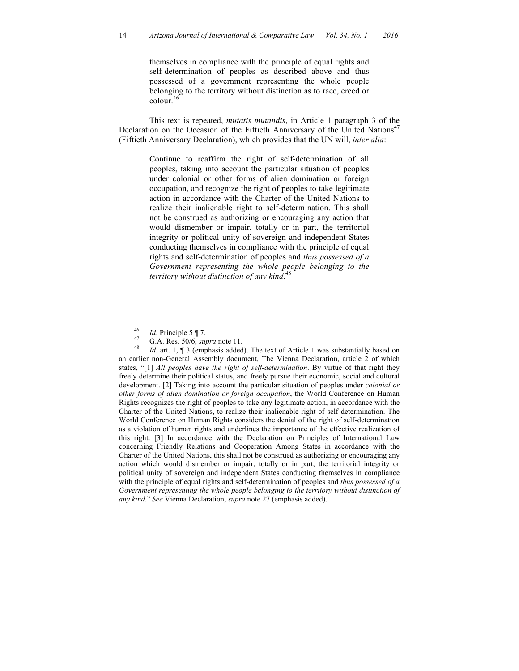themselves in compliance with the principle of equal rights and self-determination of peoples as described above and thus possessed of a government representing the whole people belonging to the territory without distinction as to race, creed or  $\text{colour.}^{46}$ 

This text is repeated, *mutatis mutandis*, in Article 1 paragraph 3 of the Declaration on the Occasion of the Fiftieth Anniversary of the United Nations<sup>47</sup> (Fiftieth Anniversary Declaration), which provides that the UN will, *inter alia*:

> Continue to reaffirm the right of self-determination of all peoples, taking into account the particular situation of peoples under colonial or other forms of alien domination or foreign occupation, and recognize the right of peoples to take legitimate action in accordance with the Charter of the United Nations to realize their inalienable right to self-determination. This shall not be construed as authorizing or encouraging any action that would dismember or impair, totally or in part, the territorial integrity or political unity of sovereign and independent States conducting themselves in compliance with the principle of equal rights and self-determination of peoples and *thus possessed of a Government representing the whole people belonging to the territory without distinction of any kind*. 48

<sup>46</sup> *Id*. Principle 5 ¶ 7.<br><sup>47</sup> G.A. Res. 50/6, *supra* note 11.<br><sup>48</sup> *Id.* art. 1, ¶ 3 (emphasis added). The text of Article 1 was substantially based on an earlier non-General Assembly document, The Vienna Declaration, article 2 of which states, "[1] *All peoples have the right of self-determination*. By virtue of that right they freely determine their political status, and freely pursue their economic, social and cultural development. [2] Taking into account the particular situation of peoples under *colonial or other forms of alien domination or foreign occupation*, the World Conference on Human Rights recognizes the right of peoples to take any legitimate action, in accordance with the Charter of the United Nations, to realize their inalienable right of self-determination. The World Conference on Human Rights considers the denial of the right of self-determination as a violation of human rights and underlines the importance of the effective realization of this right. [3] In accordance with the Declaration on Principles of International Law concerning Friendly Relations and Cooperation Among States in accordance with the Charter of the United Nations, this shall not be construed as authorizing or encouraging any action which would dismember or impair, totally or in part, the territorial integrity or political unity of sovereign and independent States conducting themselves in compliance with the principle of equal rights and self-determination of peoples and *thus possessed of a Government representing the whole people belonging to the territory without distinction of any kind*." *See* Vienna Declaration, *supra* note 27 (emphasis added).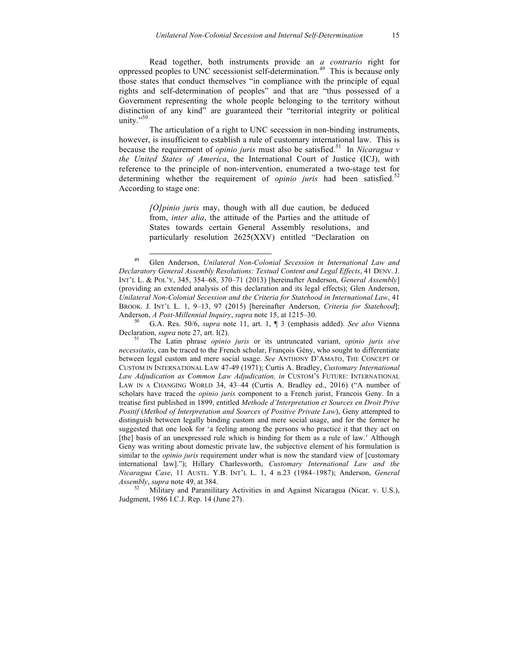Read together, both instruments provide an *a contrario* right for oppressed peoples to UNC secessionist self-determination. 49 This is because only those states that conduct themselves "in compliance with the principle of equal rights and self-determination of peoples" and that are "thus possessed of a Government representing the whole people belonging to the territory without distinction of any kind" are guaranteed their "territorial integrity or political unity." $50$ 

The articulation of a right to UNC secession in non-binding instruments, however, is insufficient to establish a rule of customary international law. This is because the requirement of *opinio juris* must also be satisfied. 51 In *Nicaragua v the United States of America*, the International Court of Justice (ICJ), with reference to the principle of non-intervention, enumerated a two-stage test for determining whether the requirement of *opinio juris* had been satisfied.<sup>52</sup> According to stage one:

> *[O]pinio juris* may, though with all due caution, be deduced from, *inter alia*, the attitude of the Parties and the attitude of States towards certain General Assembly resolutions, and particularly resolution 2625(XXV) entitled "Declaration on

 <sup>49</sup> Glen Anderson, *Unilateral Non-Colonial Secession in International Law and Declaratory General Assembly Resolutions: Textual Content and Legal Effects*, 41 DENV. J. INT'L L. & POL'Y, 345, 354–68, 370–71 (2013) [hereinafter Anderson, *General Assembly*] (providing an extended analysis of this declaration and its legal effects); Glen Anderson, *Unilateral Non-Colonial Secession and the Criteria for Statehood in International Law*, 41 BROOK. J. INT'L L. 1, 9–13, 97 (2015) [hereinafter Anderson, *Criteria for Statehood*]; Anderson, *A Post-Millennial Inquiry*, *supra* note 15, at 1215–30.<br><sup>50</sup> G.A. Res. 50/6, *supra* note 11, art. 1, ¶ 3 (emphasis added). *See also* Vienna

Declaration, *supra* note 27, art. I(2).<br><sup>51</sup> The Latin phrase *opinio juris* or its untruncated variant, *opinio juris sive* 

*necessitatis*, can be traced to the French scholar, François Gény, who sought to differentiate between legal custom and mere social usage. *See* ANTHONY D'AMATO, THE CONCEPT OF CUSTOM IN INTERNATIONAL LAW 47-49 (1971); Curtis A. Bradley, *Customary International Law Adjudication as Common Law Adjudication, in* CUSTOM'S FUTURE: INTERNATIONAL LAW IN A CHANGING WORLD 34, 43–44 (Curtis A. Bradley ed., 2016) ("A number of scholars have traced the *opinio juris* component to a French jurist, Francois Geny. In a treatise first published in 1899, entitled *Methode d'Interpretation et Sources en Droit Prive Positif* (*Method of Interpretation and Sources of Positive Private Law*), Geny attempted to distinguish between legally binding custom and mere social usage, and for the former he suggested that one look for 'a feeling among the persons who practice it that they act on [the] basis of an unexpressed rule which is binding for them as a rule of law.' Although Geny was writing about domestic private law, the subjective element of his formulation is similar to the *opinio juris* requirement under what is now the standard view of [customary international law]."); Hillary Charlesworth, *Customary International Law and the Nicaragua Case*, 11 AUSTL. Y.B. INT'L L. 1, 4 n.23 (1984–1987); Anderson, *General Assembly, supra* note 49, at 384.<br><sup>52</sup> Military and Paramilitary Activities in and Against Nicaragua (Nicar. v. U.S.),

Judgment, 1986 I.C.J. Rep. 14 (June 27).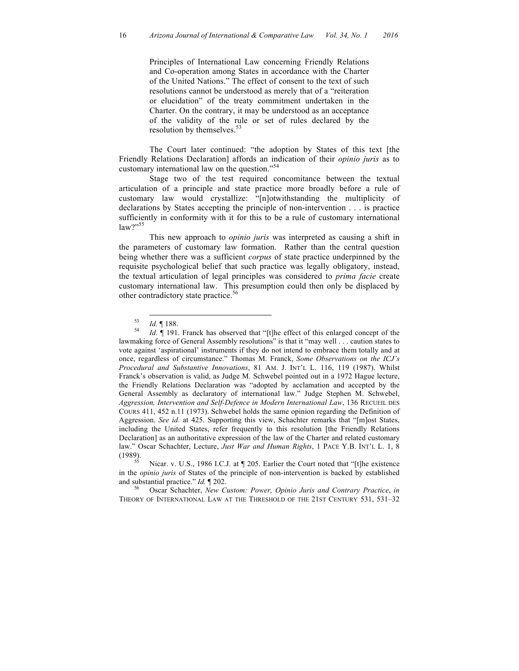Principles of International Law concerning Friendly Relations and Co-operation among States in accordance with the Charter of the United Nations." The effect of consent to the text of such resolutions cannot be understood as merely that of a "reiteration or elucidation" of the treaty commitment undertaken in the Charter. On the contrary, it may be understood as an acceptance of the validity of the rule or set of rules declared by the resolution by themselves.<sup>53</sup>

The Court later continued: "the adoption by States of this text [the Friendly Relations Declaration] affords an indication of their *opinio juris* as to customary international law on the question."<sup>54</sup>

Stage two of the test required concomitance between the textual articulation of a principle and state practice more broadly before a rule of customary law would crystallize: "[n]otwithstanding the multiplicity of declarations by States accepting the principle of non-intervention . . . is practice sufficiently in conformity with it for this to be a rule of customary international  $law?$ <sup>55</sup>

This new approach to *opinio juris* was interpreted as causing a shift in the parameters of customary law formation. Rather than the central question being whether there was a sufficient *corpus* of state practice underpinned by the requisite psychological belief that such practice was legally obligatory, instead, the textual articulation of legal principles was considered to *prima facie* create customary international law. This presumption could then only be displaced by other contradictory state practice. 56

in the *opinio juris* of States of the principle of non-intervention is backed by established and substantial practice." *Id.*  $\P$  202.<br><sup>56</sup> Oscar Schachter, *New Custom: Power, Opinio Juris and Contrary Practice*, *in* 

THEORY OF INTERNATIONAL LAW AT THE THRESHOLD OF THE 21ST CENTURY 531, 531–32

<sup>53</sup> *Id.* ¶ 188. <sup>54</sup> *Id.* ¶ 191. Franck has observed that "[t]he effect of this enlarged concept of the lawmaking force of General Assembly resolutions" is that it "may well . . . caution states to vote against 'aspirational' instruments if they do not intend to embrace them totally and at once, regardless of circumstance." Thomas M. Franck, *Some Observations on the ICJ's Procedural and Substantive Innovations*, 81 AM. J. INT'L L. 116, 119 (1987). Whilst Franck's observation is valid, as Judge M. Schwebel pointed out in a 1972 Hague lecture, the Friendly Relations Declaration was "adopted by acclamation and accepted by the General Assembly as declaratory of international law." Judge Stephen M. Schwebel, *Aggression, Intervention and Self-Defence in Modern International Law*, 136 RECUEIL DES COURS 411, 452 n.11 (1973). Schwebel holds the same opinion regarding the Definition of Aggression. *See id.* at 425. Supporting this view, Schachter remarks that "[m]ost States, including the United States, refer frequently to this resolution [the Friendly Relations Declaration] as an authoritative expression of the law of the Charter and related customary law." Oscar Schachter, Lecture, *Just War and Human Rights*, 1 PACE Y.B. INT'L L. 1, 8 (1989).<br> $\frac{55}{25}$  Nicar. v. U.S., 1986 I.C.J. at ¶ 205. Earlier the Court noted that "[t]he existence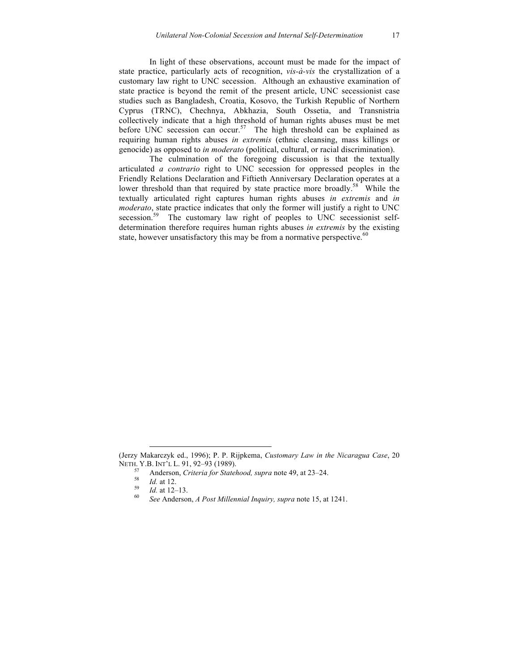In light of these observations, account must be made for the impact of state practice, particularly acts of recognition, *vis-à-vis* the crystallization of a customary law right to UNC secession. Although an exhaustive examination of state practice is beyond the remit of the present article, UNC secessionist case studies such as Bangladesh, Croatia, Kosovo, the Turkish Republic of Northern Cyprus (TRNC), Chechnya, Abkhazia, South Ossetia, and Transnistria collectively indicate that a high threshold of human rights abuses must be met before UNC secession can occur.<sup>57</sup> The high threshold can be explained as requiring human rights abuses *in extremis* (ethnic cleansing, mass killings or genocide) as opposed to *in moderato* (political, cultural, or racial discrimination).

The culmination of the foregoing discussion is that the textually articulated *a contrario* right to UNC secession for oppressed peoples in the Friendly Relations Declaration and Fiftieth Anniversary Declaration operates at a lower threshold than that required by state practice more broadly.<sup>58</sup> While the textually articulated right captures human rights abuses *in extremis* and *in moderato*, state practice indicates that only the former will justify a right to UNC secession.<sup>59</sup> The customary law right of peoples to UNC secessionist selfdetermination therefore requires human rights abuses *in extremis* by the existing state, however unsatisfactory this may be from a normative perspective. $60$ 

 $\overline{a}$ 

<sup>(</sup>Jerzy Makarczyk ed., 1996); P. P. Rijpkema, *Customary Law in the Nicaragua Case*, 20 NETH. Y.B. INT'L L. 91, 92–93 (1989).<br>
<sup>57</sup> Anderson, *Criteria for Statehood, supra* note 49, at 23–24.<br>
<sup>58</sup> *Id.* at 12.<br>
<sup>59</sup> *Id.* at 12–13.<br> *60 See* Anderson, *A Post Millennial Inquiry, supra* note 15, at 1241.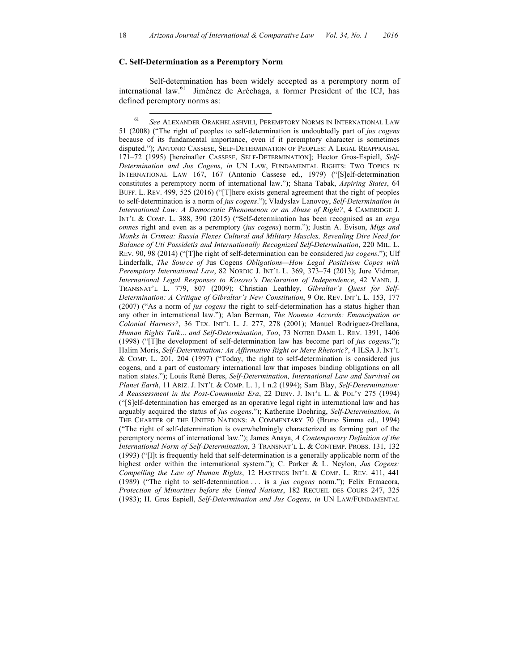### **C. Self-Determination as a Peremptory Norm**

Self-determination has been widely accepted as a peremptory norm of international law. 61 Jiménez de Aréchaga, a former President of the ICJ, has defined peremptory norms as:

 61 *See* ALEXANDER ORAKHELASHVILI, PEREMPTORY NORMS IN INTERNATIONAL LAW 51 (2008) ("The right of peoples to self-determination is undoubtedly part of *jus cogens* because of its fundamental importance, even if it peremptory character is sometimes disputed."); ANTONIO CASSESE, SELF-DETERMINATION OF PEOPLES: A LEGAL REAPPRAISAL 171–72 (1995) [hereinafter CASSESE, SELF-DETERMINATION]; Hector Gros-Espiell, *Self-Determination and Jus Cogens*, *in* UN LAW, FUNDAMENTAL RIGHTS: TWO TOPICS IN INTERNATIONAL LAW 167, 167 (Antonio Cassese ed., 1979) ("[S]elf-determination constitutes a peremptory norm of international law."); Shana Tabak, *Aspiring States*, 64 BUFF. L. REV. 499, 525 (2016) ("[T]here exists general agreement that the right of peoples to self-determination is a norm of *jus cogens*."); Vladyslav Lanovoy, *Self-Determination in International Law: A Democratic Phenomenon or an Abuse of Right?*, 4 CAMBRIDGE J. INT'L & COMP. L. 388, 390 (2015) ("Self-determination has been recognised as an *erga omnes* right and even as a peremptory (*jus cogens*) norm."); Justin A. Evison, *Migs and Monks in Crimea: Russia Flexes Cultural and Military Muscles, Revealing Dire Need for Balance of Uti Possidetis and Internationally Recognized Self-Determination*, 220 MIL. L. REV. 90, 98 (2014) ("[T]he right of self-determination can be considered *jus cogens*."); Ulf Linderfalk, *The Source of* Jus Cogens *Obligations—How Legal Positivism Copes with Peremptory International Law*, 82 NORDIC J. INT'L L. 369, 373–74 (2013); Jure Vidmar, *International Legal Responses to Kosovo's Declaration of Independence*, 42 VAND. J. TRANSNAT'L L. 779, 807 (2009); Christian Leathley, *Gibraltar's Quest for Self-Determination: A Critique of Gibraltar's New Constitution*, 9 OR. REV. INT'L L. 153, 177 (2007) ("As a norm of *jus cogens* the right to self-determination has a status higher than any other in international law."); Alan Berman, *The Noumea Accords: Emancipation or Colonial Harness?*, 36 TEX. INT'L L. J. 277, 278 (2001); Manuel Rodriguez-Orellana, *Human Rights Talk… and Self-Determination, Too*, 73 NOTRE DAME L. REV. 1391, 1406 (1998) ("[T]he development of self-determination law has become part of *jus cogens*."); Halim Moris, *Self-Determination: An Affirmative Right or Mere Rhetoric?*, 4 ILSA J. INT'L & COMP. L. 201, 204 (1997) ("Today, the right to self-determination is considered jus cogens, and a part of customary international law that imposes binding obligations on all nation states."); Louis René Beres, *Self-Determination, International Law and Survival on Planet Earth*, 11 ARIZ. J. INT'L & COMP. L. 1, 1 n.2 (1994); Sam Blay, *Self-Determination: A Reassessment in the Post-Communist Era*, 22 DENV. J. INT'L L. & POL'Y 275 (1994) ("[S]elf-determination has emerged as an operative legal right in international law and has arguably acquired the status of *jus cogens*."); Katherine Doehring, *Self-Determination*, *in* THE CHARTER OF THE UNITED NATIONS: A COMMENTARY 70 (Bruno Simma ed., 1994) ("The right of self-determination is overwhelmingly characterized as forming part of the peremptory norms of international law."); James Anaya, *A Contemporary Definition of the International Norm of Self-Determination*, 3 TRANSNAT'L L. & CONTEMP. PROBS. 131, 132 (1993) ("[I]t is frequently held that self-determination is a generally applicable norm of the highest order within the international system."); C. Parker & L. Neylon, *Jus Cogens: Compelling the Law of Human Rights*, 12 HASTINGS INT'L & COMP. L. REV. 411, 441 (1989) ("The right to self-determination . . . is a *jus cogens* norm."); Felix Ermacora, *Protection of Minorities before the United Nations*, 182 RECUEIL DES COURS 247, 325 (1983); H. Gros Espiell, *Self-Determination and Jus Cogens, in* UN LAW/FUNDAMENTAL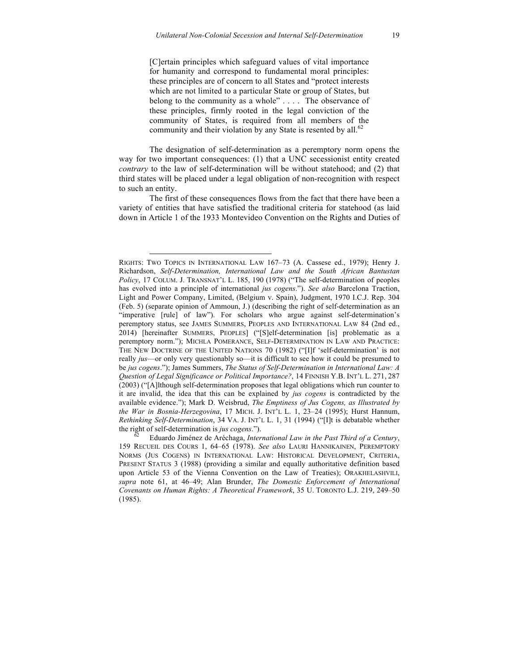[C]ertain principles which safeguard values of vital importance for humanity and correspond to fundamental moral principles: these principles are of concern to all States and "protect interests which are not limited to a particular State or group of States, but belong to the community as a whole" . . . . The observance of these principles, firmly rooted in the legal conviction of the community of States, is required from all members of the community and their violation by any State is resented by all.<sup>62</sup>

The designation of self-determination as a peremptory norm opens the way for two important consequences: (1) that a UNC secessionist entity created *contrary* to the law of self-determination will be without statehood; and (2) that third states will be placed under a legal obligation of non-recognition with respect to such an entity.

The first of these consequences flows from the fact that there have been a variety of entities that have satisfied the traditional criteria for statehood (as laid down in Article 1 of the 1933 Montevideo Convention on the Rights and Duties of

 $\overline{a}$ 

RIGHTS: TWO TOPICS IN INTERNATIONAL LAW 167–73 (A. Cassese ed., 1979); Henry J. Richardson, *Self-Determination, International Law and the South African Bantustan Policy*, 17 COLUM. J. TRANSNAT'L L. 185, 190 (1978) ("The self-determination of peoples has evolved into a principle of international *jus cogens*."). *See also* Barcelona Traction, Light and Power Company, Limited, (Belgium v. Spain), Judgment, 1970 I.C.J. Rep. 304 (Feb. 5) (separate opinion of Ammoun, J.) (describing the right of self-determination as an "imperative [rule] of law"). For scholars who argue against self-determination's peremptory status, see JAMES SUMMERS, PEOPLES AND INTERNATIONAL LAW 84 (2nd ed., 2014) [hereinafter SUMMERS, PEOPLES] ("[S]elf-determination [is] problematic as a peremptory norm."); MICHLA POMERANCE, SELF-DETERMINATION IN LAW AND PRACTICE: THE NEW DOCTRINE OF THE UNITED NATIONS 70 (1982) ("[I]f 'self-determination' is not really *jus*—or only very questionably so—it is difficult to see how it could be presumed to be *jus cogens*."); James Summers, *The Status of Self-Determination in International Law: A Question of Legal Significance or Political Importance?*, 14 FINNISH Y.B. INT'L L. 271, 287 (2003) ("[A]lthough self-determination proposes that legal obligations which run counter to it are invalid, the idea that this can be explained by *jus cogens* is contradicted by the available evidence."); Mark D. Weisbrud, *The Emptiness of Jus Cogens, as Illustrated by the War in Bosnia-Herzegovina*, 17 MICH. J. INT'L L. 1, 23–24 (1995); Hurst Hannum, *Rethinking Self-Determination*, 34 VA. J. INT'L L. 1, 31 (1994) ("[I]t is debatable whether the right of self-determination is *jus cogens*.").<br><sup>62</sup> Eduardo Jiménez de Aréchaga, *International Law in the Past Third of a Century*,

<sup>159</sup> RECUEIL DES COURS 1, 64–65 (1978). *See also* LAURI HANNIKAINEN, PEREMPTORY NORMS (JUS COGENS) IN INTERNATIONAL LAW: HISTORICAL DEVELOPMENT, CRITERIA, PRESENT STATUS 3 (1988) (providing a similar and equally authoritative definition based upon Article 53 of the Vienna Convention on the Law of Treaties); ORAKHELASHVILI, *supra* note 61, at 46–49; Alan Brunder, *The Domestic Enforcement of International Covenants on Human Rights: A Theoretical Framework*, 35 U. TORONTO L.J. 219, 249–50 (1985).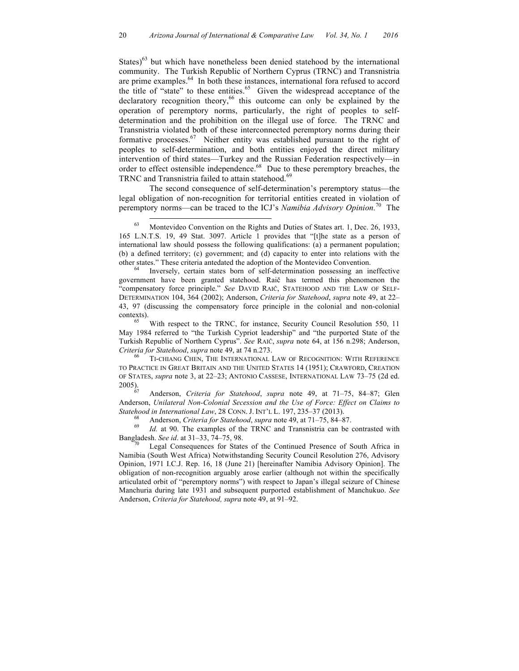States) $^{63}$  but which have nonetheless been denied statehood by the international community. The Turkish Republic of Northern Cyprus (TRNC) and Transnistria are prime examples. 64 In both these instances, international fora refused to accord the title of "state" to these entities. 65 Given the widespread acceptance of the declaratory recognition theory,<sup>66</sup> this outcome can only be explained by the operation of peremptory norms, particularly, the right of peoples to selfdetermination and the prohibition on the illegal use of force. The TRNC and Transnistria violated both of these interconnected peremptory norms during their formative processes.<sup>67</sup> Neither entity was established pursuant to the right of peoples to self-determination, and both entities enjoyed the direct military intervention of third states—Turkey and the Russian Federation respectively—in order to effect ostensible independence.<sup>68</sup> Due to these peremptory breaches, the TRNC and Transnistria failed to attain statehood.<sup>69</sup>

The second consequence of self-determination's peremptory status—the legal obligation of non-recognition for territorial entities created in violation of peremptory norms—can be traced to the ICJ's *Namibia Advisory Opinion.* <sup>70</sup>The

other states." These criteria antedated the adoption of the Montevideo Convention. <sup>64</sup> Inversely, certain states born of self-determination possessing an ineffective government have been granted statehood. Raič has termed this phenomenon the "compensatory force principle." *See* DAVID RAIČ, STATEHOOD AND THE LAW OF SELF-DETERMINATION 104, 364 (2002); Anderson, *Criteria for Statehood*, *supra* note 49, at 22– 43, 97 (discussing the compensatory force principle in the colonial and non-colonial contexts). <sup>65</sup> With respect to the TRNC, for instance, Security Council Resolution 550, 11

May 1984 referred to "the Turkish Cypriot leadership" and "the purported State of the Turkish Republic of Northern Cyprus". *See* RAIČ, *supra* note 64, at 156 n.298; Anderson, *Criteria for Statehood, supra* note 49, at 74 n.273.<br><sup>66</sup> TI-CHIANG CHEN, THE INTERNATIONAL LAW OF RECOGNITION: WITH REFERENCE

TO PRACTICE IN GREAT BRITAIN AND THE UNITED STATES 14 (1951); CRAWFORD, CREATION OF STATES, *supra* note 3, at 22–23; ANTONIO CASSESE, INTERNATIONAL LAW 73–75 (2d ed.

Anderson, *Criteria for Statehood*, *supra* note 49, at 71-75, 84-87; Glen Anderson, *Unilateral Non-Colonial Secession and the Use of Force: Effect on Claims to*  Statehood in International Law, 28 CONN. J. INT'L L. 197, 235–37 (2013).<br><sup>68</sup> Anderson, *Criteria for Statehood*, *supra* note 49, at 71–75, 84–87.<br><sup>69</sup> Id. at 90. The examples of the TRNC and Transnistria can be contrast

Bangladesh. *See id*. at 31–33, 74–75, 98.<br><sup>70</sup> Legal Consequences for States of the Continued Presence of South Africa in

Namibia (South West Africa) Notwithstanding Security Council Resolution 276, Advisory Opinion, 1971 I.C.J. Rep. 16, 18 (June 21) [hereinafter Namibia Advisory Opinion]. The obligation of non-recognition arguably arose earlier (although not within the specifically articulated orbit of "peremptory norms") with respect to Japan's illegal seizure of Chinese Manchuria during late 1931 and subsequent purported establishment of Manchukuo. *See* Anderson, *Criteria for Statehood, supra* note 49, at 91–92.

 $63$  Montevideo Convention on the Rights and Duties of States art. 1, Dec. 26, 1933, 165 L.N.T.S. 19, 49 Stat. 3097. Article 1 provides that "[t]he state as a person of international law should possess the following qualifications: (a) a permanent population; (b) a defined territory; (c) government; and (d) capacity to enter into relations with the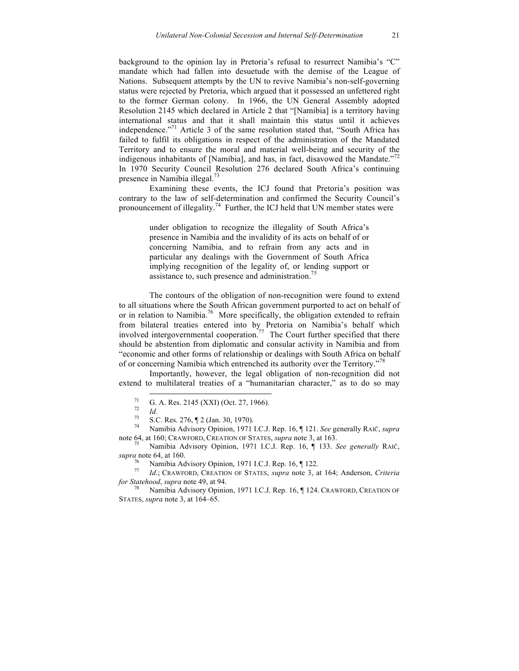background to the opinion lay in Pretoria's refusal to resurrect Namibia's "C" mandate which had fallen into desuetude with the demise of the League of Nations. Subsequent attempts by the UN to revive Namibia's non-self-governing status were rejected by Pretoria, which argued that it possessed an unfettered right to the former German colony. In 1966, the UN General Assembly adopted Resolution 2145 which declared in Article 2 that "[Namibia] is a territory having international status and that it shall maintain this status until it achieves independence."<sup>71</sup> Article 3 of the same resolution stated that, "South Africa has failed to fulfil its obligations in respect of the administration of the Mandated Territory and to ensure the moral and material well-being and security of the indigenous inhabitants of [Namibia], and has, in fact, disavowed the Mandate.<sup> $72$ </sup> In 1970 Security Council Resolution 276 declared South Africa's continuing presence in Namibia illegal.73

Examining these events, the ICJ found that Pretoria's position was contrary to the law of self-determination and confirmed the Security Council's pronouncement of illegality.<sup>74</sup> Further, the ICJ held that UN member states were

> under obligation to recognize the illegality of South Africa's presence in Namibia and the invalidity of its acts on behalf of or concerning Namibia, and to refrain from any acts and in particular any dealings with the Government of South Africa implying recognition of the legality of, or lending support or assistance to, such presence and administration.<sup>75</sup>

The contours of the obligation of non-recognition were found to extend to all situations where the South African government purported to act on behalf of or in relation to Namibia.<sup>76</sup> More specifically, the obligation extended to refrain from bilateral treaties entered into by Pretoria on Namibia's behalf which involved intergovernmental cooperation.<sup>77</sup> The Court further specified that there should be abstention from diplomatic and consular activity in Namibia and from "economic and other forms of relationship or dealings with South Africa on behalf of or concerning Namibia which entrenched its authority over the Territory."<sup>78</sup>

Importantly, however, the legal obligation of non-recognition did not extend to multilateral treaties of a "humanitarian character," as to do so may

<sup>71</sup> G. A. Res. 2145 (XXI) (Oct. 27, 1966). <sup>72</sup> *Id.* <sup>73</sup> S.C. Res. 276, ¶ 2 (Jan. 30, 1970). <sup>74</sup> Namibia Advisory Opinion, 1971 I.C.J. Rep. 16, ¶ 121. *See* generally RAIČ, *supra* note 64, at 160; CRAWFORD, CREATION OF STATES, *supra* note 3, at 163. <sup>75</sup> Namibia Advisory Opinion, 1971 I.C.J. Rep. 16, ¶ 133. *See generally* RAIČ,

*supra* note 64, at 160.<br><sup>76</sup> Namibia Advisory Opinion, 1971 I.C.J. Rep. 16, ¶ 122.

<sup>76</sup> Namibia Advisory Opinion, 1971 I.C.J. Rep. 16, ¶ 122. <sup>77</sup> *Id*.; CRAWFORD, CREATION OF STATES, *supra* note 3, at 164; Anderson, *Criteria for Statehood, supra* note 49, at 94.<br><sup>78</sup> Namibia Advisory Opinion, 1971 I.C.J. Rep. 16, ¶ 124. CRAWFORD, CREATION OF

STATES, *supra* note 3, at 164–65.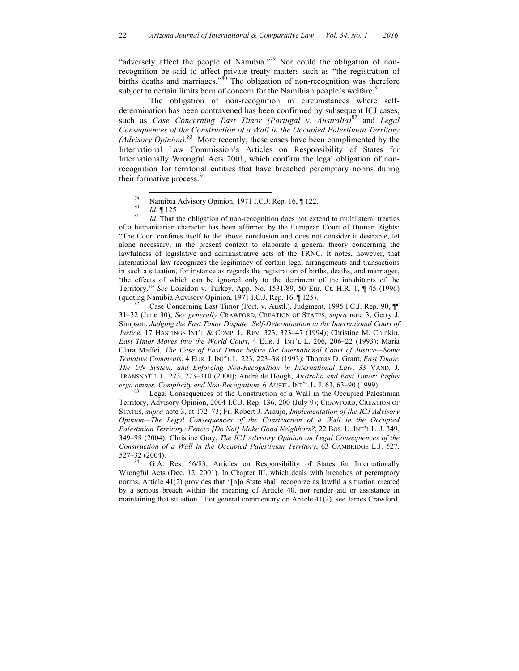"adversely affect the people of Namibia."<sup>79</sup> Nor could the obligation of nonrecognition be said to affect private treaty matters such as "the registration of births deaths and marriages.<sup>80</sup> The obligation of non-recognition was therefore subject to certain limits born of concern for the Namibian people's welfare.<sup>81</sup>

The obligation of non-recognition in circumstances where selfdetermination has been contravened has been confirmed by subsequent ICJ cases, such as *Case Concerning East Timor (Portugal v. Australia)*<sup>82</sup> and *Legal Consequences of the Construction of a Wall in the Occupied Palestinian Territory (Advisory Opinion).* <sup>83</sup>More recently, these cases have been complimented by the International Law Commission's Articles on Responsibility of States for Internationally Wrongful Acts 2001, which confirm the legal obligation of nonrecognition for territorial entities that have breached peremptory norms during their formative process. 84

79 Namibia Advisory Opinion, 1971 I.C.J. Rep. 16, ¶ 122.<br><sup>80</sup> *Id*. ¶ 125<br>*Id*. That the obligation of non-recognition does not extend to multilateral treaties of a humanitarian character has been affirmed by the European Court of Human Rights: "The Court confines itself to the above conclusion and does not consider it desirable, let alone necessary, in the present context to elaborate a general theory concerning the lawfulness of legislative and administrative acts of the TRNC. It notes, however, that international law recognizes the legitimacy of certain legal arrangements and transactions in such a situation, for instance as regards the registration of births, deaths, and marriages, 'the effects of which can be ignored only to the detriment of the inhabitants of the Territory.'" *See* Loizidou v. Turkey, App. No. 1531/89, 50 Eur. Ct. H.R. 1, ¶ 45 (1996) (quoting Namibia Advisory Opinion, 1971 I.C.J. Rep. 16, ¶ 125).<br><sup>82</sup> Case Concerning East Timor (Port. v. Austl.), Judgment, 1995 I.C.J. Rep. 90, ¶¶

31–32 (June 30); *See generally* CRAWFORD, CREATION OF STATES, *supra* note 3; Gerry J. Simpson, *Judging the East Timor Dispute: Self-Determination at the International Court of Justice*, 17 HASTINGS INT'L & COMP. L. REV. 323, 323–47 (1994); Christine M. Chinkin, *East Timor Moves into the World Court*, 4 EUR. J. INT'L L. 206, 206–22 (1993); Maria Clara Maffei, *The Case of East Timor before the International Court of Justice—Some Tentative Comments*, 4 EUR. J. INT'L L. 223, 223–38 (1993); Thomas D. Grant, *East Timor, The UN System, and Enforcing Non-Recognition in International Law*, 33 VAND. J. TRANSNAT'L L. 273, 273–310 (2000); André de Hoogh, *Australia and East Timor: Rights erga omnes, Complicity and Non-Recognition*, 6 AUSTL. INT'L L. J. 63, 63–90 (1999).<br><sup>83</sup> Legal Consequences of the Construction of a Wall in the Occupied Palestinian

Territory, Advisory Opinion, 2004 I.C.J. Rep. 136, 200 (July 9); CRAWFORD, CREATION OF STATES, *supra* note 3, at 172–73; Fr. Robert J. Araujo, *Implementation of the ICJ Advisory Opinion—The Legal Consequences of the Construction of a Wall in the Occupied*  Palestinian Territory: Fences [Do Not] Make Good Neighbors?, 22 BOS. U. INT'L L. J. 349, 349–98 (2004); Christine Gray, *The ICJ Advisory Opinion on Legal Consequences of the Construction of a Wall in the Occupied Palestinian Territory*, 63 CAMBRIDGE L.J. 527, 527–32 (2004).

G.A. Res. 56/83, Articles on Responsibility of States for Internationally Wrongful Acts (Dec. 12, 2001). In Chapter III, which deals with breaches of peremptory norms, Article 41(2) provides that "[n]o State shall recognize as lawful a situation created by a serious breach within the meaning of Article 40, nor render aid or assistance in maintaining that situation." For general commentary on Article 41(2), see James Crawford,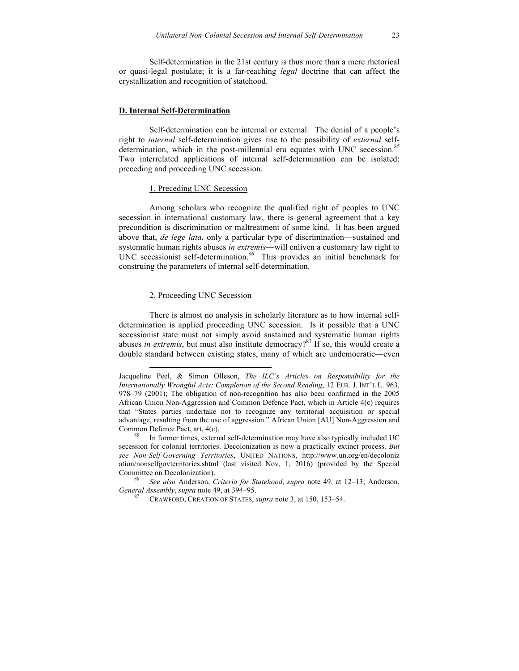Self-determination in the 21st century is thus more than a mere rhetorical or quasi-legal postulate; it is a far-reaching *legal* doctrine that can affect the crystallization and recognition of statehood.

#### **D. Internal Self-Determination**

Self-determination can be internal or external. The denial of a people's right to *internal* self-determination gives rise to the possibility of *external* selfdetermination, which in the post-millennial era equates with UNC secession. 85 Two interrelated applications of internal self-determination can be isolated: preceding and proceeding UNC secession.

## 1. Preceding UNC Secession

Among scholars who recognize the qualified right of peoples to UNC secession in international customary law, there is general agreement that a key precondition is discrimination or maltreatment of some kind. It has been argued above that, *de lege lata*, only a particular type of discrimination—sustained and systematic human rights abuses *in extremis*—will enliven a customary law right to UNC secessionist self-determination. 86 This provides an initial benchmark for construing the parameters of internal self-determination.

#### 2. Proceeding UNC Secession

 $\overline{a}$ 

There is almost no analysis in scholarly literature as to how internal selfdetermination is applied proceeding UNC secession. Is it possible that a UNC secessionist state must not simply avoid sustained and systematic human rights abuses *in extremis*, but must also institute democracy?<sup>87</sup> If so, this would create a double standard between existing states, many of which are undemocratic—even

Jacqueline Peel, & Simon Olleson, *The ILC's Articles on Responsibility for the Internationally Wrongful Acts: Completion of the Second Reading*, 12 EUR. J. INT'L L. 963, 978–79 (2001); The obligation of non-recognition has also been confirmed in the 2005 African Union Non-Aggression and Common Defence Pact, which in Article 4(c) requires that "States parties undertake not to recognize any territorial acquisition or special advantage, resulting from the use of aggression." African Union [AU] Non-Aggression and Common Defence Pact, art.  $4(c)$ .<br><sup>85</sup> In former times, external self-determination may have also typically included UC

secession for colonial territories. Decolonization is now a practically extinct process. *But see Non-Self-Governing Territories*, UNITED NATIONS, http://www.un.org/en/decoloniz ation/nonselfgovterritories.shtml (last visited Nov, 1, 2016) (provided by the Special

Committee on Decolonization). 86 *See also* Anderson, *Criteria for Statehood*, *supra* note 49, at 12–13; Anderson,

*GRAWFORD, CREATION OF STATES, <i>supra* note 3, at 150, 153–54.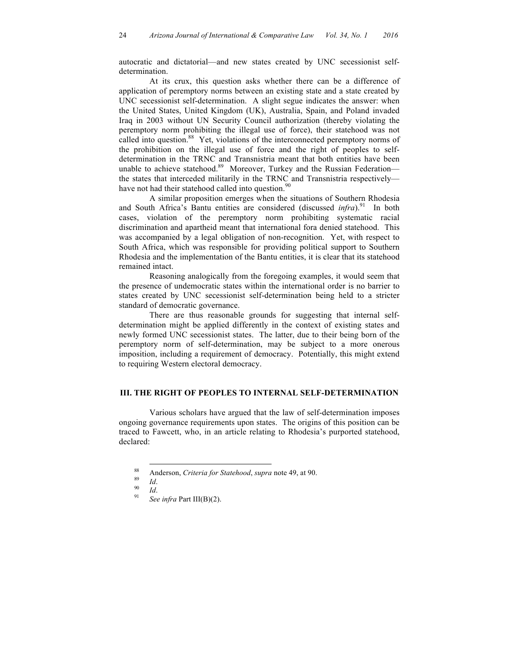autocratic and dictatorial—and new states created by UNC secessionist selfdetermination.

At its crux, this question asks whether there can be a difference of application of peremptory norms between an existing state and a state created by UNC secessionist self-determination. A slight segue indicates the answer: when the United States, United Kingdom (UK), Australia, Spain, and Poland invaded Iraq in 2003 without UN Security Council authorization (thereby violating the peremptory norm prohibiting the illegal use of force), their statehood was not called into question.<sup>88</sup> Yet, violations of the interconnected peremptory norms of the prohibition on the illegal use of force and the right of peoples to selfdetermination in the TRNC and Transnistria meant that both entities have been unable to achieve statehood.<sup>89</sup> Moreover, Turkey and the Russian Federationthe states that interceded militarily in the TRNC and Transnistria respectively have not had their statehood called into question. $90$ 

A similar proposition emerges when the situations of Southern Rhodesia and South Africa's Bantu entities are considered (discussed *infra*).<sup>91</sup> In both cases, violation of the peremptory norm prohibiting systematic racial discrimination and apartheid meant that international fora denied statehood. This was accompanied by a legal obligation of non-recognition. Yet, with respect to South Africa, which was responsible for providing political support to Southern Rhodesia and the implementation of the Bantu entities, it is clear that its statehood remained intact.

Reasoning analogically from the foregoing examples, it would seem that the presence of undemocratic states within the international order is no barrier to states created by UNC secessionist self-determination being held to a stricter standard of democratic governance.

There are thus reasonable grounds for suggesting that internal selfdetermination might be applied differently in the context of existing states and newly formed UNC secessionist states. The latter, due to their being born of the peremptory norm of self-determination, may be subject to a more onerous imposition, including a requirement of democracy. Potentially, this might extend to requiring Western electoral democracy.

#### **III. THE RIGHT OF PEOPLES TO INTERNAL SELF-DETERMINATION**

Various scholars have argued that the law of self-determination imposes ongoing governance requirements upon states. The origins of this position can be traced to Fawcett, who, in an article relating to Rhodesia's purported statehood, declared:

<sup>88</sup> Anderson, *Criteria for Statehood*, *supra* note 49, at 90.<br>
90 *Id.*<br>
91 *See infra* Part III(B)(2).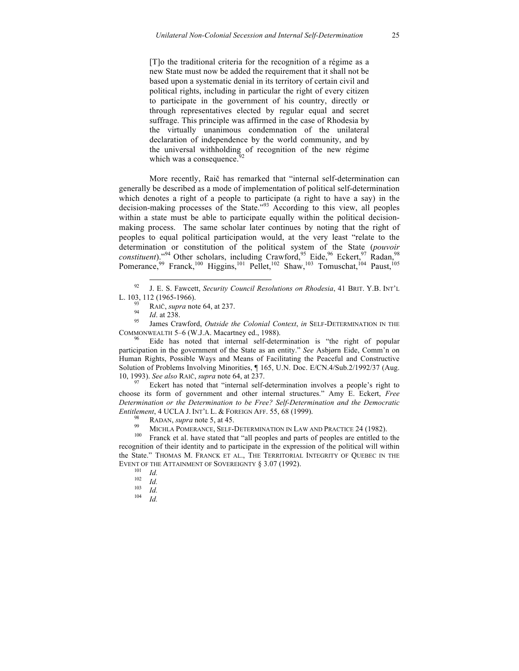[T]o the traditional criteria for the recognition of a régime as a new State must now be added the requirement that it shall not be based upon a systematic denial in its territory of certain civil and political rights, including in particular the right of every citizen to participate in the government of his country, directly or through representatives elected by regular equal and secret suffrage. This principle was affirmed in the case of Rhodesia by the virtually unanimous condemnation of the unilateral declaration of independence by the world community, and by the universal withholding of recognition of the new régime which was a consequence. $\frac{3}{2}$ 

More recently, Raič has remarked that "internal self-determination can generally be described as a mode of implementation of political self-determination which denotes a right of a people to participate (a right to have a say) in the decision-making processes of the State."<sup>93</sup> According to this view, all peoples within a state must be able to participate equally within the political decisionmaking process. The same scholar later continues by noting that the right of peoples to equal political participation would, at the very least "relate to the determination or constitution of the political system of the State (*pouvoir*   $constituent$ )."<sup>94</sup> Other scholars, including Crawford,  $95$  Eide,  $96$  Eckert,  $97$  Radan,  $98$ Pomerance,<sup>99</sup> Franck,<sup>100</sup> Higgins,<sup>101</sup> Pellet,<sup>102</sup> Shaw,<sup>103</sup> Tomuschat,<sup>104</sup> Paust,<sup>105</sup>

COMMONWEALTH 5–6 (W.J.A. Macartney ed., 1988).<br><sup>96</sup> Eide has noted that internal self-determination is "the right of popular

participation in the government of the State as an entity." *See* Asbjørn Eide, Comm'n on Human Rights, Possible Ways and Means of Facilitating the Peaceful and Constructive Solution of Problems Involving Minorities, ¶ 165, U.N. Doc. E/CN.4/Sub.2/1992/37 (Aug. 10, 1993). *See also* RAIČ, *supra* note 64, at 237.<br><sup>97</sup> Eckert has noted that "internal self-determination involves a people's right to

choose its form of government and other internal structures." Amy E. Eckert, *Free Determination or the Determination to be Free? Self-Determination and the Democratic Entitlement*, 4 UCLA J. INT'L L. & FOREIGN AFF. 55, 68 (1999).

- 
- <sup>98</sup> RADAN, *supra* note 5, at 45.<br>
<sup>99</sup> MICHLA POMERANCE, SELF-DETERMINATION IN LAW AND PRACTICE 24 (1982).<br>
<sup>100</sup> Franck et al. have stated that "all peoples and parts of peoples are entitled to the

recognition of their identity and to participate in the expression of the political will within the State." THOMAS M. FRANCK ET AL., THE TERRITORIAL INTEGRITY OF QUEBEC IN THE EVENT OF THE ATTAINMENT OF SOVEREIGNTY § 3.07 (1992).<br>
<sup>101</sup> *Id.*<br>
<sup>102</sup> *Id.*<br>
<sup>103</sup> *Id.*<br>
<sup>104</sup> *Id.* 

- 
- 
- 
- 

 <sup>92</sup> J. E. S. Fawcett, *Security Council Resolutions on Rhodesia*, 41 BRIT. Y.B. INT'L L. 103, 112 (1965-1966).<br><sup>93</sup> RAIČ, *supra* note 64, at 237.<br><sup>94</sup> *Id.* at 238.<br><sup>95</sup> James Crawford, *Outside the Colonial Context*, *in* SELF-DETERMINATION IN THE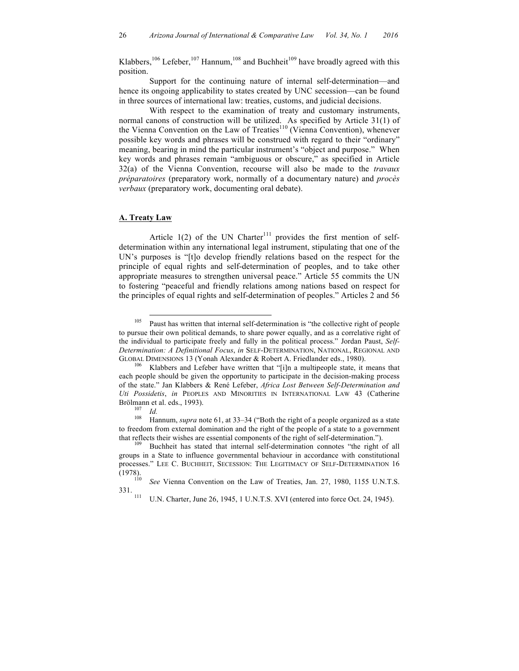Klabbers,  $106$  Lefeber,  $107$  Hannum,  $108$  and Buchheit  $109$  have broadly agreed with this position.

Support for the continuing nature of internal self-determination—and hence its ongoing applicability to states created by UNC secession—can be found in three sources of international law: treaties, customs, and judicial decisions.

With respect to the examination of treaty and customary instruments, normal canons of construction will be utilized. As specified by Article 31(1) of the Vienna Convention on the Law of Treaties<sup>110</sup> (Vienna Convention), whenever possible key words and phrases will be construed with regard to their "ordinary" meaning, bearing in mind the particular instrument's "object and purpose." When key words and phrases remain "ambiguous or obscure," as specified in Article 32(a) of the Vienna Convention, recourse will also be made to the *travaux préparatoires* (preparatory work, normally of a documentary nature) and *procès verbaux* (preparatory work, documenting oral debate).

#### **A. Treaty Law**

Article  $1(2)$  of the UN Charter<sup>111</sup> provides the first mention of selfdetermination within any international legal instrument, stipulating that one of the UN's purposes is "[t]o develop friendly relations based on the respect for the principle of equal rights and self-determination of peoples, and to take other appropriate measures to strengthen universal peace." Article 55 commits the UN to fostering "peaceful and friendly relations among nations based on respect for the principles of equal rights and self-determination of peoples." Articles 2 and 56

<sup>&</sup>lt;sup>105</sup> Paust has written that internal self-determination is "the collective right of people to pursue their own political demands, to share power equally, and as a correlative right of the individual to participate freely and fully in the political process." Jordan Paust, *Self-Determination: A Definitional Focus*, *in* SELF-DETERMINATION, NATIONAL, REGIONAL AND

GLOBAL DIMENSIONS 13 (Yonah Alexander & Robert A. Friedlander eds., 1980).<br><sup>106</sup> Klabbers and Lefeber have written that "[i]n a multipeople state, it means that each people should be given the opportunity to participate in the decision-making process of the state." Jan Klabbers & René Lefeber, *Africa Lost Between Self-Determination and Uti Possidetis*, *in* PEOPLES AND MINORITIES IN INTERNATIONAL LAW 43 (Catherine Brölmann et al. eds., 1993). <sup>107</sup> *Id.* <sup>108</sup> Hannum, *supra* note 61, at 33–34 ("Both the right of a people organized as a state

to freedom from external domination and the right of the people of a state to a government

that reflects their wishes are essential components of the right of self-determination.").<br><sup>109</sup> Buchheit has stated that internal self-determination connotes "the right of all groups in a State to influence governmental behaviour in accordance with constitutional processes." LEE C. BUCHHEIT, SECESSION: THE LEGITIMACY OF SELF-DETERMINATION 16<br>(1978).

<sup>&</sup>lt;sup>110</sup> *See* Vienna Convention on the Law of Treaties, Jan. 27, 1980, 1155 U.N.T.S.<br>331.

U.N. Charter, June 26, 1945, 1 U.N.T.S. XVI (entered into force Oct. 24, 1945).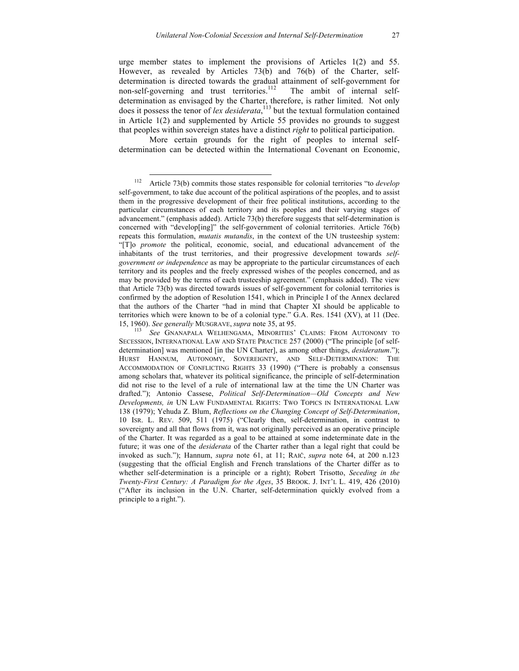urge member states to implement the provisions of Articles 1(2) and 55. However, as revealed by Articles 73(b) and 76(b) of the Charter, selfdetermination is directed towards the gradual attainment of self-government for non-self-governing and trust territories. The ambit of internal selfdetermination as envisaged by the Charter, therefore, is rather limited. Not only does it possess the tenor of *lex desiderata*, <sup>113</sup> but the textual formulation contained in Article 1(2) and supplemented by Article 55 provides no grounds to suggest that peoples within sovereign states have a distinct *right* to political participation.

More certain grounds for the right of peoples to internal selfdetermination can be detected within the International Covenant on Economic,

 <sup>112</sup> Article 73(b) commits those states responsible for colonial territories "to *develop* self-government, to take due account of the political aspirations of the peoples, and to assist them in the progressive development of their free political institutions, according to the particular circumstances of each territory and its peoples and their varying stages of advancement." (emphasis added). Article 73(b) therefore suggests that self-determination is concerned with "develop[ing]" the self-government of colonial territories. Article 76(b) repeats this formulation, *mutatis mutandis*, in the context of the UN trusteeship system: "[T]o *promote* the political, economic, social, and educational advancement of the inhabitants of the trust territories, and their progressive development towards *selfgovernment or independence* as may be appropriate to the particular circumstances of each territory and its peoples and the freely expressed wishes of the peoples concerned, and as may be provided by the terms of each trusteeship agreement." (emphasis added). The view that Article 73(b) was directed towards issues of self-government for colonial territories is confirmed by the adoption of Resolution 1541, which in Principle I of the Annex declared that the authors of the Charter "had in mind that Chapter XI should be applicable to territories which were known to be of a colonial type." G.A. Res. 1541 (XV), at 11 (Dec. 15, 1960). *See generally* MUSGRAVE, *supra* note 35, at 95. <sup>113</sup> *See* GNANAPALA WELHENGAMA, MINORITIES' CLAIMS: FROM AUTONOMY TO

SECESSION, INTERNATIONAL LAW AND STATE PRACTICE 257 (2000) ("The principle [of selfdetermination] was mentioned [in the UN Charter], as among other things, *desideratum*."); HURST HANNUM, AUTONOMY, SOVEREIGNTY, AND SELF-DETERMINATION: THE ACCOMMODATION OF CONFLICTING RIGHTS 33 (1990) ("There is probably a consensus among scholars that, whatever its political significance, the principle of self-determination did not rise to the level of a rule of international law at the time the UN Charter was drafted."); Antonio Cassese, *Political Self-Determination—Old Concepts and New Developments, in* UN LAW FUNDAMENTAL RIGHTS: TWO TOPICS IN INTERNATIONAL LAW 138 (1979); Yehuda Z. Blum, *Reflections on the Changing Concept of Self-Determination*, 10 ISR. L. REV. 509, 511 (1975) ("Clearly then, self-determination, in contrast to sovereignty and all that flows from it, was not originally perceived as an operative principle of the Charter. It was regarded as a goal to be attained at some indeterminate date in the future; it was one of the *desiderata* of the Charter rather than a legal right that could be invoked as such."); Hannum, *supra* note 61, at 11; RAIČ, *supra* note 64, at 200 n.123 (suggesting that the official English and French translations of the Charter differ as to whether self-determination is a principle or a right); Robert Trisotto, *Seceding in the Twenty-First Century: A Paradigm for the Ages*, 35 BROOK. J. INT'L L. 419, 426 (2010) ("After its inclusion in the U.N. Charter, self-determination quickly evolved from a principle to a right.").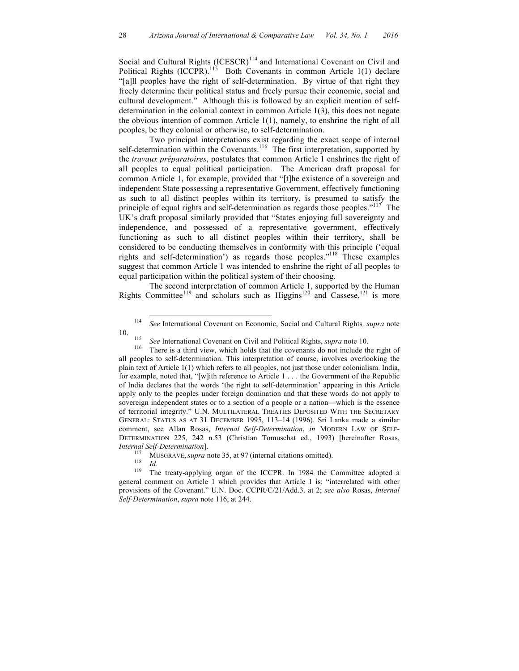Social and Cultural Rights (ICESCR)<sup>114</sup> and International Covenant on Civil and Political Rights  $(ICCPR)$ .<sup>115</sup> Both Covenants in common Article 1(1) declare "[a]ll peoples have the right of self-determination. By virtue of that right they freely determine their political status and freely pursue their economic, social and cultural development." Although this is followed by an explicit mention of selfdetermination in the colonial context in common Article 1(3), this does not negate the obvious intention of common Article  $1(1)$ , namely, to enshrine the right of all peoples, be they colonial or otherwise, to self-determination.

Two principal interpretations exist regarding the exact scope of internal self-determination within the Covenants.<sup>116</sup> The first interpretation, supported by the *travaux préparatoires*, postulates that common Article 1 enshrines the right of all peoples to equal political participation. The American draft proposal for common Article 1, for example, provided that "[t]he existence of a sovereign and independent State possessing a representative Government, effectively functioning as such to all distinct peoples within its territory, is presumed to satisfy the principle of equal rights and self-determination as regards those peoples."<sup>117</sup> The UK's draft proposal similarly provided that "States enjoying full sovereignty and independence, and possessed of a representative government, effectively functioning as such to all distinct peoples within their territory, shall be considered to be conducting themselves in conformity with this principle ('equal rights and self-determination') as regards those peoples."<sup>118</sup> These examples suggest that common Article 1 was intended to enshrine the right of all peoples to equal participation within the political system of their choosing.

The second interpretation of common Article 1, supported by the Human Rights Committee<sup>119</sup> and scholars such as  $Higgs<sup>120</sup>$  and Cassese,<sup>121</sup> is more

 <sup>114</sup> *See* International Covenant on Economic, Social and Cultural Rights*, supra* note

<sup>10.</sup> <sup>115</sup> *See* International Covenant on Civil and Political Rights, *supra* note 10. 116 There is a third view, which holds that the covenants do not include the right of all peoples to self-determination. This interpretation of course, involves overlooking the plain text of Article 1(1) which refers to all peoples, not just those under colonialism. India, for example, noted that, "[w]ith reference to Article 1 . . . the Government of the Republic of India declares that the words 'the right to self-determination' appearing in this Article apply only to the peoples under foreign domination and that these words do not apply to sovereign independent states or to a section of a people or a nation—which is the essence of territorial integrity." U.N. MULTILATERAL TREATIES DEPOSITED WITH THE SECRETARY GENERAL: STATUS AS AT 31 DECEMBER 1995, 113–14 (1996). Sri Lanka made a similar comment, see Allan Rosas, *Internal Self-Determination*, *in* MODERN LAW OF SELF-DETERMINATION 225, 242 n.53 (Christian Tomuschat ed., 1993) [hereinafter Rosas, *Internal Self-Determination*].<br><sup>117</sup> MUSGRAVE, *supra* note 35, at 97 (internal citations omitted).<br><sup>118</sup> *Id*. The treaty-applying organ of the ICCPR. In 1984 the Committee adopted a

general comment on Article 1 which provides that Article 1 is: "interrelated with other provisions of the Covenant." U.N. Doc. CCPR/C/21/Add.3. at 2; *see also* Rosas, *Internal Self-Determination*, *supra* note 116, at 244.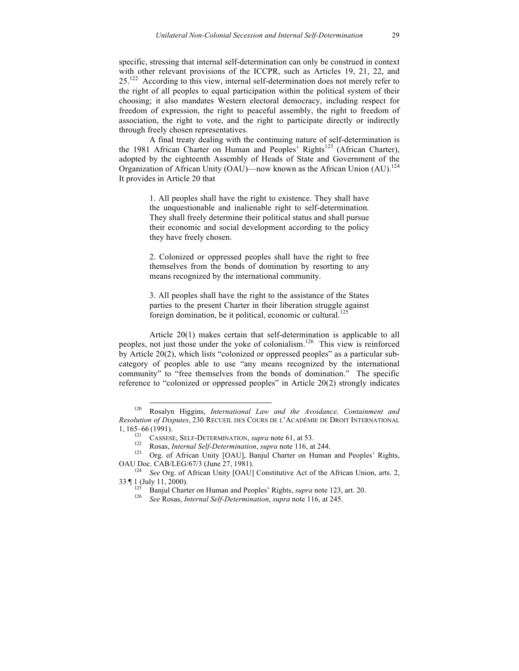specific, stressing that internal self-determination can only be construed in context with other relevant provisions of the ICCPR, such as Articles 19, 21, 22, and 25.<sup>122</sup> According to this view, internal self-determination does not merely refer to the right of all peoples to equal participation within the political system of their choosing; it also mandates Western electoral democracy, including respect for freedom of expression, the right to peaceful assembly, the right to freedom of association, the right to vote, and the right to participate directly or indirectly through freely chosen representatives.

A final treaty dealing with the continuing nature of self-determination is the 1981 African Charter on Human and Peoples' Rights<sup>123</sup> (African Charter), adopted by the eighteenth Assembly of Heads of State and Government of the Organization of African Unity (OAU)—now known as the African Union  $(AU)$ .<sup>124</sup> It provides in Article 20 that

> 1. All peoples shall have the right to existence. They shall have the unquestionable and inalienable right to self-determination. They shall freely determine their political status and shall pursue their economic and social development according to the policy they have freely chosen.

> 2. Colonized or oppressed peoples shall have the right to free themselves from the bonds of domination by resorting to any means recognized by the international community.

> 3. All peoples shall have the right to the assistance of the States parties to the present Charter in their liberation struggle against foreign domination, be it political, economic or cultural.<sup>12</sup>

Article 20(1) makes certain that self-determination is applicable to all peoples, not just those under the yoke of colonialism.<sup>126</sup> This view is reinforced by Article 20(2), which lists "colonized or oppressed peoples" as a particular subcategory of peoples able to use "any means recognized by the international community" to "free themselves from the bonds of domination." The specific reference to "colonized or oppressed peoples" in Article 20(2) strongly indicates

 <sup>120</sup> Rosalyn Higgins, *International Law and the Avoidance, Containment and Resolution of Disputes*, 230 RECUEIL DES COURS DE L'ACADÉMIE DE DROIT INTERNATIONAL

<sup>1, 165–66 (1991).&</sup>lt;br>
<sup>121</sup> CASSESE, SELF-DETERMINATION, *supra* note 61, at 53.<br>
<sup>122</sup> Rosas, *Internal Self-Determination*, *supra* note 116, at 244.<br>
<sup>123</sup> Org. of African Unity [OAU], Banjul Charter on Human and Peoples'

OAU Doc. CAB/LEG/67/3 (June 27, 1981).<br><sup>124</sup> *See* Org. of African Unity [OAU] Constitutive Act of the African Union, arts. 2,<br>33 | 1 (July 11, 2000).<br><sup>125</sup> Paniul Charts an Universe at 120, 120, 120, 120, 120, 120, 120, 1

<sup>&</sup>lt;sup>125</sup> Banjul Charter on Human and Peoples' Rights, *supra* note 123, art. 20. <sup>126</sup> *See* Rosas, *Internal Self-Determination*, *supra* note 116, at 245.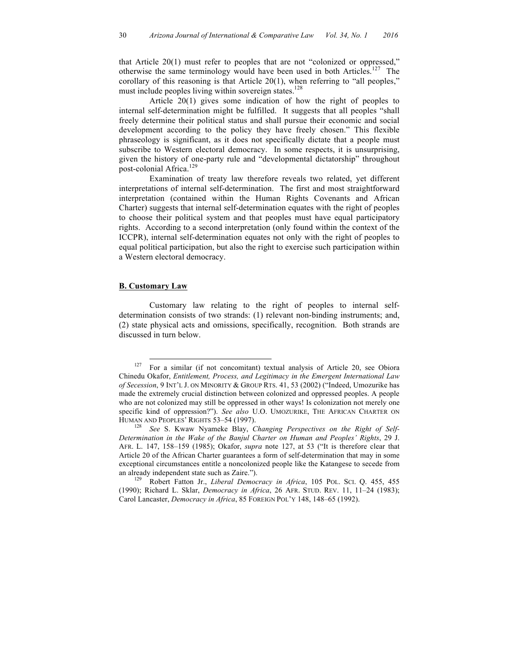that Article 20(1) must refer to peoples that are not "colonized or oppressed," otherwise the same terminology would have been used in both Articles.<sup>127</sup> The corollary of this reasoning is that Article 20(1), when referring to "all peoples," must include peoples living within sovereign states.<sup>128</sup>

Article 20(1) gives some indication of how the right of peoples to internal self-determination might be fulfilled. It suggests that all peoples "shall freely determine their political status and shall pursue their economic and social development according to the policy they have freely chosen." This flexible phraseology is significant, as it does not specifically dictate that a people must subscribe to Western electoral democracy. In some respects, it is unsurprising, given the history of one-party rule and "developmental dictatorship" throughout post-colonial Africa.<sup>129</sup>

Examination of treaty law therefore reveals two related, yet different interpretations of internal self-determination. The first and most straightforward interpretation (contained within the Human Rights Covenants and African Charter) suggests that internal self-determination equates with the right of peoples to choose their political system and that peoples must have equal participatory rights. According to a second interpretation (only found within the context of the ICCPR), internal self-determination equates not only with the right of peoples to equal political participation, but also the right to exercise such participation within a Western electoral democracy.

#### **B. Customary Law**

Customary law relating to the right of peoples to internal selfdetermination consists of two strands: (1) relevant non-binding instruments; and, (2) state physical acts and omissions, specifically, recognition. Both strands are discussed in turn below.

<sup>&</sup>lt;sup>127</sup> For a similar (if not concomitant) textual analysis of Article 20, see Obiora Chinedu Okafor, *Entitlement, Process, and Legitimacy in the Emergent International Law of Secession*, 9 INT'L J. ON MINORITY & GROUP RTS. 41, 53 (2002) ("Indeed, Umozurike has made the extremely crucial distinction between colonized and oppressed peoples. A people who are not colonized may still be oppressed in other ways! Is colonization not merely one specific kind of oppression?"). *See also* U.O. UMOZURIKE, THE AFRICAN CHARTER ON HUMAN AND PEOPLES' RIGHTS 53–54 (1997). 128 *See* S. Kwaw Nyameke Blay, *Changing Perspectives on the Right of Self-*

*Determination in the Wake of the Banjul Charter on Human and Peoples' Rights*, 29 J. AFR. L. 147, 158–159 (1985); Okafor, *supra* note 127, at 53 ("It is therefore clear that Article 20 of the African Charter guarantees a form of self-determination that may in some exceptional circumstances entitle a noncolonized people like the Katangese to secede from an already independent state such as Zaire.").<br><sup>129</sup> Robert Fatton Jr., *Liberal Democracy in Africa*, 105 POL. SCI. Q. 455, 455

<sup>(1990);</sup> Richard L. Sklar, *Democracy in Africa*, 26 AFR. STUD. REV. 11, 11–24 (1983); Carol Lancaster, *Democracy in Africa*, 85 FOREIGN POL'Y 148, 148–65 (1992).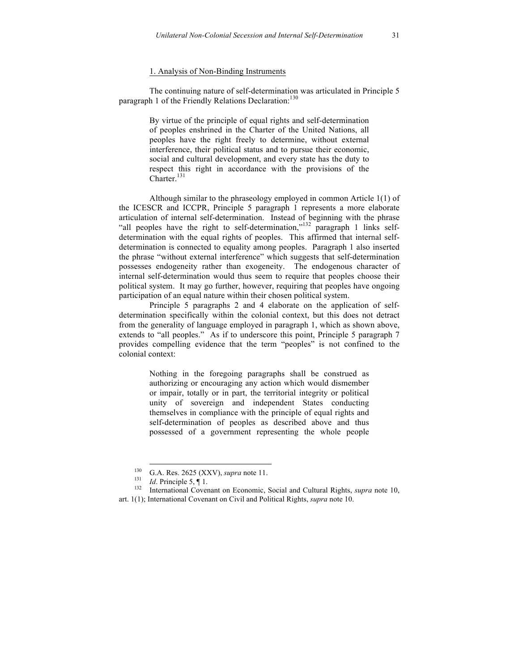#### 1. Analysis of Non-Binding Instruments

The continuing nature of self-determination was articulated in Principle 5 paragraph 1 of the Friendly Relations Declaration:<sup>130</sup>

> By virtue of the principle of equal rights and self-determination of peoples enshrined in the Charter of the United Nations, all peoples have the right freely to determine, without external interference, their political status and to pursue their economic, social and cultural development, and every state has the duty to respect this right in accordance with the provisions of the Charter.<sup>131</sup>

Although similar to the phraseology employed in common Article 1(1) of the ICESCR and ICCPR, Principle 5 paragraph 1 represents a more elaborate articulation of internal self-determination. Instead of beginning with the phrase "all peoples have the right to self-determination,"<sup>132</sup> paragraph 1 links selfdetermination with the equal rights of peoples. This affirmed that internal selfdetermination is connected to equality among peoples. Paragraph 1 also inserted the phrase "without external interference" which suggests that self-determination possesses endogeneity rather than exogeneity. The endogenous character of internal self-determination would thus seem to require that peoples choose their political system. It may go further, however, requiring that peoples have ongoing participation of an equal nature within their chosen political system.

Principle 5 paragraphs 2 and 4 elaborate on the application of selfdetermination specifically within the colonial context, but this does not detract from the generality of language employed in paragraph 1, which as shown above, extends to "all peoples." As if to underscore this point, Principle 5 paragraph 7 provides compelling evidence that the term "peoples" is not confined to the colonial context:

> Nothing in the foregoing paragraphs shall be construed as authorizing or encouraging any action which would dismember or impair, totally or in part, the territorial integrity or political unity of sovereign and independent States conducting themselves in compliance with the principle of equal rights and self-determination of peoples as described above and thus possessed of a government representing the whole people

<sup>130</sup> G.A. Res. 2625 (XXV), *supra* note 11.<br>
131 *Id*. Principle 5, ¶ 1.<br>
132 International Covenant on Economic, Social and Cultural Rights, *supra* note 10, art. 1(1); International Covenant on Civil and Political Rights, *supra* note 10.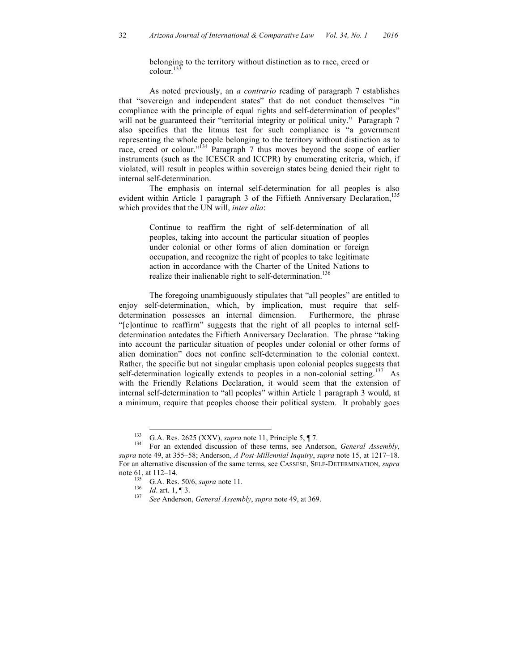belonging to the territory without distinction as to race, creed or  $\text{colour.}^{133}$ 

As noted previously, an *a contrario* reading of paragraph 7 establishes that "sovereign and independent states" that do not conduct themselves "in compliance with the principle of equal rights and self-determination of peoples" will not be guaranteed their "territorial integrity or political unity." Paragraph 7 also specifies that the litmus test for such compliance is "a government representing the whole people belonging to the territory without distinction as to race, creed or colour."<sup>134</sup> Paragraph 7 thus moves beyond the scope of earlier instruments (such as the ICESCR and ICCPR) by enumerating criteria, which, if violated, will result in peoples within sovereign states being denied their right to internal self-determination.

The emphasis on internal self-determination for all peoples is also evident within Article 1 paragraph 3 of the Fiftieth Anniversary Declaration,<sup>135</sup> which provides that the UN will, *inter alia*:

> Continue to reaffirm the right of self-determination of all peoples, taking into account the particular situation of peoples under colonial or other forms of alien domination or foreign occupation, and recognize the right of peoples to take legitimate action in accordance with the Charter of the United Nations to realize their inalienable right to self-determination.<sup>136</sup>

The foregoing unambiguously stipulates that "all peoples" are entitled to enjoy self-determination, which, by implication, must require that selfdetermination possesses an internal dimension. Furthermore, the phrase "[c]ontinue to reaffirm" suggests that the right of all peoples to internal selfdetermination antedates the Fiftieth Anniversary Declaration. The phrase "taking into account the particular situation of peoples under colonial or other forms of alien domination" does not confine self-determination to the colonial context. Rather, the specific but not singular emphasis upon colonial peoples suggests that self-determination logically extends to peoples in a non-colonial setting.<sup>137</sup> As with the Friendly Relations Declaration, it would seem that the extension of internal self-determination to "all peoples" within Article 1 paragraph 3 would, at a minimum, require that peoples choose their political system. It probably goes

<sup>133</sup> G.A. Res. 2625 (XXV), *supra* note 11, Principle 5, ¶ 7. 134 For an extended discussion of these terms, see Anderson, *General Assembly*, *supra* note 49, at 355–58; Anderson, *A Post-Millennial Inquiry*, *supra* note 15, at 1217–18. For an alternative discussion of the same terms, see CASSESE, SELF-DETERMINATION, *supra*  note 61, at 112–14.<br><sup>135</sup> G.A. Res. 50/6, *supra* note 11.<br><sup>136</sup> *Id.* art. 1, ¶ 3.<br><sup>137</sup> *See* Anderson, *General Assembly, supra* note 49, at 369.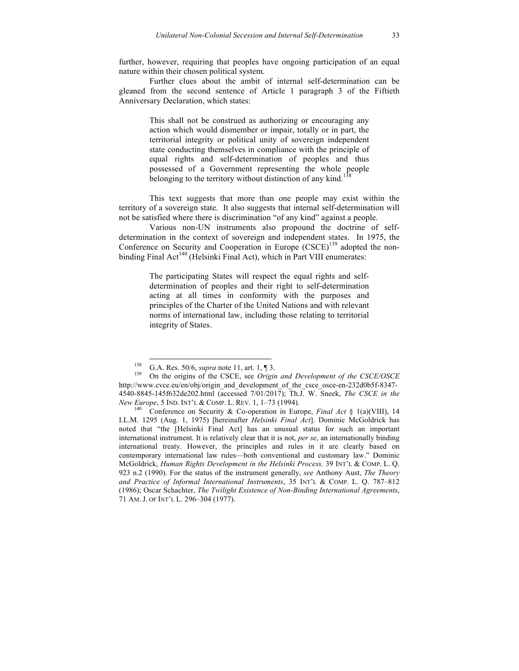further, however, requiring that peoples have ongoing participation of an equal nature within their chosen political system.

Further clues about the ambit of internal self-determination can be gleaned from the second sentence of Article 1 paragraph 3 of the Fiftieth Anniversary Declaration, which states:

> This shall not be construed as authorizing or encouraging any action which would dismember or impair, totally or in part, the territorial integrity or political unity of sovereign independent state conducting themselves in compliance with the principle of equal rights and self-determination of peoples and thus possessed of a Government representing the whole people belonging to the territory without distinction of any kind.<sup>13</sup>

This text suggests that more than one people may exist within the territory of a sovereign state. It also suggests that internal self-determination will not be satisfied where there is discrimination "of any kind" against a people.

Various non-UN instruments also propound the doctrine of selfdetermination in the context of sovereign and independent states. In 1975, the Conference on Security and Cooperation in Europe  $(CSCE)^{139}$  adopted the nonbinding Final Act<sup>140</sup> (Helsinki Final Act), which in Part VIII enumerates:

> The participating States will respect the equal rights and selfdetermination of peoples and their right to self-determination acting at all times in conformity with the purposes and principles of the Charter of the United Nations and with relevant norms of international law, including those relating to territorial integrity of States.

<sup>138</sup> G.A. Res. 50/6, *supra* note 11, art. 1, ¶ 3.<br><sup>139</sup> On the origins of the CSCE, see *Origin and Development of the CSCE/OSCE* http://www.cvce.eu/en/obj/origin\_and\_development\_of\_the\_csce\_osce-en-232d0b5f-8347-4540-8845-145f632de202.html (accessed 7/01/2017); Th.J. W. Sneek, *The CSCE in the New Europe*, 5 IND. INT'L & COMP. L. REV. 1, 1–73 (1994).<br><sup>140</sup> Conference on Security & Co-operation in Europe, *Final Act* § 1(a)(VIII), 14

I.L.M. 1295 (Aug. 1, 1975) [hereinafter *Helsinki Final Act*]. Dominic McGoldrick has noted that "the [Helsinki Final Act] has an unusual status for such an important international instrument. It is relatively clear that it is not, *per se*, an internationally binding international treaty. However, the principles and rules in it are clearly based on contemporary international law rules—both conventional and customary law." Dominic McGoldrick, *Human Rights Development in the Helsinki Process,* 39 INT'L & COMP. L. Q. 923 n.2 (1990). For the status of the instrument generally, *see* Anthony Aust, *The Theory and Practice of Informal International Instruments*, 35 INT'L & COMP. L. Q. 787–812 (1986); Oscar Schachter, *The Twilight Existence of Non-Binding International Agreements*, 71 AM. J. OF INT'L L. 296–304 (1977).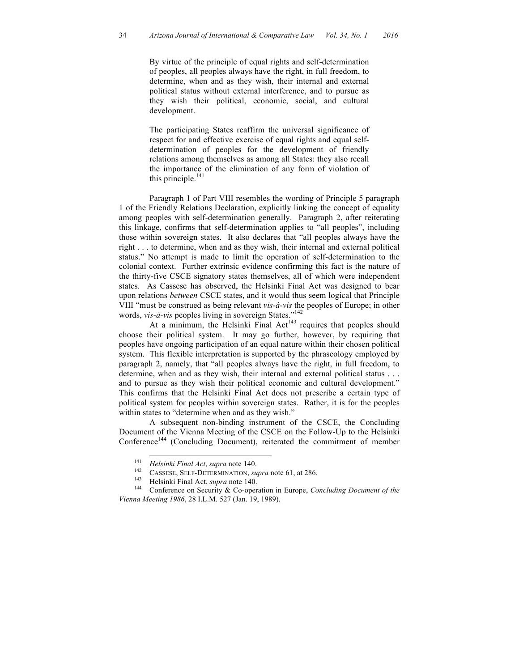By virtue of the principle of equal rights and self-determination of peoples, all peoples always have the right, in full freedom, to determine, when and as they wish, their internal and external political status without external interference, and to pursue as they wish their political, economic, social, and cultural development.

The participating States reaffirm the universal significance of respect for and effective exercise of equal rights and equal selfdetermination of peoples for the development of friendly relations among themselves as among all States: they also recall the importance of the elimination of any form of violation of this principle.<sup>141</sup>

Paragraph 1 of Part VIII resembles the wording of Principle 5 paragraph 1 of the Friendly Relations Declaration, explicitly linking the concept of equality among peoples with self-determination generally. Paragraph 2, after reiterating this linkage, confirms that self-determination applies to "all peoples", including those within sovereign states. It also declares that "all peoples always have the right . . . to determine, when and as they wish, their internal and external political status." No attempt is made to limit the operation of self-determination to the colonial context. Further extrinsic evidence confirming this fact is the nature of the thirty-five CSCE signatory states themselves, all of which were independent states. As Cassese has observed, the Helsinki Final Act was designed to bear upon relations *between* CSCE states, and it would thus seem logical that Principle VIII "must be construed as being relevant *vis-à-vis* the peoples of Europe; in other words, *vis-à-vis* peoples living in sovereign States."142

At a minimum, the Helsinki Final Act<sup>143</sup> requires that peoples should choose their political system. It may go further, however, by requiring that peoples have ongoing participation of an equal nature within their chosen political system. This flexible interpretation is supported by the phraseology employed by paragraph 2, namely, that "all peoples always have the right, in full freedom, to determine, when and as they wish, their internal and external political status . . . and to pursue as they wish their political economic and cultural development." This confirms that the Helsinki Final Act does not prescribe a certain type of political system for peoples within sovereign states. Rather, it is for the peoples within states to "determine when and as they wish."

A subsequent non-binding instrument of the CSCE, the Concluding Document of the Vienna Meeting of the CSCE on the Follow-Up to the Helsinki Conference<sup>144</sup> (Concluding Document), reiterated the commitment of member

<sup>&</sup>lt;sup>141</sup> *Helsinki Final Act, supra* note 140.<br>
<sup>142</sup> CASSESE, SELF-DETERMINATION, *supra* note 61, at 286.<br>
<sup>143</sup> Helsinki Final Act, *supra* note 140.<br>
Conference on Security & Co-operation in Europe, *Concluding Document Vienna Meeting 1986*, 28 I.L.M. 527 (Jan. 19, 1989).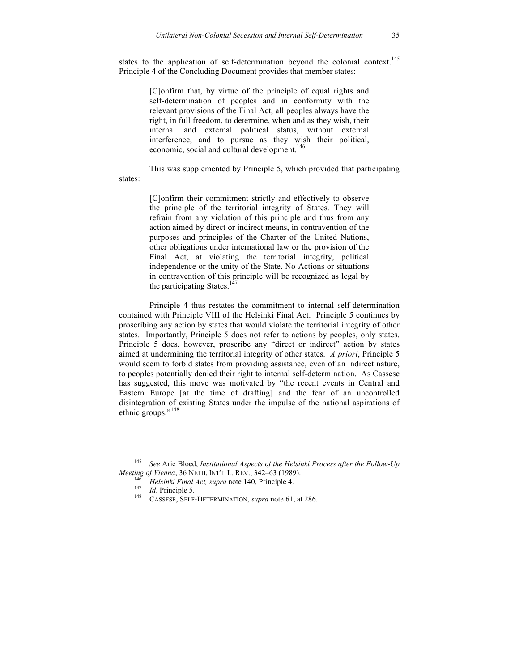states to the application of self-determination beyond the colonial context.<sup>145</sup> Principle 4 of the Concluding Document provides that member states:

> [C]onfirm that, by virtue of the principle of equal rights and self-determination of peoples and in conformity with the relevant provisions of the Final Act, all peoples always have the right, in full freedom, to determine, when and as they wish, their internal and external political status, without external interference, and to pursue as they wish their political, economic, social and cultural development.<sup>146</sup>

This was supplemented by Principle 5, which provided that participating states:

> [C]onfirm their commitment strictly and effectively to observe the principle of the territorial integrity of States. They will refrain from any violation of this principle and thus from any action aimed by direct or indirect means, in contravention of the purposes and principles of the Charter of the United Nations, other obligations under international law or the provision of the Final Act, at violating the territorial integrity, political independence or the unity of the State. No Actions or situations in contravention of this principle will be recognized as legal by the participating States. $14$

Principle 4 thus restates the commitment to internal self-determination contained with Principle VIII of the Helsinki Final Act. Principle 5 continues by proscribing any action by states that would violate the territorial integrity of other states. Importantly, Principle 5 does not refer to actions by peoples, only states. Principle 5 does, however, proscribe any "direct or indirect" action by states aimed at undermining the territorial integrity of other states. *A priori*, Principle 5 would seem to forbid states from providing assistance, even of an indirect nature, to peoples potentially denied their right to internal self-determination. As Cassese has suggested, this move was motivated by "the recent events in Central and Eastern Europe [at the time of drafting] and the fear of an uncontrolled disintegration of existing States under the impulse of the national aspirations of ethnic groups."<sup>148</sup>

<sup>&</sup>lt;sup>145</sup> *See* Arie Bloed, *Institutional Aspects of the Helsinki Process after the Follow-Up Meeting of Vienna*, 36 NETH. INT'L L. REV., 342–63 (1989).

*Meeting of Helsinki Final Act, supra* note 140, Principle 4.<br>
<sup>147</sup> *Id.* Principle 5.<br>
<sup>148</sup> CASSESE, SELF-DETERMINATION, *supra* note 61, at 286.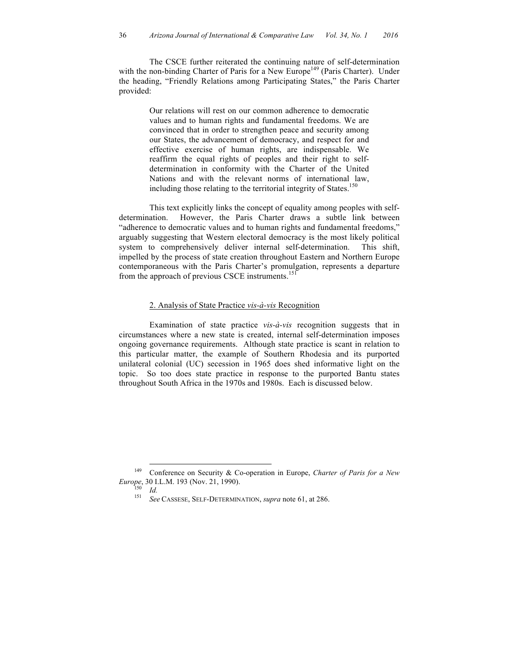The CSCE further reiterated the continuing nature of self-determination with the non-binding Charter of Paris for a New Europe<sup>149</sup> (Paris Charter). Under the heading, "Friendly Relations among Participating States," the Paris Charter provided:

> Our relations will rest on our common adherence to democratic values and to human rights and fundamental freedoms. We are convinced that in order to strengthen peace and security among our States, the advancement of democracy, and respect for and effective exercise of human rights, are indispensable. We reaffirm the equal rights of peoples and their right to selfdetermination in conformity with the Charter of the United Nations and with the relevant norms of international law, including those relating to the territorial integrity of States.<sup>150</sup>

This text explicitly links the concept of equality among peoples with selfdetermination. However, the Paris Charter draws a subtle link between "adherence to democratic values and to human rights and fundamental freedoms," arguably suggesting that Western electoral democracy is the most likely political system to comprehensively deliver internal self-determination. This shift, impelled by the process of state creation throughout Eastern and Northern Europe contemporaneous with the Paris Charter's promulgation, represents a departure from the approach of previous CSCE instruments.<sup>151</sup>

### 2. Analysis of State Practice *vis-à-vis* Recognition

Examination of state practice *vis-à-vis* recognition suggests that in circumstances where a new state is created, internal self-determination imposes ongoing governance requirements. Although state practice is scant in relation to this particular matter, the example of Southern Rhodesia and its purported unilateral colonial (UC) secession in 1965 does shed informative light on the topic. So too does state practice in response to the purported Bantu states throughout South Africa in the 1970s and 1980s. Each is discussed below.

 <sup>149</sup> Conference on Security & Co-operation in Europe, *Charter of Paris for a New Europe*, 30 I.L.M. 193 (Nov. 21, 1990).<br> *Id.* <sup>151</sup> *See* CASSESE, SELF-DETERMINATION, *supra* note 61, at 286.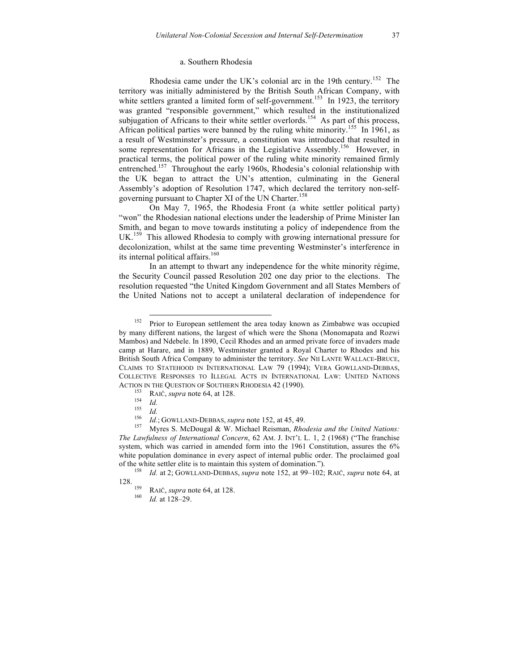#### a. Southern Rhodesia

Rhodesia came under the UK's colonial arc in the 19th century.<sup>152</sup> The territory was initially administered by the British South African Company, with white settlers granted a limited form of self-government.<sup>153</sup> In 1923, the territory was granted "responsible government," which resulted in the institutionalized subjugation of Africans to their white settler overlords.<sup>154</sup> As part of this process, African political parties were banned by the ruling white minority.<sup>155</sup> In 1961, as a result of Westminster's pressure, a constitution was introduced that resulted in some representation for Africans in the Legislative Assembly.<sup>156</sup> However, in practical terms, the political power of the ruling white minority remained firmly entrenched.<sup>157</sup> Throughout the early 1960s, Rhodesia's colonial relationship with the UK began to attract the UN's attention, culminating in the General Assembly's adoption of Resolution 1747, which declared the territory non-selfgoverning pursuant to Chapter XI of the UN Charter.<sup>158</sup>

On May 7, 1965, the Rhodesia Front (a white settler political party) "won" the Rhodesian national elections under the leadership of Prime Minister Ian Smith, and began to move towards instituting a policy of independence from the UK.<sup>159</sup> This allowed Rhodesia to comply with growing international pressure for decolonization, whilst at the same time preventing Westminster's interference in its internal political affairs. $160$ 

In an attempt to thwart any independence for the white minority régime, the Security Council passed Resolution 202 one day prior to the elections. The resolution requested "the United Kingdom Government and all States Members of the United Nations not to accept a unilateral declaration of independence for

<sup>&</sup>lt;sup>152</sup> Prior to European settlement the area today known as Zimbabwe was occupied by many different nations, the largest of which were the Shona (Monomapata and Rozwi Mambos) and Ndebele. In 1890, Cecil Rhodes and an armed private force of invaders made camp at Harare, and in 1889, Westminster granted a Royal Charter to Rhodes and his British South Africa Company to administer the territory. *See* NII LANTE WALLACE-BRUCE, CLAIMS TO STATEHOOD IN INTERNATIONAL LAW 79 (1994); VERA GOWLLAND-DEBBAS, COLLECTIVE RESPONSES TO ILLEGAL ACTS IN INTERNATIONAL LAW: UNITED NATIONS ACTION IN THE QUESTION OF SOUTHERN RHODESIA 42 (1990).<br>
<sup>153</sup> RAIČ, *supra* note 64, at 128.<br>
<sup>154</sup> *Id.*<br>
<sup>155</sup> *Id.*; GOWLLAND-DEBBAS, *supra* note 152, at 45, 49.<br>
<sup>156</sup> *Id.*; GOWLLAND-DEBBAS, *supra* note 152, at 45,

*The Lawfulness of International Concern*, 62 AM. J. INT'L L. 1, 2 (1968) ("The franchise system, which was carried in amended form into the 1961 Constitution, assures the 6% white population dominance in every aspect of internal public order. The proclaimed goal of the white settler elite is to maintain this system of domination.").

<sup>&</sup>lt;sup>158</sup> *Id.* at 2; GOWLLAND-DEBBAS, *supra* note 152, at 99–102; RAIČ, *supra* note 64, at 128.

<sup>128.</sup> <sup>159</sup> RAIČ, *supra* note 64, at 128. <sup>160</sup> *Id.* at 128–29.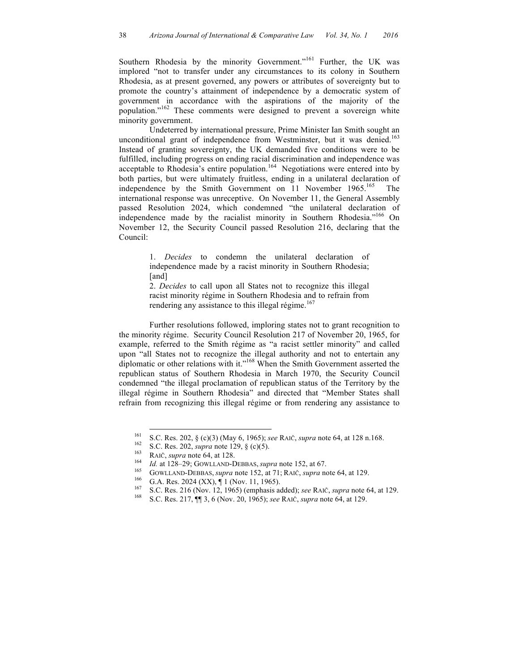Southern Rhodesia by the minority Government."<sup>161</sup> Further, the UK was implored "not to transfer under any circumstances to its colony in Southern Rhodesia, as at present governed, any powers or attributes of sovereignty but to promote the country's attainment of independence by a democratic system of government in accordance with the aspirations of the majority of the population."<sup>162</sup> These comments were designed to prevent a sovereign white minority government.

Undeterred by international pressure, Prime Minister Ian Smith sought an unconditional grant of independence from Westminster, but it was denied.<sup>163</sup> Instead of granting sovereignty, the UK demanded five conditions were to be fulfilled, including progress on ending racial discrimination and independence was acceptable to Rhodesia's entire population.<sup>164</sup> Negotiations were entered into by both parties, but were ultimately fruitless, ending in a unilateral declaration of independence by the Smith Government on 11 November 1965. 165 The international response was unreceptive. On November 11, the General Assembly passed Resolution 2024, which condemned "the unilateral declaration of independence made by the racialist minority in Southern Rhodesia."<sup>166</sup> On November 12, the Security Council passed Resolution 216, declaring that the Council:

> 1. *Decides* to condemn the unilateral declaration of independence made by a racist minority in Southern Rhodesia; [and]

> 2. *Decides* to call upon all States not to recognize this illegal racist minority régime in Southern Rhodesia and to refrain from rendering any assistance to this illegal régime.<sup>167</sup>

Further resolutions followed, imploring states not to grant recognition to the minority régime. Security Council Resolution 217 of November 20, 1965, for example, referred to the Smith régime as "a racist settler minority" and called upon "all States not to recognize the illegal authority and not to entertain any diplomatic or other relations with it."<sup>168</sup> When the Smith Government asserted the republican status of Southern Rhodesia in March 1970, the Security Council condemned "the illegal proclamation of republican status of the Territory by the illegal régime in Southern Rhodesia" and directed that "Member States shall refrain from recognizing this illegal régime or from rendering any assistance to

<sup>&</sup>lt;sup>161</sup> S.C. Res. 202, § (c)(3) (May 6, 1965); *see* RAIČ, *supra* note 64, at 128 n.168.<br>
S.C. Res. 202, *supra* note 129, § (c)(5).<br>
RAIČ, *supra* note 64, at 128.<br> *Id.* at 128–29; GOWLLAND-DEBBAS, *supra* note 152, at 6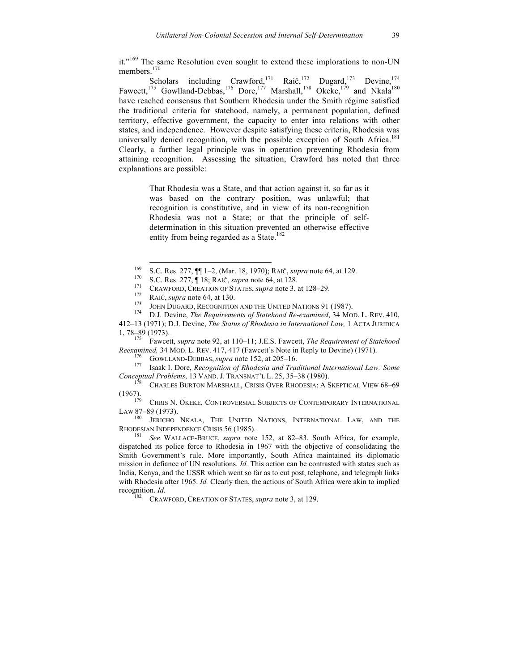it."<sup>169</sup> The same Resolution even sought to extend these implorations to non-UN members.<sup>170</sup>

Scholars including Crawford,<sup>171</sup> Raič,<sup>172</sup> Dugard,<sup>173</sup> Devine,<sup>174</sup> Fawcett,<sup>175</sup> Gowlland-Debbas,<sup>176</sup> Dore,<sup>177</sup> Marshall,<sup>178</sup> Okeke,<sup>179</sup> and Nkala<sup>180</sup> have reached consensus that Southern Rhodesia under the Smith régime satisfied the traditional criteria for statehood, namely, a permanent population, defined territory, effective government, the capacity to enter into relations with other states, and independence. However despite satisfying these criteria, Rhodesia was universally denied recognition, with the possible exception of South Africa.<sup>181</sup> Clearly, a further legal principle was in operation preventing Rhodesia from attaining recognition. Assessing the situation, Crawford has noted that three explanations are possible:

> That Rhodesia was a State, and that action against it, so far as it was based on the contrary position, was unlawful; that recognition is constitutive, and in view of its non-recognition Rhodesia was not a State; or that the principle of selfdetermination in this situation prevented an otherwise effective entity from being regarded as a State.<sup>182</sup>

<sup>175</sup> Fawcett, *supra* note 92, at 110–11; J.E.S. Fawcett, *The Requirement of Statehood Reexamined*, 34 MOD. L. REV. 417, 417 (Fawcett's Note in Reply to Devine) (1971).

*Conceptual Problems*, 13 VAND. J. TRANSNAT'L L. 25, 35–38 (1980).<br><sup>178</sup> CHARLES BURTON MARSHALL, CRISIS OVER RHODESIA: A SKEPTICAL VIEW 68–69<br>(1967).

<sup>&</sup>lt;sup>169</sup> S.C. Res. 277,  $\P$  1–2, (Mar. 18, 1970); RAIČ, *supra* note 64, at 129.<br><sup>170</sup> S.C. Res. 277,  $\P$  18; RAIČ, *supra* note 64, at 128.<br><sup>171</sup> CRAWFORD, CREATION OF STATES, *supra* note 3, at 128–29.<br><sup>172</sup> RAIČ, *supra*

<sup>412–13 (1971);</sup> D.J. Devine, *The Status of Rhodesia in International Law,* 1 ACTA JURIDICA 1, 78–89 (1973).

 $^{176}$  GOWLLAND-DEBBAS, supra note 152, at 205-16.<br><sup>177</sup> Isaak I. Dore, *Recognition of Rhodesia and Traditional International Law: Some* 

CHRIS N. OKEKE, CONTROVERSIAL SUBJECTS OF CONTEMPORARY INTERNATIONAL LAW 87–89 (1973).<br><sup>180</sup> Jericho Nkala, The United Nations, International Law, and the

RHODESIAN INDEPENDENCE CRISIS 56 (1985).<br><sup>181</sup> *See* WALLACE-BRUCE, *supra* note 152, at 82–83. South Africa, for example,

dispatched its police force to Rhodesia in 1967 with the objective of consolidating the Smith Government's rule. More importantly, South Africa maintained its diplomatic mission in defiance of UN resolutions. *Id.* This action can be contrasted with states such as India, Kenya, and the USSR which went so far as to cut post, telephone, and telegraph links with Rhodesia after 1965. *Id.* Clearly then, the actions of South Africa were akin to implied recognition. *Id.* <sup>182</sup> CRAWFORD, CREATION OF STATES, *supra* note 3, at 129.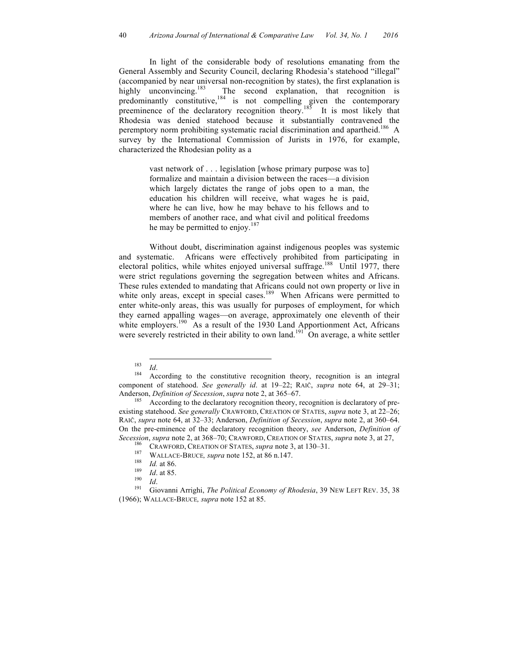In light of the considerable body of resolutions emanating from the General Assembly and Security Council, declaring Rhodesia's statehood "illegal" (accompanied by near universal non-recognition by states), the first explanation is highly unconvincing.<sup>183</sup> The second explanation, that recognition is predominantly constitutive,<sup>184</sup> is not compelling given the contemporary preeminence of the declaratory recognition theory.<sup>185</sup> It is most likely that Rhodesia was denied statehood because it substantially contravened the peremptory norm prohibiting systematic racial discrimination and apartheid.<sup>186</sup> A survey by the International Commission of Jurists in 1976, for example, characterized the Rhodesian polity as a

> vast network of . . . legislation [whose primary purpose was to] formalize and maintain a division between the races—a division which largely dictates the range of jobs open to a man, the education his children will receive, what wages he is paid, where he can live, how he may behave to his fellows and to members of another race, and what civil and political freedoms he may be permitted to enjoy.<sup>187</sup>

Without doubt, discrimination against indigenous peoples was systemic and systematic. Africans were effectively prohibited from participating in electoral politics, while whites enjoyed universal suffrage.<sup>188</sup> Until 1977, there were strict regulations governing the segregation between whites and Africans. These rules extended to mandating that Africans could not own property or live in white only areas, except in special cases.<sup>189</sup> When Africans were permitted to enter white-only areas, this was usually for purposes of employment, for which they earned appalling wages—on average, approximately one eleventh of their white employers.<sup>190</sup> As a result of the 1930 Land Apportionment Act, Africans were severely restricted in their ability to own land.<sup>191</sup> On average, a white settler

<sup>&</sup>lt;sup>183</sup> *Id.* According to the constitutive recognition theory, recognition is an integral component of statehood. *See generally id*. at 19–22; RAIČ, *supra* note 64, at 29–31; Anderson, *Definition of Secession*, *supra* note 2, at 365–67.<br><sup>185</sup> According to the declaratory recognition theory, recognition is declaratory of pre-

existing statehood. *See generally* CRAWFORD, CREATION OF STATES, *supra* note 3, at 22–26; RAIČ, *supra* note 64, at 32–33; Anderson, *Definition of Secession*, *supra* note 2, at 360–64. On the pre-eminence of the declaratory recognition theory, *see* Anderson, *Definition of*  Secession, supra note 2, at 368–70; CRAWFORD, CREATION OF STATES, supra note 3, at 27,<br>
<sup>186</sup> CRAWFORD, CREATION OF STATES, supra note 3, at 130–31.<br>
<sup>187</sup> WALLACE-BRUCE, supra note 152, at 86 n.147.<br>
<sup>188</sup> *Id.* at 85.<br>

<sup>(1966);</sup> WALLACE-BRUCE*, supra* note 152 at 85.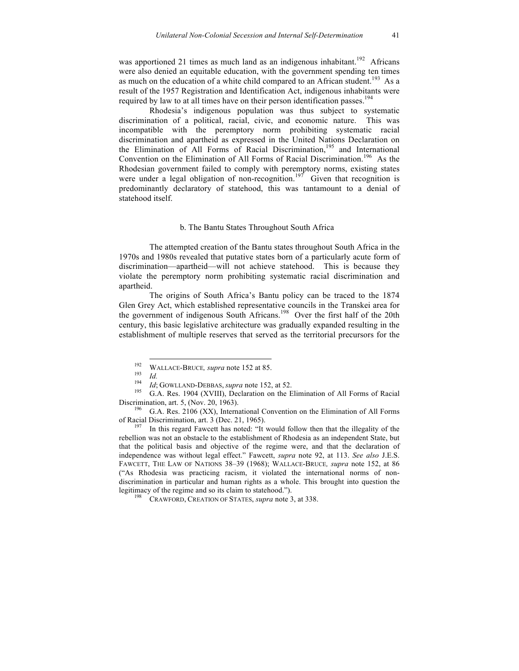was apportioned 21 times as much land as an indigenous inhabitant.<sup>192</sup> Africans were also denied an equitable education, with the government spending ten times as much on the education of a white child compared to an African student.<sup>193</sup> As a result of the 1957 Registration and Identification Act, indigenous inhabitants were required by law to at all times have on their person identification passes.<sup>194</sup>

Rhodesia's indigenous population was thus subject to systematic discrimination of a political, racial, civic, and economic nature. This was incompatible with the peremptory norm prohibiting systematic racial discrimination and apartheid as expressed in the United Nations Declaration on the Elimination of All Forms of Racial Discrimination,<sup>195</sup> and International Convention on the Elimination of All Forms of Racial Discrimination. 196 As the Rhodesian government failed to comply with peremptory norms, existing states were under a legal obligation of non-recognition.<sup>197</sup> Given that recognition is predominantly declaratory of statehood, this was tantamount to a denial of statehood itself.

#### b. The Bantu States Throughout South Africa

The attempted creation of the Bantu states throughout South Africa in the 1970s and 1980s revealed that putative states born of a particularly acute form of discrimination—apartheid—will not achieve statehood. This is because they violate the peremptory norm prohibiting systematic racial discrimination and apartheid.

The origins of South Africa's Bantu policy can be traced to the 1874 Glen Grey Act, which established representative councils in the Transkei area for the government of indigenous South Africans. 198 Over the first half of the 20th century, this basic legislative architecture was gradually expanded resulting in the establishment of multiple reserves that served as the territorial precursors for the

rebellion was not an obstacle to the establishment of Rhodesia as an independent State, but that the political basis and objective of the regime were, and that the declaration of independence was without legal effect." Fawcett, *supra* note 92, at 113. *See also* J.E.S. FAWCETT, THE LAW OF NATIONS 38–39 (1968); WALLACE-BRUCE*, supra* note 152, at 86 ("As Rhodesia was practicing racism, it violated the international norms of nondiscrimination in particular and human rights as a whole. This brought into question the legitimacy of the regime and so its claim to statehood.").

<sup>198</sup> CRAWFORD, CREATION OF STATES, *supra* note 3, at 338.

<sup>&</sup>lt;sup>192</sup> WALLACE-BRUCE, *supra* note 152 at 85.<br>
<sup>193</sup> *Id.* 194 *Id*; GOWLLAND-DEBBAS, *supra* note 152, at 52.<br>
<sup>195</sup> G.A. Res. 1904 (XVIII), Declaration on the Elimination of All Forms of Racial Discrimination, art. 5, (Nov. 20, 1963). 1963.<br><sup>196</sup> G.A. Res. 2106 (XX), International Convention on the Elimination of All Forms

of Racial Discrimination, art. 3 (Dec. 21, 1965).<br><sup>197</sup> In this regard Fawcett has noted: "It would follow then that the illegality of the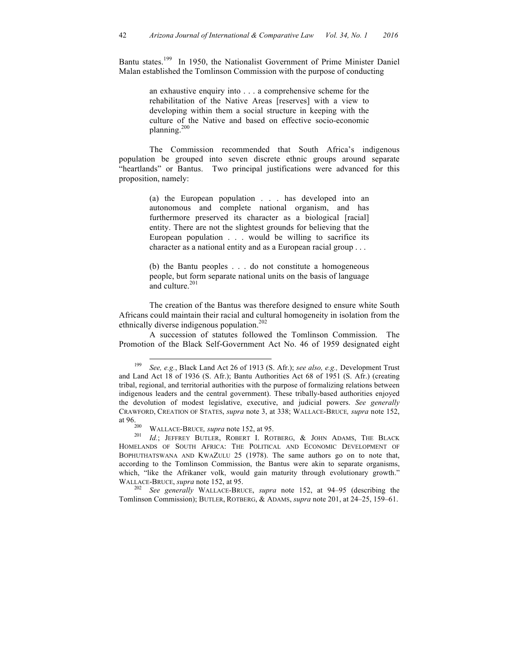Bantu states.<sup>199</sup> In 1950, the Nationalist Government of Prime Minister Daniel Malan established the Tomlinson Commission with the purpose of conducting

> an exhaustive enquiry into . . . a comprehensive scheme for the rehabilitation of the Native Areas [reserves] with a view to developing within them a social structure in keeping with the culture of the Native and based on effective socio-economic planning.200

The Commission recommended that South Africa's indigenous population be grouped into seven discrete ethnic groups around separate "heartlands" or Bantus. Two principal justifications were advanced for this proposition, namely:

> (a) the European population . . . has developed into an autonomous and complete national organism, and has furthermore preserved its character as a biological [racial] entity. There are not the slightest grounds for believing that the European population . . . would be willing to sacrifice its character as a national entity and as a European racial group . . .

> (b) the Bantu peoples . . . do not constitute a homogeneous people, but form separate national units on the basis of language and culture.<sup>201</sup>

The creation of the Bantus was therefore designed to ensure white South Africans could maintain their racial and cultural homogeneity in isolation from the ethnically diverse indigenous population.<sup>202</sup>

A succession of statutes followed the Tomlinson Commission. The Promotion of the Black Self-Government Act No. 46 of 1959 designated eight

Tomlinson Commission); BUTLER, ROTBERG, & ADAMS, *supra* note 201, at 24–25, 159–61.

 <sup>199</sup> *See, e.g.*, Black Land Act 26 of 1913 (S. Afr.); *see also, e.g.,* Development Trust and Land Act 18 of 1936 (S. Afr.); Bantu Authorities Act 68 of 1951 (S. Afr.) (creating tribal, regional, and territorial authorities with the purpose of formalizing relations between indigenous leaders and the central government). These tribally-based authorities enjoyed the devolution of modest legislative, executive, and judicial powers. *See generally* CRAWFORD, CREATION OF STATES, *supra* note 3, at 338; WALLACE-BRUCE*, supra* note 152,

<sup>&</sup>lt;sup>200</sup> WALLACE-BRUCE, *supra* note 152, at 95. 201 *Id.*; JEFFREY BUTLER, ROBERT I. ROTBERG, & JOHN ADAMS, THE BLACK HOMELANDS OF SOUTH AFRICA: THE POLITICAL AND ECONOMIC DEVELOPMENT OF BOPHUTHATSWANA AND KWAZULU 25 (1978). The same authors go on to note that, according to the Tomlinson Commission, the Bantus were akin to separate organisms, which, "like the Afrikaner volk, would gain maturity through evolutionary growth." WALLACE-BRUCE, *supra* note 152, at 95.<br><sup>202</sup> *See generally* WALLACE-BRUCE, *supra* note 152, at 94–95 (describing the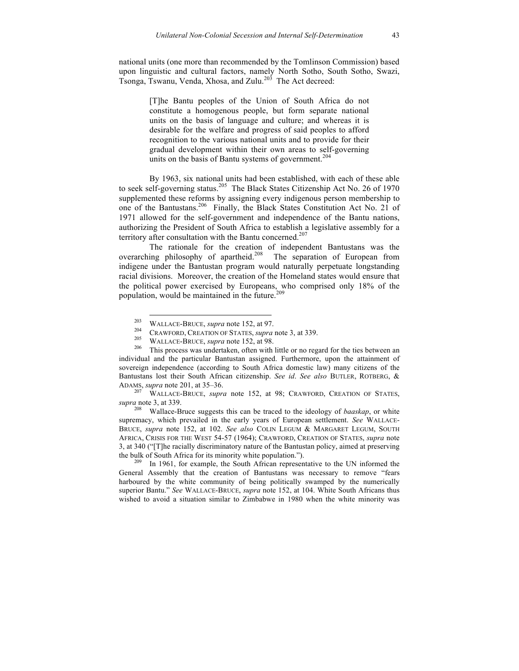national units (one more than recommended by the Tomlinson Commission) based upon linguistic and cultural factors, namely North Sotho, South Sotho, Swazi, Tsonga, Tswanu, Venda, Xhosa, and Zulu.<sup>203</sup> The Act decreed:

> [T]he Bantu peoples of the Union of South Africa do not constitute a homogenous people, but form separate national units on the basis of language and culture; and whereas it is desirable for the welfare and progress of said peoples to afford recognition to the various national units and to provide for their gradual development within their own areas to self-governing units on the basis of Bantu systems of government.<sup>204</sup>

By 1963, six national units had been established, with each of these able to seek self-governing status.<sup>205</sup> The Black States Citizenship Act No. 26 of 1970 supplemented these reforms by assigning every indigenous person membership to one of the Bantustans.<sup>206</sup> Finally, the Black States Constitution Act No. 21 of 1971 allowed for the self-government and independence of the Bantu nations, authorizing the President of South Africa to establish a legislative assembly for a territory after consultation with the Bantu concerned.<sup>207</sup>

The rationale for the creation of independent Bantustans was the overarching philosophy of apartheid. The separation of European from indigene under the Bantustan program would naturally perpetuate longstanding racial divisions. Moreover, the creation of the Homeland states would ensure that the political power exercised by Europeans, who comprised only 18% of the population, would be maintained in the future.<sup>209</sup>

*supra* note 3, at 339.

<sup>208</sup> Wallace-Bruce suggests this can be traced to the ideology of *baaskap*, or white supremacy, which prevailed in the early years of European settlement. *See* WALLACE-BRUCE, *supra* note 152, at 102. *See also* COLIN LEGUM & MARGARET LEGUM, SOUTH AFRICA, CRISIS FOR THE WEST 54-57 (1964); CRAWFORD, CREATION OF STATES, *supra* note 3, at 340 ("[T]he racially discriminatory nature of the Bantustan policy, aimed at preserving the bulk of South Africa for its minority white population.").<br><sup>209</sup> In 1961, for example, the South African representative to the UN informed the

General Assembly that the creation of Bantustans was necessary to remove "fears harboured by the white community of being politically swamped by the numerically superior Bantu." *See* WALLACE-BRUCE, *supra* note 152, at 104. White South Africans thus wished to avoid a situation similar to Zimbabwe in 1980 when the white minority was

<sup>&</sup>lt;sup>203</sup> WALLACE-BRUCE, *supra* note 152, at 97.<br>
<sup>204</sup> CRAWFORD, CREATION OF STATES, *supra* note 3, at 339.<br>
<sup>205</sup> WALLACE-BRUCE, *supra* note 152, at 98.<br>
<sup>206</sup> This process was undertaken, often with little or no regard individual and the particular Bantustan assigned. Furthermore, upon the attainment of sovereign independence (according to South Africa domestic law) many citizens of the Bantustans lost their South African citizenship. *See id*. *See also* BUTLER, ROTBERG, & ADAMS, *supra* note 201, at 35–36. <sup>207</sup> WALLACE-BRUCE, *supra* note 152, at 98; CRAWFORD, CREATION OF STATES,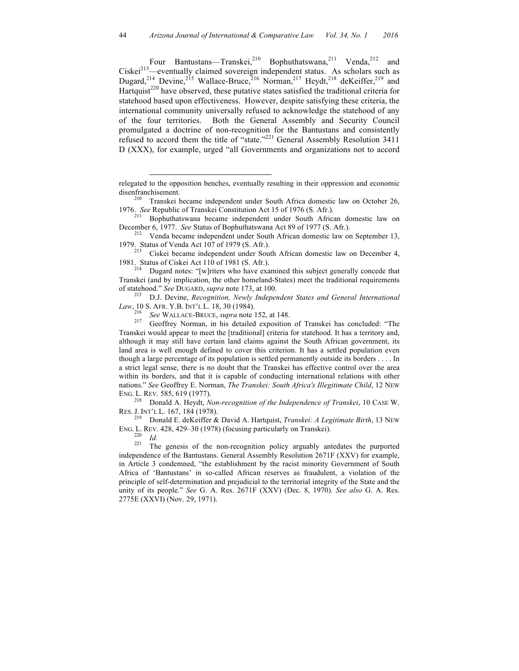Four Bantustans—Transkei,<sup>210</sup> Bophuthatswana,<sup>211</sup> Venda,<sup>212</sup> and  $Ciskei<sup>213</sup>$ —eventually claimed sovereign independent status. As scholars such as Dugard,<sup>214</sup> Devine,<sup>215</sup> Wallace-Bruce,<sup>216</sup> Norman,<sup>217</sup> Heydt,<sup>218</sup> deKeiffer,<sup>219</sup> and Hartquist<sup>220</sup> have observed, these putative states satisfied the traditional criteria for statehood based upon effectiveness. However, despite satisfying these criteria, the international community universally refused to acknowledge the statehood of any of the four territories. Both the General Assembly and Security Council promulgated a doctrine of non-recognition for the Bantustans and consistently refused to accord them the title of "state."<sup>221</sup> General Assembly Resolution 3411 D (XXX), for example, urged "all Governments and organizations not to accord

*Law*, 10 S. AFR. Y.B. INT'L L. 18, 30 (1984).<br><sup>216</sup> *See* WALLACE-BRUCE, *supra* note 152, at 148.<br><sup>217</sup> Geoffrey Norman, in his detailed exposition of Transkei has concluded: "The

Transkei would appear to meet the [traditional] criteria for statehood. It has a territory and, although it may still have certain land claims against the South African government, its land area is well enough defined to cover this criterion. It has a settled population even though a large percentage of its population is settled permanently outside its borders . . . . In a strict legal sense, there is no doubt that the Transkei has effective control over the area within its borders, and that it is capable of conducting international relations with other nations." *See* Geoffrey E. Norman, *The Transkei: South Africa's Illegitimate Child*, 12 NEW

ENG. L. REV. 585, 619 (1977). <sup>218</sup> Donald A. Heydt, *Non-recognition of the Independence of Transkei*, 10 CASE W.

RES. J. INT'L L. 167, 184 (1978). <sup>219</sup> Donald E. deKeiffer & David A. Hartquist, *Transkei: A Legitimate Birth*, 13 NEW

 $\overline{a}$ 

ENG. L. REV. 428, 429–30 (1978) (focusing particularly on Transkei).<br><sup>220</sup> *Id.* The genesis of the non-recognition policy arguably antedates the purported independence of the Bantustans. General Assembly Resolution 2671F (XXV) for example, in Article 3 condemned, "the establishment by the racist minority Government of South Africa of 'Bantustans' in so-called African reserves as fraudulent, a violation of the principle of self-determination and prejudicial to the territorial integrity of the State and the unity of its people." *See* G. A. Res. 2671F (XXV) (Dec. 8, 1970). *See also* G. A. Res. 2775E (XXVI) (Nov. 29, 1971).

relegated to the opposition benches, eventually resulting in their oppression and economic disenfranchisement.<br><sup>210</sup> Transkei became independent under South Africa domestic law on October 26,

<sup>1976.</sup> *See* Republic of Transkei Constitution Act 15 of 1976 (S. Afr.).<br><sup>211</sup> Bophuthatswana became independent under South African domestic law on<br>December 6, 1977. *See* Status of Bophuthatswana Act 89 of 1977 (S. Afr.).

<sup>&</sup>lt;sup>212</sup> Venda became independent under South African domestic law on September 13, 1979. Status of Venda Act 107 of 1979 (S. Afr.). <sup>213</sup> Ciskei became independent under South African domestic law on December 4,

<sup>1981.</sup> Status of Ciskei Act 110 of 1981 (S. Afr.).<br><sup>214</sup> Dugard notes: "[w]riters who have examined this subject generally concede that

Transkei (and by implication, the other homeland-States) meet the traditional requirements of statehood." *See* DUGARD, *supra* note 173, at 100. <sup>215</sup> D.J. Devine, *Recognition, Newly Independent States and General International*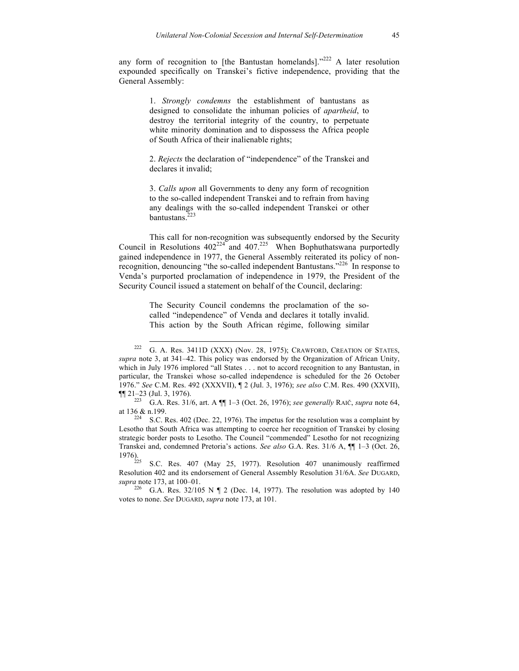any form of recognition to [the Bantustan homelands]."<sup>222</sup> A later resolution expounded specifically on Transkei's fictive independence, providing that the General Assembly:

> 1. *Strongly condemns* the establishment of bantustans as designed to consolidate the inhuman policies of *apartheid*, to destroy the territorial integrity of the country, to perpetuate white minority domination and to dispossess the Africa people of South Africa of their inalienable rights;

> 2. *Rejects* the declaration of "independence" of the Transkei and declares it invalid;

> 3. *Calls upon* all Governments to deny any form of recognition to the so-called independent Transkei and to refrain from having any dealings with the so-called independent Transkei or other bantustans.<sup>2</sup>

This call for non-recognition was subsequently endorsed by the Security Council in Resolutions  $402^{224}$  and  $407.2^{225}$  When Bophuthatswana purportedly gained independence in 1977, the General Assembly reiterated its policy of nonrecognition, denouncing "the so-called independent Bantustans."226 In response to Venda's purported proclamation of independence in 1979, the President of the Security Council issued a statement on behalf of the Council, declaring:

> The Security Council condemns the proclamation of the socalled "independence" of Venda and declares it totally invalid. This action by the South African régime, following similar

S.C. Res. 407 (May 25, 1977). Resolution 407 unanimously reaffirmed Resolution 402 and its endorsement of General Assembly Resolution 31/6A. *See* DUGARD, *supra* note 173, at 100–01.<br><sup>226</sup> G.A. Res. 32/105 N ¶ 2 (Dec. 14, 1977). The resolution was adopted by 140

G.A. Res. 32/105 N ¶ 2 (Dec. 14, 1977). The resolution was adopted by 140 votes to none. *See* DUGARD, *supra* note 173, at 101.

<sup>&</sup>lt;sup>222</sup> G. A. Res. 3411D (XXX) (Nov. 28, 1975); CRAWFORD, CREATION OF STATES, *supra* note 3, at 341–42. This policy was endorsed by the Organization of African Unity, which in July 1976 implored "all States . . . not to accord recognition to any Bantustan, in particular, the Transkei whose so-called independence is scheduled for the 26 October 1976." *See* C.M. Res. 492 (XXXVII), ¶ 2 (Jul. 3, 1976); *see also* C.M. Res. 490 (XXVII), ¶¶ 21–23 (Jul. 3, 1976).

<sup>223</sup> G.A. Res. 31/6, art. A ¶¶ 1–3 (Oct. 26, 1976); *see generally* RAIČ, *supra* note 64, at  $136$  & n.199.<br><sup>224</sup> S.C. Res. 402 (Dec. 22, 1976). The impetus for the resolution was a complaint by

Lesotho that South Africa was attempting to coerce her recognition of Transkei by closing strategic border posts to Lesotho. The Council "commended" Lesotho for not recognizing Transkei and, condemned Pretoria's actions. *See also* G.A. Res. 31/6 A,  $\P\P$  1–3 (Oct. 26, 1976).<br>1976).<br><sup>225</sup> S.G. B.r. 407, (May, 25, 1977). Beschitten, 407, unanimously, reaffirmed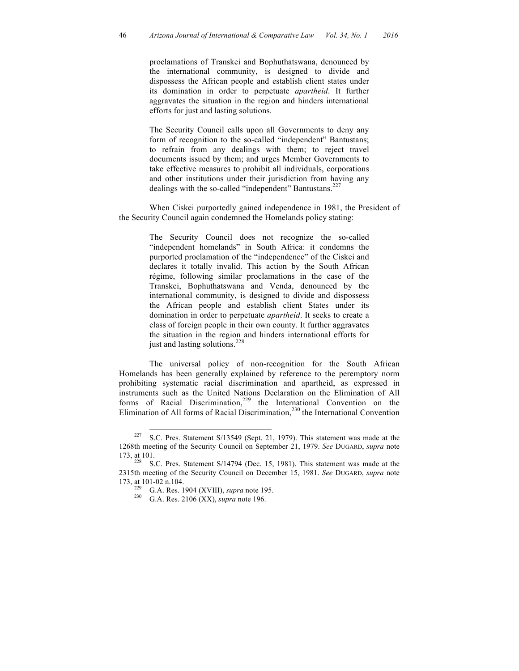proclamations of Transkei and Bophuthatswana, denounced by the international community, is designed to divide and dispossess the African people and establish client states under its domination in order to perpetuate *apartheid*. It further aggravates the situation in the region and hinders international efforts for just and lasting solutions.

The Security Council calls upon all Governments to deny any form of recognition to the so-called "independent" Bantustans; to refrain from any dealings with them; to reject travel documents issued by them; and urges Member Governments to take effective measures to prohibit all individuals, corporations and other institutions under their jurisdiction from having any dealings with the so-called "independent" Bantustans.<sup>227</sup>

When Ciskei purportedly gained independence in 1981, the President of the Security Council again condemned the Homelands policy stating:

> The Security Council does not recognize the so-called "independent homelands" in South Africa: it condemns the purported proclamation of the "independence" of the Ciskei and declares it totally invalid. This action by the South African régime, following similar proclamations in the case of the Transkei, Bophuthatswana and Venda, denounced by the international community, is designed to divide and dispossess the African people and establish client States under its domination in order to perpetuate *apartheid*. It seeks to create a class of foreign people in their own county. It further aggravates the situation in the region and hinders international efforts for just and lasting solutions.<sup>228</sup>

The universal policy of non-recognition for the South African Homelands has been generally explained by reference to the peremptory norm prohibiting systematic racial discrimination and apartheid, as expressed in instruments such as the United Nations Declaration on the Elimination of All forms of Racial Discrimination, <sup>229</sup> the International Convention on the Elimination of All forms of Racial Discrimination,<sup>230</sup> the International Convention

<sup>&</sup>lt;sup>227</sup> S.C. Pres. Statement S/13549 (Sept. 21, 1979). This statement was made at the 1268th meeting of the Security Council on September 21, 1979. *See* DUGARD, *supra* note

<sup>173,</sup> at 101.<br> $228$  S.C. Pres. Statement S/14794 (Dec. 15, 1981). This statement was made at the 2315th meeting of the Security Council on December 15, 1981. *See* DUGARD, *supra* note 173, at 101-02 n.104. 229 G.A. Res. 1904 (XVIII), *supra* note 195. <sup>230</sup> G.A. Res. 2106 (XX), *supra* note 196.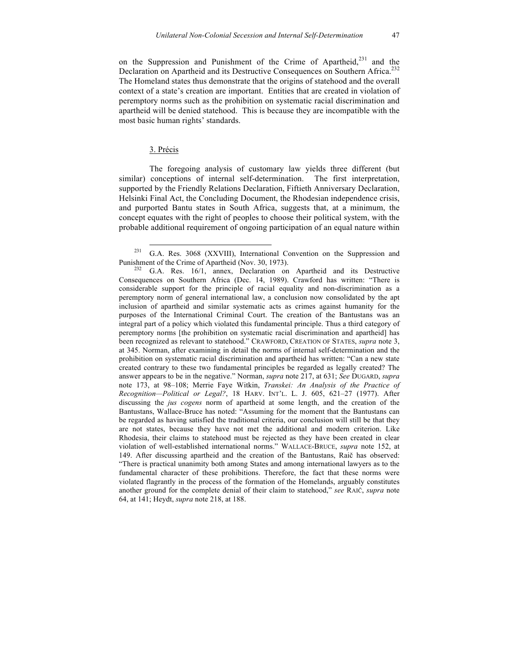on the Suppression and Punishment of the Crime of Apartheid, $^{231}$  and the Declaration on Apartheid and its Destructive Consequences on Southern Africa.<sup>232</sup> The Homeland states thus demonstrate that the origins of statehood and the overall context of a state's creation are important. Entities that are created in violation of peremptory norms such as the prohibition on systematic racial discrimination and apartheid will be denied statehood. This is because they are incompatible with the most basic human rights' standards.

#### 3. Précis

The foregoing analysis of customary law yields three different (but similar) conceptions of internal self-determination. The first interpretation, supported by the Friendly Relations Declaration, Fiftieth Anniversary Declaration, Helsinki Final Act, the Concluding Document, the Rhodesian independence crisis, and purported Bantu states in South Africa, suggests that, at a minimum, the concept equates with the right of peoples to choose their political system, with the probable additional requirement of ongoing participation of an equal nature within

<sup>&</sup>lt;sup>231</sup> G.A. Res. 3068 (XXVIII), International Convention on the Suppression and Punishment of the Crime of Apartheid (Nov. 30, 1973).

<sup>&</sup>lt;sup>232</sup> G.A. Res. 16/1, annex, Declaration on Apartheid and its Destructive Consequences on Southern Africa (Dec. 14, 1989). Crawford has written: "There is considerable support for the principle of racial equality and non-discrimination as a peremptory norm of general international law, a conclusion now consolidated by the apt inclusion of apartheid and similar systematic acts as crimes against humanity for the purposes of the International Criminal Court. The creation of the Bantustans was an integral part of a policy which violated this fundamental principle. Thus a third category of peremptory norms [the prohibition on systematic racial discrimination and apartheid] has been recognized as relevant to statehood." CRAWFORD, CREATION OF STATES, *supra* note 3, at 345. Norman, after examining in detail the norms of internal self-determination and the prohibition on systematic racial discrimination and apartheid has written: "Can a new state created contrary to these two fundamental principles be regarded as legally created? The answer appears to be in the negative." Norman, *supra* note 217, at 631; *See* DUGARD, *supra*  note 173, at 98–108; Merrie Faye Witkin, *Transkei: An Analysis of the Practice of Recognition—Political or Legal?*, 18 HARV. INT'L. L. J. 605, 621–27 (1977). After discussing the *jus cogens* norm of apartheid at some length, and the creation of the Bantustans, Wallace-Bruce has noted: "Assuming for the moment that the Bantustans can be regarded as having satisfied the traditional criteria, our conclusion will still be that they are not states, because they have not met the additional and modern criterion. Like Rhodesia, their claims to statehood must be rejected as they have been created in clear violation of well-established international norms." WALLACE-BRUCE, *supra* note 152, at 149. After discussing apartheid and the creation of the Bantustans, Raič has observed: "There is practical unanimity both among States and among international lawyers as to the fundamental character of these prohibitions. Therefore, the fact that these norms were violated flagrantly in the process of the formation of the Homelands, arguably constitutes another ground for the complete denial of their claim to statehood," *see* RAIČ, *supra* note 64, at 141; Heydt, *supra* note 218, at 188.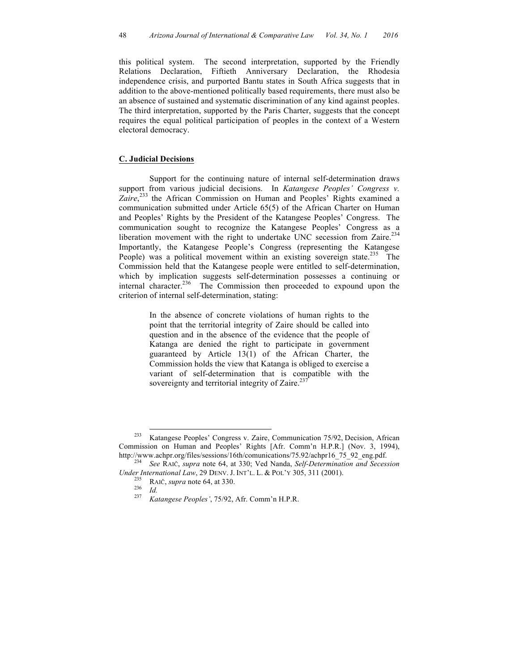this political system. The second interpretation, supported by the Friendly Relations Declaration, Fiftieth Anniversary Declaration, the Rhodesia independence crisis, and purported Bantu states in South Africa suggests that in addition to the above-mentioned politically based requirements, there must also be an absence of sustained and systematic discrimination of any kind against peoples. The third interpretation, supported by the Paris Charter, suggests that the concept requires the equal political participation of peoples in the context of a Western electoral democracy.

## **C. Judicial Decisions**

Support for the continuing nature of internal self-determination draws support from various judicial decisions. In *Katangese Peoples' Congress v.* Zaire,<sup>233</sup> the African Commission on Human and Peoples' Rights examined a communication submitted under Article 65(5) of the African Charter on Human and Peoples' Rights by the President of the Katangese Peoples' Congress. The communication sought to recognize the Katangese Peoples' Congress as a liberation movement with the right to undertake UNC secession from Zaire.<sup>234</sup> Importantly, the Katangese People's Congress (representing the Katangese People) was a political movement within an existing sovereign state.<sup>235</sup> The Commission held that the Katangese people were entitled to self-determination, which by implication suggests self-determination possesses a continuing or internal character.<sup>236</sup> The Commission then proceeded to expound upon the criterion of internal self-determination, stating:

> In the absence of concrete violations of human rights to the point that the territorial integrity of Zaire should be called into question and in the absence of the evidence that the people of Katanga are denied the right to participate in government guaranteed by Article 13(1) of the African Charter, the Commission holds the view that Katanga is obliged to exercise a variant of self-determination that is compatible with the sovereignty and territorial integrity of Zaire. $237$

 <sup>233</sup> Katangese Peoples' Congress v. Zaire, Communication 75/92, Decision, African Commission on Human and Peoples' Rights [Afr. Comm'n H.P.R.] (Nov. 3, 1994), http://www.achpr.org/files/sessions/16th/comunications/75.92/achpr16\_75\_92\_eng.pdf. <sup>234</sup> *See* RAIČ, *supra* note 64, at 330; Ved Nanda, *Self-Determination and Secession* 

*Under International Law*, 29 DENV. J. INT'L. L. & POL'Y 305, 311 (2001). 235 RAIČ, *supra* note 64, at 330. <sup>236</sup> *Id.* <sup>237</sup> *Katangese Peoples'*, 75/92, Afr. Comm'n H.P.R.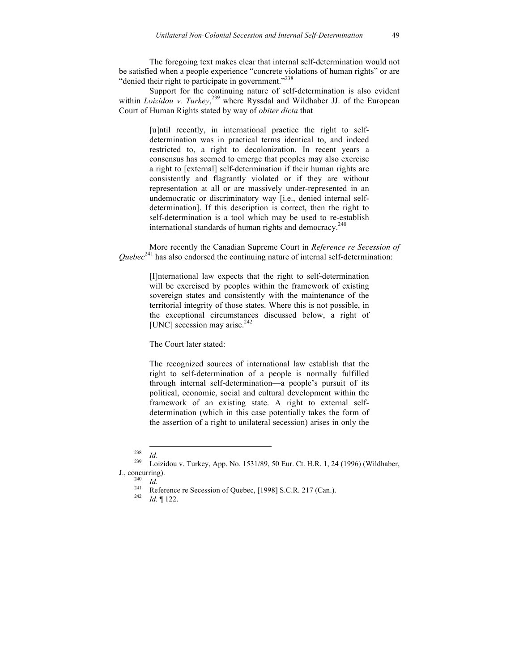The foregoing text makes clear that internal self-determination would not be satisfied when a people experience "concrete violations of human rights" or are "denied their right to participate in government."<sup>238</sup>

Support for the continuing nature of self-determination is also evident within *Loizidou v. Turkey*<sup>239</sup>, where Ryssdal and Wildhaber JJ. of the European Court of Human Rights stated by way of *obiter dicta* that

> [u]ntil recently, in international practice the right to selfdetermination was in practical terms identical to, and indeed restricted to, a right to decolonization. In recent years a consensus has seemed to emerge that peoples may also exercise a right to [external] self-determination if their human rights are consistently and flagrantly violated or if they are without representation at all or are massively under-represented in an undemocratic or discriminatory way [i.e., denied internal selfdetermination]. If this description is correct, then the right to self-determination is a tool which may be used to re-establish international standards of human rights and democracy.<sup>240</sup>

More recently the Canadian Supreme Court in *Reference re Secession of Quebec*<sup>241</sup> has also endorsed the continuing nature of internal self-determination:

> [I]nternational law expects that the right to self-determination will be exercised by peoples within the framework of existing sovereign states and consistently with the maintenance of the territorial integrity of those states. Where this is not possible, in the exceptional circumstances discussed below, a right of [UNC] secession may arise.<sup>242</sup>

The Court later stated:

The recognized sources of international law establish that the right to self-determination of a people is normally fulfilled through internal self-determination—a people's pursuit of its political, economic, social and cultural development within the framework of an existing state. A right to external selfdetermination (which in this case potentially takes the form of the assertion of a right to unilateral secession) arises in only the

<sup>238</sup> *Id*. <sup>239</sup> Loizidou v. Turkey, App. No. 1531/89, 50 Eur. Ct. H.R. 1, 24 (1996) (Wildhaber, J., concurring). <sup>240</sup> *Id.* <sup>241</sup> Reference re Secession of Quebec, [1998] S.C.R. 217 (Can.). <sup>242</sup> *Id.* ¶ 122.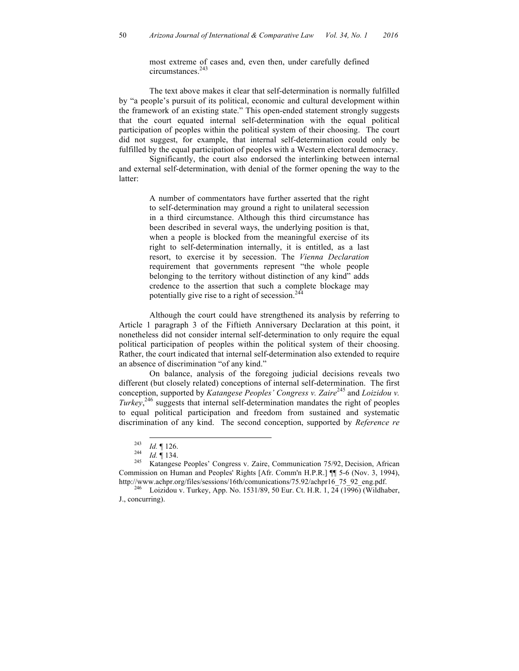most extreme of cases and, even then, under carefully defined circumstances.<sup>243</sup>

The text above makes it clear that self-determination is normally fulfilled by "a people's pursuit of its political, economic and cultural development within the framework of an existing state." This open-ended statement strongly suggests that the court equated internal self-determination with the equal political participation of peoples within the political system of their choosing. The court did not suggest, for example, that internal self-determination could only be fulfilled by the equal participation of peoples with a Western electoral democracy.

Significantly, the court also endorsed the interlinking between internal and external self-determination, with denial of the former opening the way to the latter:

> A number of commentators have further asserted that the right to self-determination may ground a right to unilateral secession in a third circumstance. Although this third circumstance has been described in several ways, the underlying position is that, when a people is blocked from the meaningful exercise of its right to self-determination internally, it is entitled, as a last resort, to exercise it by secession. The *Vienna Declaration* requirement that governments represent "the whole people belonging to the territory without distinction of any kind" adds credence to the assertion that such a complete blockage may potentially give rise to a right of secession.<sup>244</sup>

Although the court could have strengthened its analysis by referring to Article 1 paragraph 3 of the Fiftieth Anniversary Declaration at this point, it nonetheless did not consider internal self-determination to only require the equal political participation of peoples within the political system of their choosing. Rather, the court indicated that internal self-determination also extended to require an absence of discrimination "of any kind."

On balance, analysis of the foregoing judicial decisions reveals two different (but closely related) conceptions of internal self-determination. The first conception, supported by *Katangese Peoples' Congress v. Zaire*<sup>245</sup> and *Loizidou v. Turkey*, <sup>246</sup> suggests that internal self-determination mandates the right of peoples to equal political participation and freedom from sustained and systematic discrimination of any kind. The second conception, supported by *Reference re* 

<sup>243</sup> *Id.* ¶ 126. <sup>244</sup> *Id.* ¶ 134. <sup>245</sup> Katangese Peoples' Congress v. Zaire, Communication 75/92, Decision, African Commission on Human and Peoples' Rights [Afr. Comm'n H.P.R.] ¶¶ 5-6 (Nov. 3, 1994), http://www.achpr.org/files/sessions/16th/comunications/75.92/achpr16\_75\_92\_eng.pdf. <sup>246</sup> Loizidou v. Turkey, App. No. 1531/89, 50 Eur. Ct. H.R. 1, 24 (1996) (Wildhaber,

J., concurring).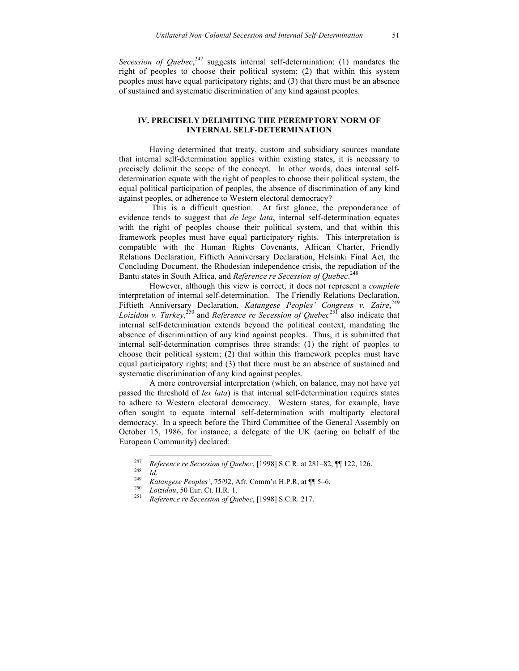*Secession of Quebec*,  $247$  suggests internal self-determination: (1) mandates the right of peoples to choose their political system; (2) that within this system peoples must have equal participatory rights; and (3) that there must be an absence of sustained and systematic discrimination of any kind against peoples.

## **IV. PRECISELY DELIMITING THE PEREMPTORY NORM OF INTERNAL SELF-DETERMINATION**

Having determined that treaty, custom and subsidiary sources mandate that internal self-determination applies within existing states, it is necessary to precisely delimit the scope of the concept. In other words, does internal selfdetermination equate with the right of peoples to choose their political system, the equal political participation of peoples, the absence of discrimination of any kind against peoples, or adherence to Western electoral democracy?

This is a difficult question. At first glance, the preponderance of evidence tends to suggest that *de lege lata*, internal self-determination equates with the right of peoples choose their political system, and that within this framework peoples must have equal participatory rights. This interpretation is compatible with the Human Rights Covenants, African Charter, Friendly Relations Declaration, Fiftieth Anniversary Declaration, Helsinki Final Act, the Concluding Document, the Rhodesian independence crisis, the repudiation of the Bantu states in South Africa, and *Reference re Secession of Quebec*. 248

However, although this view is correct, it does not represent a *complete* interpretation of internal self-determination. The Friendly Relations Declaration, Fiftieth Anniversary Declaration, *Katangese Peoples' Congress v. Zaire*, 249 *Loizidou v. Turkey*, <sup>250</sup> and *Reference re Secession of Quebec*<sup>251</sup> also indicate that internal self-determination extends beyond the political context, mandating the absence of discrimination of any kind against peoples. Thus, it is submitted that internal self-determination comprises three strands: (1) the right of peoples to choose their political system; (2) that within this framework peoples must have equal participatory rights; and (3) that there must be an absence of sustained and systematic discrimination of any kind against peoples.

A more controversial interpretation (which, on balance, may not have yet passed the threshold of *lex lata*) is that internal self-determination requires states to adhere to Western electoral democracy. Western states, for example, have often sought to equate internal self-determination with multiparty electoral democracy. In a speech before the Third Committee of the General Assembly on October 15, 1986, for instance, a delegate of the UK (acting on behalf of the European Community) declared:

- 
- 

<sup>&</sup>lt;sup>247</sup> Reference re Secession of Quebec, [1998] S.C.R. at 281–82,  $\P$  122, 126.<br><sup>248</sup> *Id. Katangese Peoples'*, 75/92, Afr. Comm'n H.P.R, at  $\P$  5–6.<br><sup>250</sup> *Loizidou*, 50 Eur. Ct. H.R. 1.<br><sup>251</sup> *Reference re Secession of*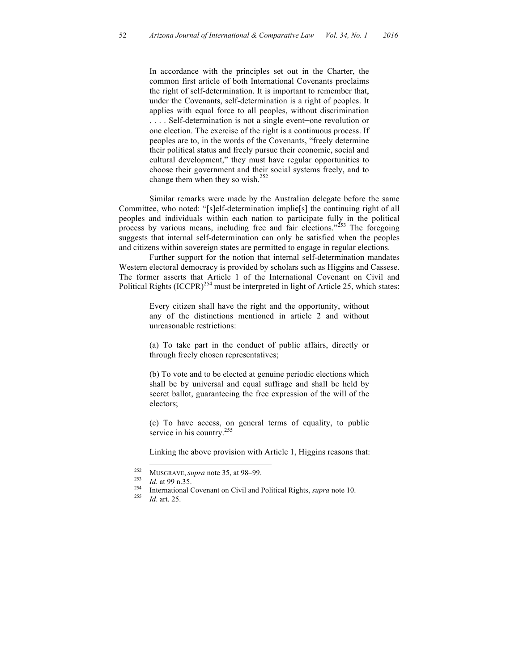In accordance with the principles set out in the Charter, the common first article of both International Covenants proclaims the right of self-determination. It is important to remember that, under the Covenants, self-determination is a right of peoples. It applies with equal force to all peoples, without discrimination . . . . Self-determination is not a single event—one revolution or one election. The exercise of the right is a continuous process. If peoples are to, in the words of the Covenants, "freely determine their political status and freely pursue their economic, social and cultural development," they must have regular opportunities to choose their government and their social systems freely, and to change them when they so wish.<sup>252</sup>

Similar remarks were made by the Australian delegate before the same Committee, who noted: "[s]elf-determination implie[s] the continuing right of all peoples and individuals within each nation to participate fully in the political process by various means, including free and fair elections."<sup>253</sup> The foregoing suggests that internal self-determination can only be satisfied when the peoples and citizens within sovereign states are permitted to engage in regular elections.

Further support for the notion that internal self-determination mandates Western electoral democracy is provided by scholars such as Higgins and Cassese. The former asserts that Article 1 of the International Covenant on Civil and Political Rights (ICCPR)<sup>254</sup> must be interpreted in light of Article 25, which states:

> Every citizen shall have the right and the opportunity, without any of the distinctions mentioned in article 2 and without unreasonable restrictions:

> (a) To take part in the conduct of public affairs, directly or through freely chosen representatives;

> (b) To vote and to be elected at genuine periodic elections which shall be by universal and equal suffrage and shall be held by secret ballot, guaranteeing the free expression of the will of the electors;

> (c) To have access, on general terms of equality, to public service in his country.<sup>255</sup>

> Linking the above provision with Article 1, Higgins reasons that:

<sup>252</sup> MUSGRAVE, *supra* note 35, at 98–99.<br>
253 *Id.* at 99 n.35.<br>
254 International Covenant on Civil and Political Rights, *supra* note 10.<br>
255 *Id.* art. 25.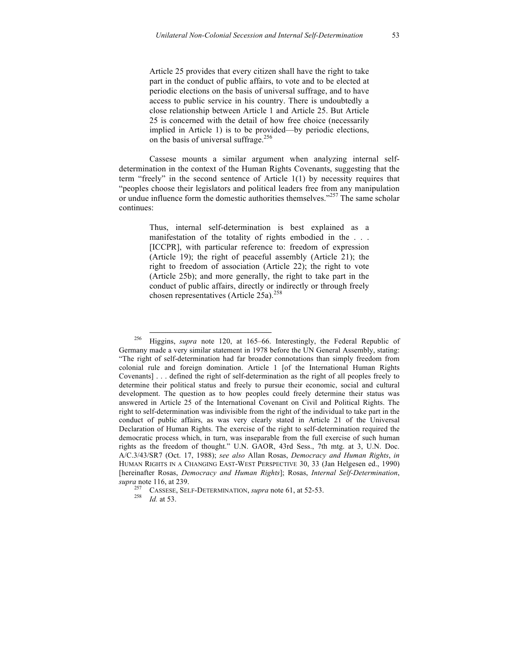Article 25 provides that every citizen shall have the right to take part in the conduct of public affairs, to vote and to be elected at periodic elections on the basis of universal suffrage, and to have access to public service in his country. There is undoubtedly a close relationship between Article 1 and Article 25. But Article 25 is concerned with the detail of how free choice (necessarily implied in Article 1) is to be provided—by periodic elections, on the basis of universal suffrage.<sup>256</sup>

Cassese mounts a similar argument when analyzing internal selfdetermination in the context of the Human Rights Covenants, suggesting that the term "freely" in the second sentence of Article 1(1) by necessity requires that "peoples choose their legislators and political leaders free from any manipulation or undue influence form the domestic authorities themselves."<sup>257</sup> The same scholar continues:

> Thus, internal self-determination is best explained as a manifestation of the totality of rights embodied in the . . . [ICCPR], with particular reference to: freedom of expression (Article 19); the right of peaceful assembly (Article 21); the right to freedom of association (Article 22); the right to vote (Article 25b); and more generally, the right to take part in the conduct of public affairs, directly or indirectly or through freely chosen representatives (Article 25a).<sup>258</sup>

 <sup>256</sup> Higgins, *supra* note 120, at 165–66. Interestingly, the Federal Republic of Germany made a very similar statement in 1978 before the UN General Assembly, stating: "The right of self-determination had far broader connotations than simply freedom from colonial rule and foreign domination. Article 1 [of the International Human Rights Covenants] . . . defined the right of self-determination as the right of all peoples freely to determine their political status and freely to pursue their economic, social and cultural development. The question as to how peoples could freely determine their status was answered in Article 25 of the International Covenant on Civil and Political Rights. The right to self-determination was indivisible from the right of the individual to take part in the conduct of public affairs, as was very clearly stated in Article 21 of the Universal Declaration of Human Rights. The exercise of the right to self-determination required the democratic process which, in turn, was inseparable from the full exercise of such human rights as the freedom of thought." U.N. GAOR, 43rd Sess., 7th mtg. at 3, U.N. Doc. A/C.3/43/SR7 (Oct. 17, 1988); *see also* Allan Rosas, *Democracy and Human Rights*, *in* HUMAN RIGHTS IN A CHANGING EAST-WEST PERSPECTIVE 30, 33 (Jan Helgesen ed., 1990) [hereinafter Rosas, *Democracy and Human Rights*]; Rosas, *Internal Self-Determination*, *supra* note 116, at 239.

<sup>257</sup> CASSESE, SELF-DETERMINATION, *supra* note 61, at 52-53. <sup>258</sup> *Id.* at 53.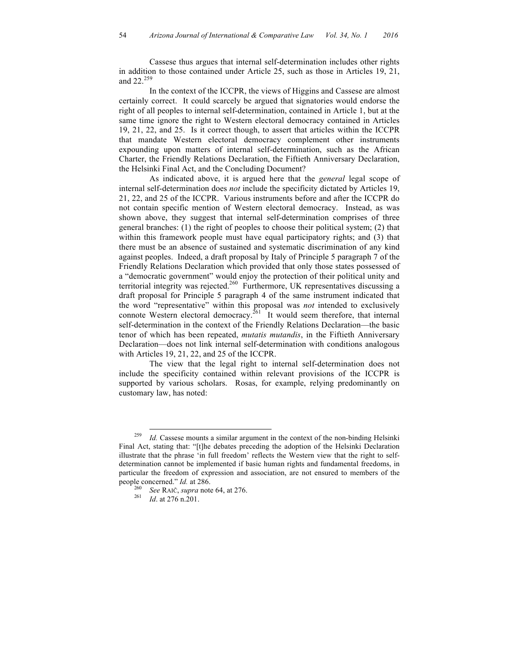Cassese thus argues that internal self-determination includes other rights in addition to those contained under Article 25, such as those in Articles 19, 21, and 22.<sup>259</sup>

In the context of the ICCPR, the views of Higgins and Cassese are almost certainly correct. It could scarcely be argued that signatories would endorse the right of all peoples to internal self-determination, contained in Article 1, but at the same time ignore the right to Western electoral democracy contained in Articles 19, 21, 22, and 25. Is it correct though, to assert that articles within the ICCPR that mandate Western electoral democracy complement other instruments expounding upon matters of internal self-determination, such as the African Charter, the Friendly Relations Declaration, the Fiftieth Anniversary Declaration, the Helsinki Final Act, and the Concluding Document?

As indicated above, it is argued here that the *general* legal scope of internal self-determination does *not* include the specificity dictated by Articles 19, 21, 22, and 25 of the ICCPR. Various instruments before and after the ICCPR do not contain specific mention of Western electoral democracy. Instead, as was shown above, they suggest that internal self-determination comprises of three general branches: (1) the right of peoples to choose their political system; (2) that within this framework people must have equal participatory rights; and (3) that there must be an absence of sustained and systematic discrimination of any kind against peoples. Indeed, a draft proposal by Italy of Principle 5 paragraph 7 of the Friendly Relations Declaration which provided that only those states possessed of a "democratic government" would enjoy the protection of their political unity and territorial integrity was rejected. 260 Furthermore, UK representatives discussing a draft proposal for Principle 5 paragraph 4 of the same instrument indicated that the word "representative" within this proposal was *not* intended to exclusively connote Western electoral democracy.<sup>261</sup> It would seem therefore, that internal self-determination in the context of the Friendly Relations Declaration—the basic tenor of which has been repeated, *mutatis mutandis*, in the Fiftieth Anniversary Declaration—does not link internal self-determination with conditions analogous with Articles 19, 21, 22, and 25 of the ICCPR.

The view that the legal right to internal self-determination does not include the specificity contained within relevant provisions of the ICCPR is supported by various scholars. Rosas, for example, relying predominantly on customary law, has noted:

<sup>&</sup>lt;sup>259</sup> *Id.* Cassese mounts a similar argument in the context of the non-binding Helsinki Final Act, stating that: "[t]he debates preceding the adoption of the Helsinki Declaration illustrate that the phrase 'in full freedom' reflects the Western view that the right to selfdetermination cannot be implemented if basic human rights and fundamental freedoms, in particular the freedom of expression and association, are not ensured to members of the people concerned." *Id.* at 286.<br><sup>260</sup> *See* RAIČ, *supra* note 64, at 276.<br><sup>261</sup> *Id.* at 276 n.201.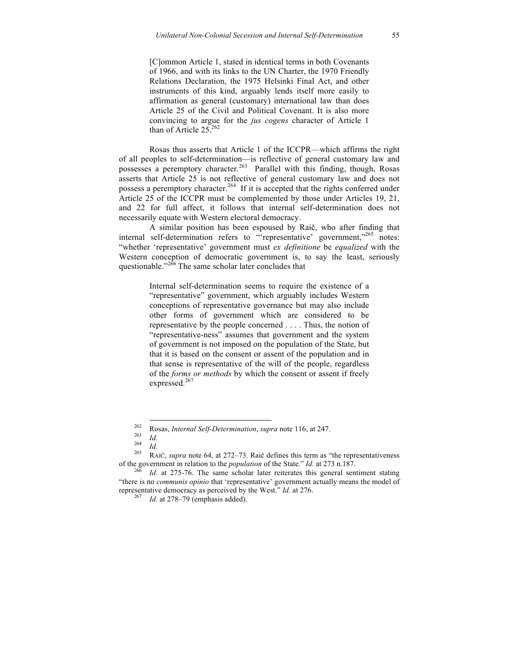[C]ommon Article 1, stated in identical terms in both Covenants of 1966, and with its links to the UN Charter, the 1970 Friendly Relations Declaration, the 1975 Helsinki Final Act, and other instruments of this kind, arguably lends itself more easily to affirmation as general (customary) international law than does Article 25 of the Civil and Political Covenant. It is also more convincing to argue for the *jus cogens* character of Article 1 than of Article  $25.262$ 

Rosas thus asserts that Article 1 of the ICCPR—which affirms the right of all peoples to self-determination—is reflective of general customary law and possesses a peremptory character.<sup>263</sup> Parallel with this finding, though, Rosas asserts that Article 25 is not reflective of general customary law and does not possess a peremptory character.<sup>264</sup> If it is accepted that the rights conferred under Article 25 of the ICCPR must be complemented by those under Articles 19, 21, and 22 for full affect, it follows that internal self-determination does not necessarily equate with Western electoral democracy.

A similar position has been espoused by Raič, who after finding that internal self-determination refers to "representative' government,"<sup>265</sup> notes: "whether 'representative' government must *ex definitione* be *equalized* with the Western conception of democratic government is, to say the least, seriously questionable."<sup>266</sup> The same scholar later concludes that

> Internal self-determination seems to require the existence of a "representative" government, which arguably includes Western conceptions of representative governance but may also include other forms of government which are considered to be representative by the people concerned . . . . Thus, the notion of "representative-ness" assumes that government and the system of government is not imposed on the population of the State, but that it is based on the consent or assent of the population and in that sense is representative of the will of the people, regardless of the *forms or methods* by which the consent or assent if freely expressed.<sup>267</sup>

<sup>262</sup> Rosas, *Internal Self-Determination*, *supra* note 116, at 247.<br>
264 *Id.*<br>
265 RAIČ, *supra* note 64, at 272–73. Raič defines this term as "the representativeness of the government in relation to the *population* of the State." *Id.* at 273 n.187.<br><sup>266</sup> *Id.* at 275-76. The same scholar later reiterates this general sentiment stating

<sup>&</sup>quot;there is no *communis opinio* that 'representative' government actually means the model of representative democracy as perceived by the West." *Id.* at 276. <sup>267</sup> *Id.* at 278–79 (emphasis added).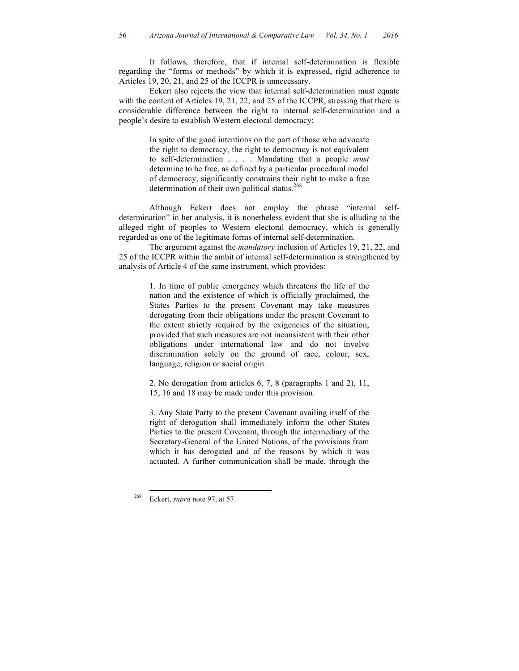It follows, therefore, that if internal self-determination is flexible regarding the "forms or methods" by which it is expressed, rigid adherence to Articles 19, 20, 21, and 25 of the ICCPR is unnecessary.

Eckert also rejects the view that internal self-determination must equate with the content of Articles 19, 21, 22, and 25 of the ICCPR, stressing that there is considerable difference between the right to internal self-determination and a people's desire to establish Western electoral democracy:

> In spite of the good intentions on the part of those who advocate the right to democracy, the right to democracy is not equivalent to self-determination . . . . Mandating that a people *must* determine to be free, as defined by a particular procedural model of democracy, significantly constrains their right to make a free determination of their own political status.<sup>268</sup>

Although Eckert does not employ the phrase "internal selfdetermination" in her analysis, it is nonetheless evident that she is alluding to the alleged right of peoples to Western electoral democracy, which is generally regarded as one of the legitimate forms of internal self-determination.

The argument against the *mandatory* inclusion of Articles 19, 21, 22, and 25 of the ICCPR within the ambit of internal self-determination is strengthened by analysis of Article 4 of the same instrument, which provides:

> 1. In time of public emergency which threatens the life of the nation and the existence of which is officially proclaimed, the States Parties to the present Covenant may take measures derogating from their obligations under the present Covenant to the extent strictly required by the exigencies of the situation, provided that such measures are not inconsistent with their other obligations under international law and do not involve discrimination solely on the ground of race, colour, sex, language, religion or social origin.

> 2. No derogation from articles 6, 7, 8 (paragraphs 1 and 2), 11, 15, 16 and 18 may be made under this provision.

> 3. Any State Party to the present Covenant availing itself of the right of derogation shall immediately inform the other States Parties to the present Covenant, through the intermediary of the Secretary-General of the United Nations, of the provisions from which it has derogated and of the reasons by which it was actuated. A further communication shall be made, through the

 <sup>268</sup> Eckert, *supra* note 97, at 57.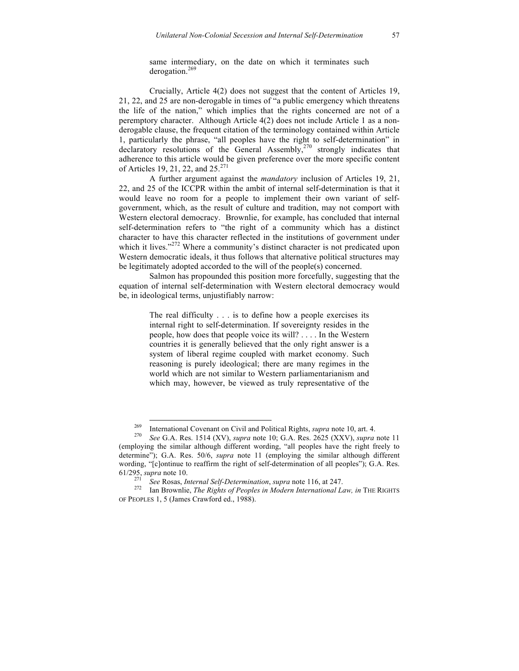same intermediary, on the date on which it terminates such derogation.<sup>269</sup>

Crucially, Article 4(2) does not suggest that the content of Articles 19, 21, 22, and 25 are non-derogable in times of "a public emergency which threatens the life of the nation," which implies that the rights concerned are not of a peremptory character. Although Article 4(2) does not include Article 1 as a nonderogable clause, the frequent citation of the terminology contained within Article 1, particularly the phrase, "all peoples have the right to self-determination" in declaratory resolutions of the General Assembly,<sup>270</sup> strongly indicates that adherence to this article would be given preference over the more specific content of Articles 19, 21, 22, and 25.<sup>271</sup>

A further argument against the *mandatory* inclusion of Articles 19, 21, 22, and 25 of the ICCPR within the ambit of internal self-determination is that it would leave no room for a people to implement their own variant of selfgovernment, which, as the result of culture and tradition, may not comport with Western electoral democracy. Brownlie, for example, has concluded that internal self-determination refers to "the right of a community which has a distinct character to have this character reflected in the institutions of government under which it lives."<sup>272</sup> Where a community's distinct character is not predicated upon Western democratic ideals, it thus follows that alternative political structures may be legitimately adopted accorded to the will of the people(s) concerned.

Salmon has propounded this position more forcefully, suggesting that the equation of internal self-determination with Western electoral democracy would be, in ideological terms, unjustifiably narrow:

> The real difficulty . . . is to define how a people exercises its internal right to self-determination. If sovereignty resides in the people, how does that people voice its will? . . . . In the Western countries it is generally believed that the only right answer is a system of liberal regime coupled with market economy. Such reasoning is purely ideological; there are many regimes in the world which are not similar to Western parliamentarianism and which may, however, be viewed as truly representative of the

<sup>269</sup> International Covenant on Civil and Political Rights, *supra* note 10, art. 4. <sup>270</sup> *See* G.A. Res. 1514 (XV), *supra* note 10; G.A. Res. 2625 (XXV), *supra* note 11

<sup>(</sup>employing the similar although different wording, "all peoples have the right freely to determine"); G.A. Res. 50/6, *supra* note 11 (employing the similar although different wording, "[c]ontinue to reaffirm the right of self-determination of all peoples"); G.A. Res. 61/295, *supra* note 10. <sup>271</sup> *See* Rosas, *Internal Self-Determination*, *supra* note 116, at 247. <sup>272</sup> Ian Brownlie, *The Rights of Peoples in Modern International Law, in* THE RIGHTS

OF PEOPLES 1, 5 (James Crawford ed., 1988).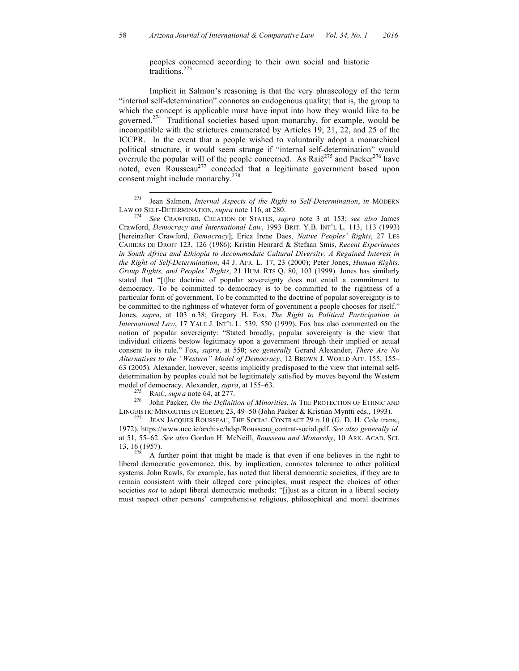peoples concerned according to their own social and historic traditions.<sup>273</sup>

Implicit in Salmon's reasoning is that the very phraseology of the term "internal self-determination" connotes an endogenous quality; that is, the group to which the concept is applicable must have input into how they would like to be governed.<sup>274</sup> Traditional societies based upon monarchy, for example, would be incompatible with the strictures enumerated by Articles 19, 21, 22, and 25 of the ICCPR. In the event that a people wished to voluntarily adopt a monarchical political structure, it would seem strange if "internal self-determination" would overrule the popular will of the people concerned. As Rai $\check{c}^{275}$  and Packer<sup>276</sup> have noted, even Rousseau<sup>277</sup> conceded that a legitimate government based upon consent might include monarchy.<sup>278</sup>

model of democracy. Alexander, *supra*, at 155–63.<br><sup>275</sup> RAIČ, *supra* note 64, at 277.<br><sup>276</sup> John Packer, *On the Definition of Minorities*, *in* THE PROTECTION OF ETHNIC AND LINGUISTIC MINORITIES IN EUROPE 23, 49–50 (John Packer & Kristian Myntti eds., 1993).<br><sup>277</sup> JEAN JACQUES ROUSSEAU, THE SOCIAL CONTRACT 29 n.10 (G. D. H. Cole trans.,

1972), https://www.ucc.ie/archive/hdsp/Rousseau\_contrat-social.pdf. *See also generally id.* at 51, 55–62. *See also* Gordon H. McNeill, *Rousseau and Monarchy*, 10 ARK. ACAD. SCI. 13, 16 (1957).<br><sup>278</sup> A further point that might be made is that even if one believes in the right to

liberal democratic governance, this, by implication, connotes tolerance to other political systems. John Rawls, for example, has noted that liberal democratic societies, if they are to remain consistent with their alleged core principles, must respect the choices of other societies *not* to adopt liberal democratic methods: "[j]ust as a citizen in a liberal society must respect other persons' comprehensive religious, philosophical and moral doctrines

<sup>&</sup>lt;sup>273</sup> Jean Salmon, *Internal Aspects of the Right to Self-Determination*, *in* MODERN LAW OF SELF-DETERMINATION, *supra* note 116, at 280.

LAW OF SELF-DETERMINATION, *supra* note 116, at 280. <sup>274</sup> *See* CRAWFORD, CREATION OF STATES, *supra* note 3 at 153; *see also* James Crawford, *Democracy and International Law*, 1993 BRIT. Y.B. INT'L L. 113, 113 (1993) [hereinafter Crawford, *Democracy*]; Erica Irene Daes, *Native Peoples' Rights*, 27 LES CAHIERS DE DROIT 123, 126 (1986); Kristin Henrard & Stefaan Smis, *Recent Experiences in South Africa and Ethiopia to Accommodate Cultural Diversity: A Regained Interest in the Right of Self-Determination*, 44 J. AFR. L. 17, 23 (2000); Peter Jones, *Human Rights, Group Rights, and Peoples' Rights*, 21 HUM. RTS Q. 80, 103 (1999). Jones has similarly stated that "[t]he doctrine of popular sovereignty does not entail a commitment to democracy. To be committed to democracy is to be committed to the rightness of a particular form of government. To be committed to the doctrine of popular sovereignty is to be committed to the rightness of whatever form of government a people chooses for itself." Jones, *supra*, at 103 n.38; Gregory H. Fox, *The Right to Political Participation in International Law*, 17 YALE J. INT'L L. 539, 550 (1999). Fox has also commented on the notion of popular sovereignty: "Stated broadly, popular sovereignty is the view that individual citizens bestow legitimacy upon a government through their implied or actual consent to its rule." Fox, *supra*, at 550; *see generally* Gerard Alexander, *There Are No Alternatives to the "Western" Model of Democracy*, 12 BROWN J. WORLD AFF. 155, 155– 63 (2005). Alexander, however, seems implicitly predisposed to the view that internal selfdetermination by peoples could not be legitimately satisfied by moves beyond the Western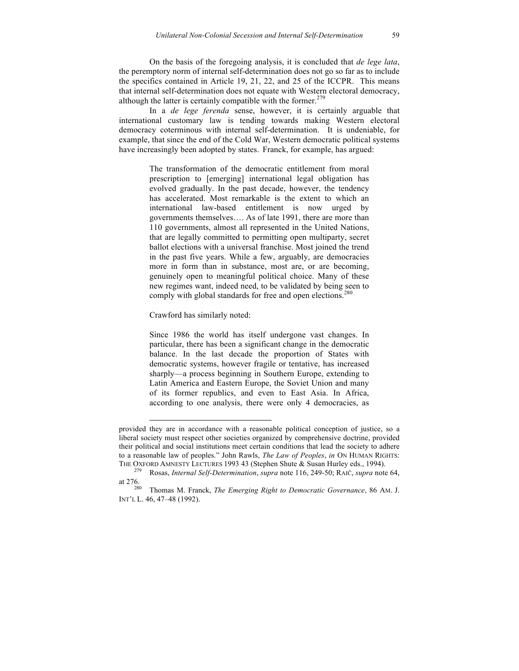On the basis of the foregoing analysis, it is concluded that *de lege lata*, the peremptory norm of internal self-determination does not go so far as to include the specifics contained in Article 19, 21, 22, and 25 of the ICCPR. This means that internal self-determination does not equate with Western electoral democracy, although the latter is certainly compatible with the former. $279$ 

In a *de lege ferenda* sense, however, it is certainly arguable that international customary law is tending towards making Western electoral democracy coterminous with internal self-determination. It is undeniable, for example, that since the end of the Cold War, Western democratic political systems have increasingly been adopted by states. Franck, for example, has argued:

> The transformation of the democratic entitlement from moral prescription to [emerging] international legal obligation has evolved gradually. In the past decade, however, the tendency has accelerated. Most remarkable is the extent to which an international law-based entitlement is now urged by governments themselves…. As of late 1991, there are more than 110 governments, almost all represented in the United Nations, that are legally committed to permitting open multiparty, secret ballot elections with a universal franchise. Most joined the trend in the past five years. While a few, arguably, are democracies more in form than in substance, most are, or are becoming, genuinely open to meaningful political choice. Many of these new regimes want, indeed need, to be validated by being seen to comply with global standards for free and open elections.<sup>280</sup>

Crawford has similarly noted:

 $\overline{a}$ 

Since 1986 the world has itself undergone vast changes. In particular, there has been a significant change in the democratic balance. In the last decade the proportion of States with democratic systems, however fragile or tentative, has increased sharply—a process beginning in Southern Europe, extending to Latin America and Eastern Europe, the Soviet Union and many of its former republics, and even to East Asia. In Africa, according to one analysis, there were only 4 democracies, as

provided they are in accordance with a reasonable political conception of justice, so a liberal society must respect other societies organized by comprehensive doctrine, provided their political and social institutions meet certain conditions that lead the society to adhere to a reasonable law of peoples." John Rawls, *The Law of Peoples*, *in* ON HUMAN RIGHTS:

THE OXFORD AMNESTY LECTURES 1993 43 (Stephen Shute & Susan Hurley eds., 1994).<br><sup>279</sup> Rosas, *Internal Self-Determination*, *supra* note 116, 249-50; RAIČ, *supra* note 64, at 276.

Thomas M. Franck, *The Emerging Right to Democratic Governance*, 86 AM. J. INT'L L. 46, 47–48 (1992).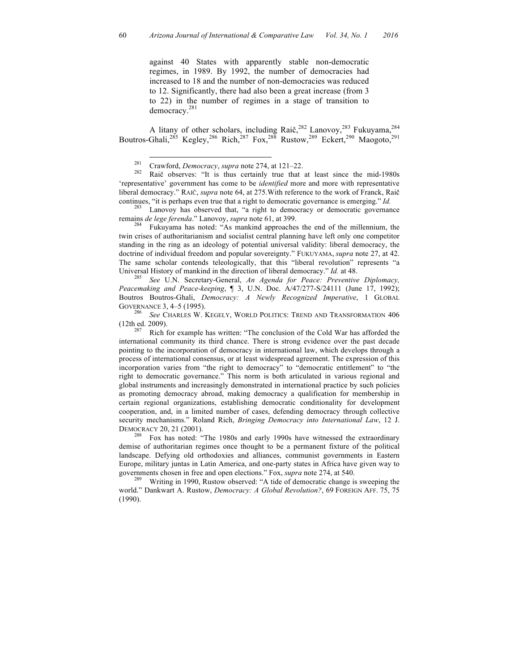against 40 States with apparently stable non-democratic regimes, in 1989. By 1992, the number of democracies had increased to 18 and the number of non-democracies was reduced to 12. Significantly, there had also been a great increase (from 3 to 22) in the number of regimes in a stage of transition to democracy.<sup>281</sup>

A litany of other scholars, including Raič,  $282$  Lanovoy,  $283$  Fukuyama,  $284$ Boutros-Ghali,<sup>285</sup> Kegley,<sup>286</sup> Rich,<sup>287</sup> Fox,<sup>288</sup> Rustow,<sup>289</sup> Eckert,<sup>290</sup> Maogoto,<sup>291</sup>

<sup>281</sup> Crawford, *Democracy*, *supra* note 274, at 121–22.<br><sup>282</sup> Raič observes: "It is thus certainly true that at least since the mid-1980s 'representative' government has come to be *identified* more and more with representative liberal democracy." RAIČ, *supra* note 64, at 275.With reference to the work of Franck, Raič

continues, "it is perhaps even true that a right to democratic governance is emerging." *Id.* 283 Lanovoy has observed that, "a right to democracy or democratic governance remains *de lege ferenda*." Lanovoy, *supra* note 61, at 399.<br><sup>284</sup> Fukuyama has noted: "As mankind approaches the end of the millennium, the

twin crises of authoritarianism and socialist central planning have left only one competitor standing in the ring as an ideology of potential universal validity: liberal democracy, the doctrine of individual freedom and popular sovereignty." FUKUYAMA, *supra* note 27, at 42. The same scholar contends teleologically, that this "liberal revolution" represents "a Universal History of mankind in the direction of liberal democracy." *Id.* at 48.<br><sup>285</sup> *See* U.N. Secretary-General, *An Agenda for Peace: Preventive Diplomacy*,

*Peacemaking and Peace-keeping*, ¶ 3, U.N. Doc. A/47/277-S/24111 (June 17, 1992); Boutros Boutros-Ghali, *Democracy: A Newly Recognized Imperative*, 1 GLOBAL GOVERNANCE 3, 4–5 (1995).<br><sup>286</sup> *See* Charles W. Kegely, World Politics: Trend and Transformation 406

(12th ed. 2009).<br><sup>287</sup> Rich for example has written: "The conclusion of the Cold War has afforded the

international community its third chance. There is strong evidence over the past decade pointing to the incorporation of democracy in international law, which develops through a process of international consensus, or at least widespread agreement. The expression of this incorporation varies from "the right to democracy" to "democratic entitlement" to "the right to democratic governance." This norm is both articulated in various regional and global instruments and increasingly demonstrated in international practice by such policies as promoting democracy abroad, making democracy a qualification for membership in certain regional organizations, establishing democratic conditionality for development cooperation, and, in a limited number of cases, defending democracy through collective security mechanisms." Roland Rich, *Bringing Democracy into International Law*, 12 J. DEMOCRACY 20, 21 (2001).<br><sup>288</sup> Fox has noted: "The 1980s and early 1990s have witnessed the extraordinary

demise of authoritarian regimes once thought to be a permanent fixture of the political landscape. Defying old orthodoxies and alliances, communist governments in Eastern Europe, military juntas in Latin America, and one-party states in Africa have given way to governments chosen in free and open elections." Fox, *supra* note 274, at 540.<br><sup>289</sup> Writing in 1990, Rustow observed: "A tide of democratic change is sweeping the

world." Dankwart A. Rustow, *Democracy: A Global Revolution?*, 69 FOREIGN AFF. 75, 75 (1990).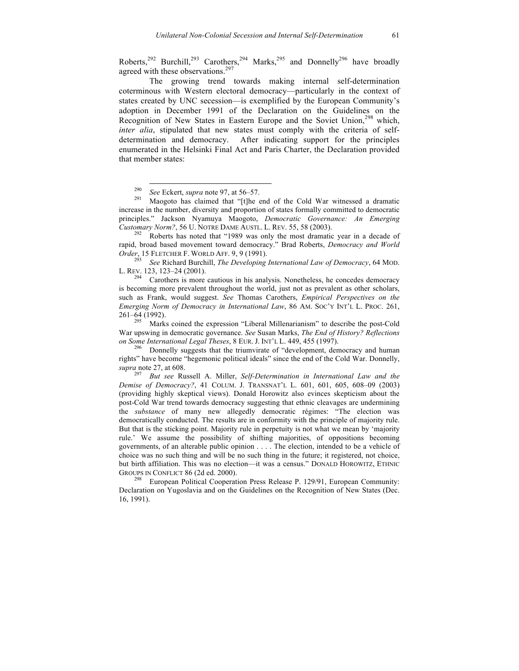Roberts,<sup>292</sup> Burchill,<sup>293</sup> Carothers,<sup>294</sup> Marks,<sup>295</sup> and Donnelly<sup>296</sup> have broadly agreed with these observations.<sup>297</sup>

The growing trend towards making internal self-determination coterminous with Western electoral democracy—particularly in the context of states created by UNC secession—is exemplified by the European Community's adoption in December 1991 of the Declaration on the Guidelines on the Recognition of New States in Eastern Europe and the Soviet Union,<sup>298</sup> which, *inter alia*, stipulated that new states must comply with the criteria of selfdetermination and democracy. After indicating support for the principles enumerated in the Helsinki Final Act and Paris Charter, the Declaration provided that member states:

rapid, broad based movement toward democracy." Brad Roberts, *Democracy and World Order*, 15 FLETCHER F. WORLD AFF. 9, 9 (1991). <sup>293</sup> *See* Richard Burchill, *The Developing International Law of Democracy*, 64 MOD.

L. REV. 123, 123–24 (2001).<br><sup>294</sup> Carothers is more cautious in his analysis. Nonetheless, he concedes democracy

is becoming more prevalent throughout the world, just not as prevalent as other scholars, such as Frank, would suggest. *See* Thomas Carothers, *Empirical Perspectives on the Emerging Norm of Democracy in International Law*, 86 AM. SOC'Y INT'L L. PROC. 261, 261–64 (1992).

Marks coined the expression "Liberal Millenarianism" to describe the post-Cold War upswing in democratic governance. *See* Susan Marks, *The End of History? Reflections* 

<sup>5</sup> Donnelly suggests that the triumvirate of "development, democracy and human rights" have become "hegemonic political ideals" since the end of the Cold War. Donnelly, *supra* note 27, at 608.

<sup>297</sup> *But see* Russell A. Miller, *Self-Determination in International Law and the Demise of Democracy?*, 41 COLUM. J. TRANSNAT'L L. 601, 601, 605, 608–09 (2003) (providing highly skeptical views). Donald Horowitz also evinces skepticism about the post-Cold War trend towards democracy suggesting that ethnic cleavages are undermining the *substance* of many new allegedly democratic régimes: "The election was democratically conducted. The results are in conformity with the principle of majority rule. But that is the sticking point. Majority rule in perpetuity is not what we mean by 'majority rule.' We assume the possibility of shifting majorities, of oppositions becoming governments, of an alterable public opinion . . . . The election, intended to be a vehicle of choice was no such thing and will be no such thing in the future; it registered, not choice, but birth affiliation. This was no election—it was a census." DONALD HOROWITZ, ETHNIC GROUPS IN CONFLICT 86 (2d ed. 2000).<br><sup>298</sup> European Political Cooperation Press Release P. 129/91, European Community:

Declaration on Yugoslavia and on the Guidelines on the Recognition of New States (Dec. 16, 1991).

<sup>&</sup>lt;sup>290</sup> *See* Eckert, *supra* note 97, at 56–57.<br><sup>291</sup> Maogoto has claimed that "[t]he end of the Cold War witnessed a dramatic increase in the number, diversity and proportion of states formally committed to democratic principles." Jackson Nyamuya Maogoto, *Democratic Governance: An Emerging Customary Norm?*, 56 U. NOTRE DAME AUSTL. L. REV. 55, 58 (2003).<br><sup>292</sup> Roberts has noted that "1989 was only the most dramatic year in a decade of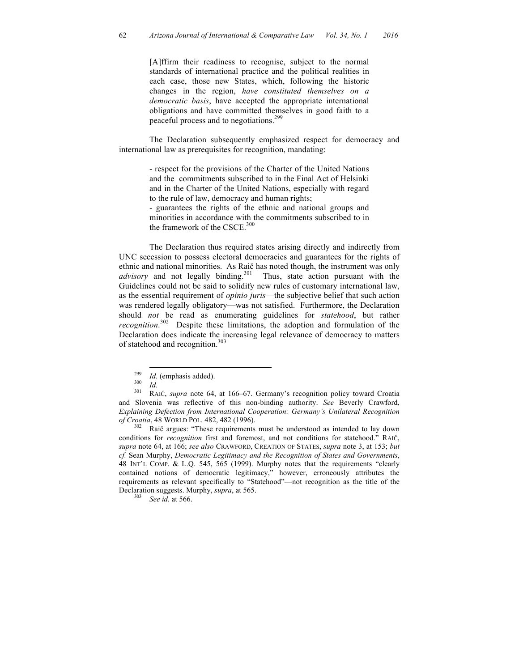[A]ffirm their readiness to recognise, subject to the normal standards of international practice and the political realities in each case, those new States, which, following the historic changes in the region, *have constituted themselves on a democratic basis*, have accepted the appropriate international obligations and have committed themselves in good faith to a peaceful process and to negotiations.299

The Declaration subsequently emphasized respect for democracy and international law as prerequisites for recognition, mandating:

> - respect for the provisions of the Charter of the United Nations and the commitments subscribed to in the Final Act of Helsinki and in the Charter of the United Nations, especially with regard to the rule of law, democracy and human rights;

> - guarantees the rights of the ethnic and national groups and minorities in accordance with the commitments subscribed to in the framework of the CSCE.<sup>300</sup>

The Declaration thus required states arising directly and indirectly from UNC secession to possess electoral democracies and guarantees for the rights of ethnic and national minorities. As Raič has noted though, the instrument was only *advisory* and not legally binding.<sup>301</sup> Thus, state action pursuant with the Guidelines could not be said to solidify new rules of customary international law, as the essential requirement of *opinio juris*—the subjective belief that such action was rendered legally obligatory—was not satisfied. Furthermore, the Declaration should *not* be read as enumerating guidelines for *statehood*, but rather *recognition*. 302 Despite these limitations, the adoption and formulation of the Declaration does indicate the increasing legal relevance of democracy to matters of statehood and recognition.<sup>303</sup>

conditions for *recognition* first and foremost, and not conditions for statehood." RAIČ, *supra* note 64, at 166; *see also* CRAWFORD, CREATION OF STATES, *supra* note 3, at 153; *but cf.* Sean Murphy, *Democratic Legitimacy and the Recognition of States and Governments*, 48 INT'L COMP. & L.Q. 545, 565 (1999). Murphy notes that the requirements "clearly contained notions of democratic legitimacy," however, erroneously attributes the requirements as relevant specifically to "Statehood"—not recognition as the title of the Declaration suggests. Murphy, *supra*, at 565. <sup>303</sup> *See id.* at 566.

<sup>299</sup> *Id.* (emphasis added). <sup>300</sup> *Id.* <sup>301</sup> RAIČ, *supra* note 64, at 166–67. Germany's recognition policy toward Croatia and Slovenia was reflective of this non-binding authority. *See* Beverly Crawford, *Explaining Defection from International Cooperation: Germany's Unilateral Recognition of Croatia*, 48 WORLD POL. 482, 482 (1996).<br><sup>302</sup> Raič argues: "These requirements must be understood as intended to lay down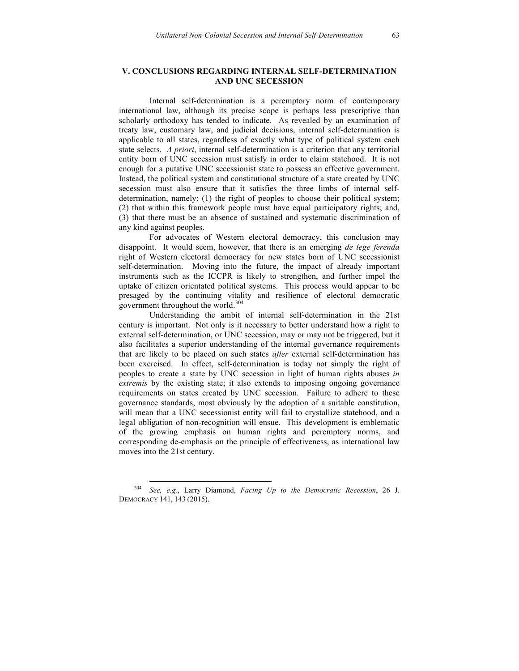## **V. CONCLUSIONS REGARDING INTERNAL SELF-DETERMINATION AND UNC SECESSION**

Internal self-determination is a peremptory norm of contemporary international law, although its precise scope is perhaps less prescriptive than scholarly orthodoxy has tended to indicate. As revealed by an examination of treaty law, customary law, and judicial decisions, internal self-determination is applicable to all states, regardless of exactly what type of political system each state selects. *A priori*, internal self-determination is a criterion that any territorial entity born of UNC secession must satisfy in order to claim statehood. It is not enough for a putative UNC secessionist state to possess an effective government. Instead, the political system and constitutional structure of a state created by UNC secession must also ensure that it satisfies the three limbs of internal selfdetermination, namely: (1) the right of peoples to choose their political system; (2) that within this framework people must have equal participatory rights; and, (3) that there must be an absence of sustained and systematic discrimination of any kind against peoples.

For advocates of Western electoral democracy, this conclusion may disappoint. It would seem, however, that there is an emerging *de lege ferenda* right of Western electoral democracy for new states born of UNC secessionist self-determination. Moving into the future, the impact of already important instruments such as the ICCPR is likely to strengthen, and further impel the uptake of citizen orientated political systems. This process would appear to be presaged by the continuing vitality and resilience of electoral democratic government throughout the world. 304

Understanding the ambit of internal self-determination in the 21st century is important. Not only is it necessary to better understand how a right to external self-determination, or UNC secession, may or may not be triggered, but it also facilitates a superior understanding of the internal governance requirements that are likely to be placed on such states *after* external self-determination has been exercised. In effect, self-determination is today not simply the right of peoples to create a state by UNC secession in light of human rights abuses *in extremis* by the existing state; it also extends to imposing ongoing governance requirements on states created by UNC secession. Failure to adhere to these governance standards, most obviously by the adoption of a suitable constitution, will mean that a UNC secessionist entity will fail to crystallize statehood, and a legal obligation of non-recognition will ensue. This development is emblematic of the growing emphasis on human rights and peremptory norms, and corresponding de-emphasis on the principle of effectiveness, as international law moves into the 21st century.

 <sup>304</sup> *See, e.g.*, Larry Diamond, *Facing Up to the Democratic Recession*, 26 J. DEMOCRACY 141, 143 (2015).